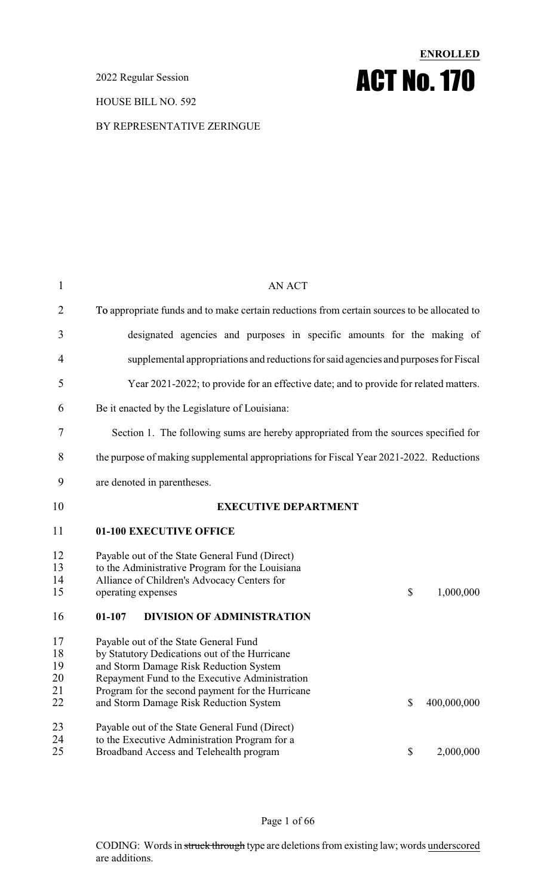2022 Regular Session

HOUSE BILL NO. 592

# **ENROLLED** ACT No.170

BY REPRESENTATIVE ZERINGUE

| $\mathbf{1}$         | <b>AN ACT</b>                                                                                                                                                                             |
|----------------------|-------------------------------------------------------------------------------------------------------------------------------------------------------------------------------------------|
| 2                    | To appropriate funds and to make certain reductions from certain sources to be allocated to                                                                                               |
| 3                    | designated agencies and purposes in specific amounts for the making of                                                                                                                    |
| $\overline{4}$       | supplemental appropriations and reductions for said agencies and purposes for Fiscal                                                                                                      |
| 5                    | Year 2021-2022; to provide for an effective date; and to provide for related matters.                                                                                                     |
| 6                    | Be it enacted by the Legislature of Louisiana:                                                                                                                                            |
| 7                    | Section 1. The following sums are hereby appropriated from the sources specified for                                                                                                      |
| 8                    | the purpose of making supplemental appropriations for Fiscal Year 2021-2022. Reductions                                                                                                   |
| 9                    | are denoted in parentheses.                                                                                                                                                               |
| 10                   | <b>EXECUTIVE DEPARTMENT</b>                                                                                                                                                               |
| 11                   | 01-100 EXECUTIVE OFFICE                                                                                                                                                                   |
|                      |                                                                                                                                                                                           |
| 12<br>13<br>14<br>15 | Payable out of the State General Fund (Direct)<br>to the Administrative Program for the Louisiana<br>Alliance of Children's Advocacy Centers for<br>\$<br>1,000,000<br>operating expenses |
| 16                   | 01-107<br><b>DIVISION OF ADMINISTRATION</b>                                                                                                                                               |
| 17<br>18<br>19<br>20 | Payable out of the State General Fund<br>by Statutory Dedications out of the Hurricane<br>and Storm Damage Risk Reduction System<br>Repayment Fund to the Executive Administration        |
| 21<br>22             | Program for the second payment for the Hurricane<br>\$<br>400,000,000<br>and Storm Damage Risk Reduction System                                                                           |
| 23<br>24<br>25       | Payable out of the State General Fund (Direct)<br>to the Executive Administration Program for a<br>Broadband Access and Telehealth program<br>\$<br>2,000,000                             |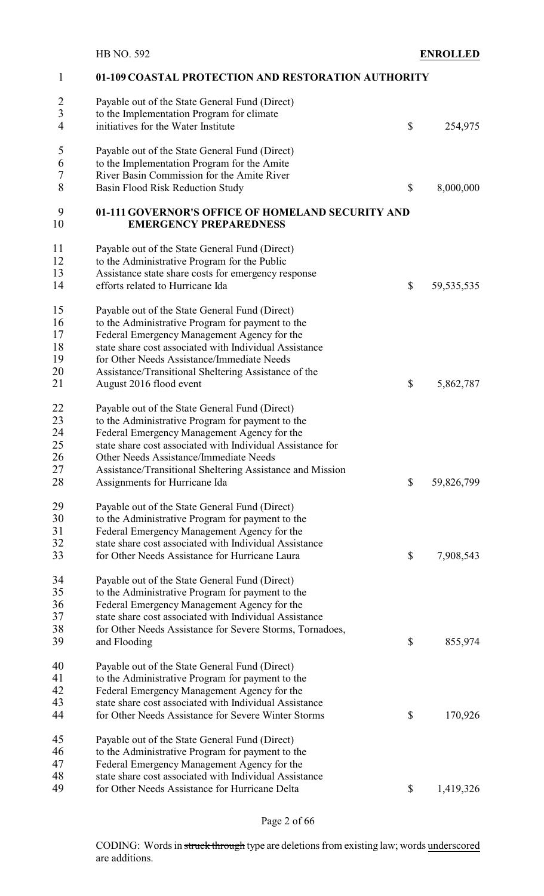| $\mathbf{1}$   | 01-109 COASTAL PROTECTION AND RESTORATION AUTHORITY                                |                    |
|----------------|------------------------------------------------------------------------------------|--------------------|
| $\overline{c}$ | Payable out of the State General Fund (Direct)                                     |                    |
| $\overline{3}$ | to the Implementation Program for climate                                          |                    |
| 4              | initiatives for the Water Institute                                                | \$<br>254,975      |
|                |                                                                                    |                    |
| 5              | Payable out of the State General Fund (Direct)                                     |                    |
| 6              | to the Implementation Program for the Amite                                        |                    |
| 7              | River Basin Commission for the Amite River                                         |                    |
| 8              | Basin Flood Risk Reduction Study                                                   | \$<br>8,000,000    |
| 9<br>10        | 01-111 GOVERNOR'S OFFICE OF HOMELAND SECURITY AND<br><b>EMERGENCY PREPAREDNESS</b> |                    |
| 11             | Payable out of the State General Fund (Direct)                                     |                    |
| 12             | to the Administrative Program for the Public                                       |                    |
| 13             | Assistance state share costs for emergency response                                |                    |
| 14             | efforts related to Hurricane Ida                                                   | \$<br>59, 535, 535 |
| 15             | Payable out of the State General Fund (Direct)                                     |                    |
| 16             | to the Administrative Program for payment to the                                   |                    |
| 17             | Federal Emergency Management Agency for the                                        |                    |
| 18             | state share cost associated with Individual Assistance                             |                    |
|                |                                                                                    |                    |
| 19             | for Other Needs Assistance/Immediate Needs                                         |                    |
| 20             | Assistance/Transitional Sheltering Assistance of the                               |                    |
| 21             | August 2016 flood event                                                            | \$<br>5,862,787    |
| 22             | Payable out of the State General Fund (Direct)                                     |                    |
| 23             | to the Administrative Program for payment to the                                   |                    |
| 24             | Federal Emergency Management Agency for the                                        |                    |
| 25             | state share cost associated with Individual Assistance for                         |                    |
| 26             | Other Needs Assistance/Immediate Needs                                             |                    |
| 27             | Assistance/Transitional Sheltering Assistance and Mission                          |                    |
| 28             | Assignments for Hurricane Ida                                                      | \$<br>59,826,799   |
| 29             | Payable out of the State General Fund (Direct)                                     |                    |
| 30             | to the Administrative Program for payment to the                                   |                    |
| 31             | Federal Emergency Management Agency for the                                        |                    |
| 32             | state share cost associated with Individual Assistance                             |                    |
| 33             | for Other Needs Assistance for Hurricane Laura                                     | \$<br>7,908,543    |
| 34             | Payable out of the State General Fund (Direct)                                     |                    |
| 35             | to the Administrative Program for payment to the                                   |                    |
| 36             | Federal Emergency Management Agency for the                                        |                    |
| 37             | state share cost associated with Individual Assistance                             |                    |
| 38             | for Other Needs Assistance for Severe Storms, Tornadoes,                           |                    |
| 39             | and Flooding                                                                       | \$<br>855,974      |
| 40             | Payable out of the State General Fund (Direct)                                     |                    |
| 41             | to the Administrative Program for payment to the                                   |                    |
| 42             | Federal Emergency Management Agency for the                                        |                    |
| 43             | state share cost associated with Individual Assistance                             |                    |
| 44             | for Other Needs Assistance for Severe Winter Storms                                | \$<br>170,926      |
|                |                                                                                    |                    |
| 45             | Payable out of the State General Fund (Direct)                                     |                    |
| 46             | to the Administrative Program for payment to the                                   |                    |
| 47             | Federal Emergency Management Agency for the                                        |                    |
| 48             | state share cost associated with Individual Assistance                             |                    |
| 49             | for Other Needs Assistance for Hurricane Delta                                     | \$<br>1,419,326    |

Page 2 of 66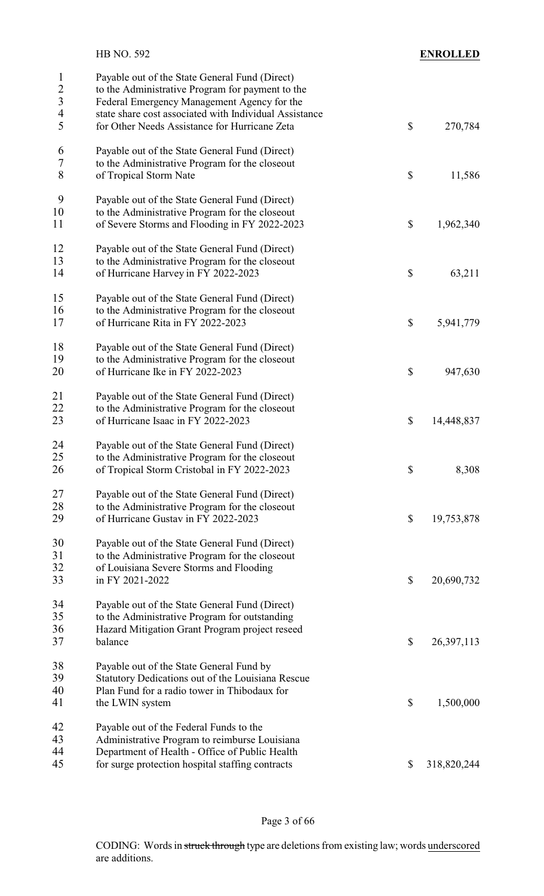|                                                                       | HB NO. 592                                                                                                                                                                                                                                                   | <b>ENROLLED</b>   |
|-----------------------------------------------------------------------|--------------------------------------------------------------------------------------------------------------------------------------------------------------------------------------------------------------------------------------------------------------|-------------------|
| 1<br>$\overline{c}$<br>$\overline{\mathbf{3}}$<br>$\overline{4}$<br>5 | Payable out of the State General Fund (Direct)<br>to the Administrative Program for payment to the<br>Federal Emergency Management Agency for the<br>state share cost associated with Individual Assistance<br>for Other Needs Assistance for Hurricane Zeta | \$<br>270,784     |
| 6<br>7<br>8                                                           | Payable out of the State General Fund (Direct)<br>to the Administrative Program for the closeout<br>of Tropical Storm Nate                                                                                                                                   | \$<br>11,586      |
| 9<br>10<br>11                                                         | Payable out of the State General Fund (Direct)<br>to the Administrative Program for the closeout<br>of Severe Storms and Flooding in FY 2022-2023                                                                                                            | \$<br>1,962,340   |
| 12<br>13<br>14                                                        | Payable out of the State General Fund (Direct)<br>to the Administrative Program for the closeout<br>of Hurricane Harvey in FY 2022-2023                                                                                                                      | \$<br>63,211      |
| 15<br>16<br>17                                                        | Payable out of the State General Fund (Direct)<br>to the Administrative Program for the closeout<br>of Hurricane Rita in FY 2022-2023                                                                                                                        | \$<br>5,941,779   |
| 18<br>19<br>20                                                        | Payable out of the State General Fund (Direct)<br>to the Administrative Program for the closeout<br>of Hurricane Ike in FY 2022-2023                                                                                                                         | \$<br>947,630     |
| 21<br>22<br>23                                                        | Payable out of the State General Fund (Direct)<br>to the Administrative Program for the closeout<br>of Hurricane Isaac in FY 2022-2023                                                                                                                       | \$<br>14,448,837  |
| 24<br>25<br>26                                                        | Payable out of the State General Fund (Direct)<br>to the Administrative Program for the closeout<br>of Tropical Storm Cristobal in FY 2022-2023                                                                                                              | \$<br>8,308       |
| 27<br>28<br>29                                                        | Payable out of the State General Fund (Direct)<br>to the Administrative Program for the closeout<br>of Hurricane Gustav in FY 2022-2023                                                                                                                      | \$<br>19,753,878  |
| 30<br>31<br>32<br>33                                                  | Payable out of the State General Fund (Direct)<br>to the Administrative Program for the closeout<br>of Louisiana Severe Storms and Flooding<br>in FY 2021-2022                                                                                               | \$<br>20,690,732  |
| 34<br>35<br>36<br>37                                                  | Payable out of the State General Fund (Direct)<br>to the Administrative Program for outstanding<br>Hazard Mitigation Grant Program project reseed<br>balance                                                                                                 | \$<br>26,397,113  |
| 38<br>39<br>40<br>41                                                  | Payable out of the State General Fund by<br>Statutory Dedications out of the Louisiana Rescue<br>Plan Fund for a radio tower in Thibodaux for<br>the LWIN system                                                                                             | \$<br>1,500,000   |
| 42<br>43<br>44<br>45                                                  | Payable out of the Federal Funds to the<br>Administrative Program to reimburse Louisiana<br>Department of Health - Office of Public Health<br>for surge protection hospital staffing contracts                                                               | \$<br>318,820,244 |
|                                                                       |                                                                                                                                                                                                                                                              |                   |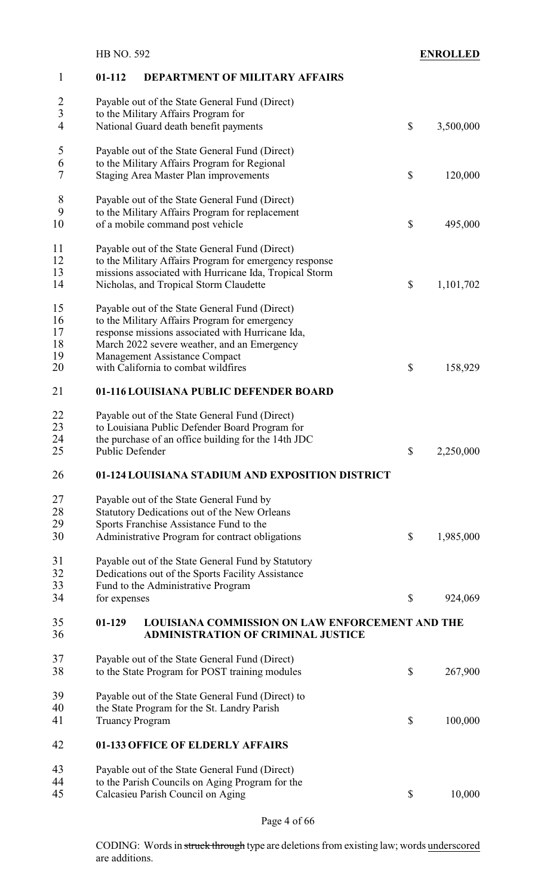|                      | <b>HB NO. 592</b>      |                                                                                                                                                                                                              |                           | <b>ENROLLED</b> |
|----------------------|------------------------|--------------------------------------------------------------------------------------------------------------------------------------------------------------------------------------------------------------|---------------------------|-----------------|
| 1                    | $01 - 112$             | <b>DEPARTMENT OF MILITARY AFFAIRS</b>                                                                                                                                                                        |                           |                 |
| $\frac{2}{3}$        |                        | Payable out of the State General Fund (Direct)<br>to the Military Affairs Program for                                                                                                                        |                           |                 |
| $\overline{4}$       |                        | National Guard death benefit payments                                                                                                                                                                        | \$                        | 3,500,000       |
| 5<br>6<br>7          |                        | Payable out of the State General Fund (Direct)<br>to the Military Affairs Program for Regional<br><b>Staging Area Master Plan improvements</b>                                                               | $\boldsymbol{\mathsf{S}}$ | 120,000         |
|                      |                        |                                                                                                                                                                                                              |                           |                 |
| 8<br>9<br>10         |                        | Payable out of the State General Fund (Direct)<br>to the Military Affairs Program for replacement<br>of a mobile command post vehicle                                                                        | $\boldsymbol{\mathsf{S}}$ | 495,000         |
| 11<br>12<br>13<br>14 |                        | Payable out of the State General Fund (Direct)<br>to the Military Affairs Program for emergency response<br>missions associated with Hurricane Ida, Tropical Storm<br>Nicholas, and Tropical Storm Claudette | $\boldsymbol{\mathsf{S}}$ | 1,101,702       |
| 15<br>16<br>17       |                        | Payable out of the State General Fund (Direct)<br>to the Military Affairs Program for emergency<br>response missions associated with Hurricane Ida,                                                          |                           |                 |
| 18<br>19<br>20       |                        | March 2022 severe weather, and an Emergency<br>Management Assistance Compact<br>with California to combat wildfires                                                                                          | \$                        | 158,929         |
| 21                   |                        | 01-116 LOUISIANA PUBLIC DEFENDER BOARD                                                                                                                                                                       |                           |                 |
| 22<br>23<br>24<br>25 | Public Defender        | Payable out of the State General Fund (Direct)<br>to Louisiana Public Defender Board Program for<br>the purchase of an office building for the 14th JDC                                                      | $\mathbb{S}$              | 2,250,000       |
| 26                   |                        | 01-124 LOUISIANA STADIUM AND EXPOSITION DISTRICT                                                                                                                                                             |                           |                 |
| 27<br>28<br>29<br>30 |                        | Payable out of the State General Fund by<br>Statutory Dedications out of the New Orleans<br>Sports Franchise Assistance Fund to the<br>Administrative Program for contract obligations                       | $\boldsymbol{\mathsf{S}}$ | 1,985,000       |
| 31<br>32<br>33       |                        | Payable out of the State General Fund by Statutory<br>Dedications out of the Sports Facility Assistance<br>Fund to the Administrative Program                                                                |                           |                 |
| 34                   | for expenses           |                                                                                                                                                                                                              | \$                        | 924,069         |
| 35<br>36             | $01-129$               | <b>LOUISIANA COMMISSION ON LAW ENFORCEMENT AND THE</b><br><b>ADMINISTRATION OF CRIMINAL JUSTICE</b>                                                                                                          |                           |                 |
| 37<br>38             |                        | Payable out of the State General Fund (Direct)<br>to the State Program for POST training modules                                                                                                             | \$                        | 267,900         |
| 39                   |                        | Payable out of the State General Fund (Direct) to                                                                                                                                                            |                           |                 |
| 40<br>41             | <b>Truancy Program</b> | the State Program for the St. Landry Parish                                                                                                                                                                  | $\boldsymbol{\mathsf{S}}$ | 100,000         |
| 42                   |                        | 01-133 OFFICE OF ELDERLY AFFAIRS                                                                                                                                                                             |                           |                 |
| 43                   |                        | Payable out of the State General Fund (Direct)                                                                                                                                                               |                           |                 |
| 44                   |                        | to the Parish Councils on Aging Program for the                                                                                                                                                              |                           |                 |
| 45                   |                        | Calcasieu Parish Council on Aging                                                                                                                                                                            | $\boldsymbol{\mathsf{S}}$ | 10,000          |

Page 4 of 66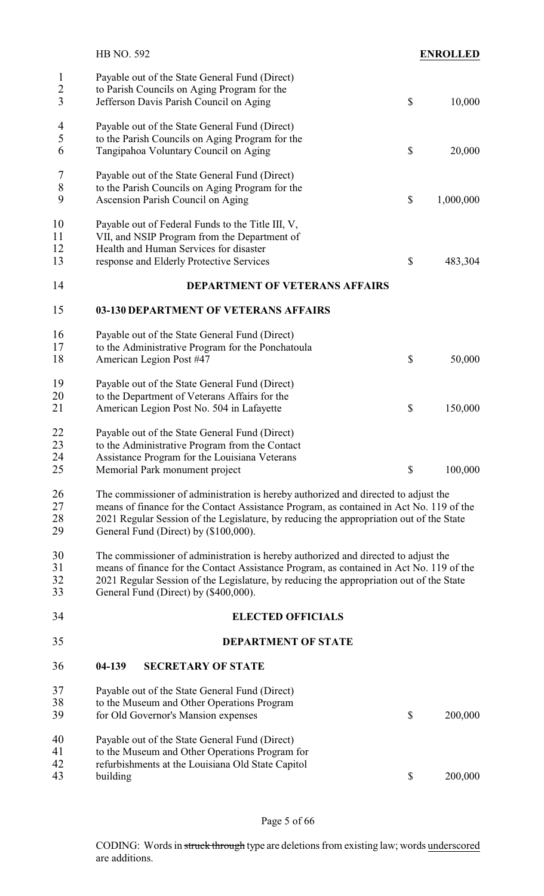|                                     | <b>HB NO. 592</b>                                                                                                                                                                                                                                                                                                 | <b>ENROLLED</b> |
|-------------------------------------|-------------------------------------------------------------------------------------------------------------------------------------------------------------------------------------------------------------------------------------------------------------------------------------------------------------------|-----------------|
| $\mathbf{1}$<br>$\overline{2}$<br>3 | Payable out of the State General Fund (Direct)<br>to Parish Councils on Aging Program for the<br>Jefferson Davis Parish Council on Aging                                                                                                                                                                          | \$<br>10,000    |
| 4<br>5<br>6                         | Payable out of the State General Fund (Direct)<br>to the Parish Councils on Aging Program for the<br>Tangipahoa Voluntary Council on Aging                                                                                                                                                                        | \$<br>20,000    |
| $\tau$<br>$\,$ $\,$<br>9            | Payable out of the State General Fund (Direct)<br>to the Parish Councils on Aging Program for the<br>Ascension Parish Council on Aging                                                                                                                                                                            | \$<br>1,000,000 |
| 10<br>11<br>12<br>13                | Payable out of Federal Funds to the Title III, V,<br>VII, and NSIP Program from the Department of<br>Health and Human Services for disaster<br>response and Elderly Protective Services                                                                                                                           | \$<br>483,304   |
| 14                                  | <b>DEPARTMENT OF VETERANS AFFAIRS</b>                                                                                                                                                                                                                                                                             |                 |
| 15                                  | 03-130 DEPARTMENT OF VETERANS AFFAIRS                                                                                                                                                                                                                                                                             |                 |
| 16<br>17<br>18                      | Payable out of the State General Fund (Direct)<br>to the Administrative Program for the Ponchatoula<br>American Legion Post #47                                                                                                                                                                                   | \$<br>50,000    |
| 19<br>20<br>21                      | Payable out of the State General Fund (Direct)<br>to the Department of Veterans Affairs for the<br>American Legion Post No. 504 in Lafayette                                                                                                                                                                      | \$<br>150,000   |
| 22<br>23<br>24<br>25                | Payable out of the State General Fund (Direct)<br>to the Administrative Program from the Contact<br>Assistance Program for the Louisiana Veterans<br>Memorial Park monument project                                                                                                                               | \$<br>100,000   |
| 26<br>27<br>28<br>29                | The commissioner of administration is hereby authorized and directed to adjust the<br>means of finance for the Contact Assistance Program, as contained in Act No. 119 of the<br>2021 Regular Session of the Legislature, by reducing the appropriation out of the State<br>General Fund (Direct) by (\$100,000). |                 |
| 30<br>31<br>32<br>33                | The commissioner of administration is hereby authorized and directed to adjust the<br>means of finance for the Contact Assistance Program, as contained in Act No. 119 of the<br>2021 Regular Session of the Legislature, by reducing the appropriation out of the State<br>General Fund (Direct) by (\$400,000). |                 |
| 34                                  | <b>ELECTED OFFICIALS</b>                                                                                                                                                                                                                                                                                          |                 |
| 35                                  | <b>DEPARTMENT OF STATE</b>                                                                                                                                                                                                                                                                                        |                 |
| 36                                  | 04-139<br><b>SECRETARY OF STATE</b>                                                                                                                                                                                                                                                                               |                 |
| 37<br>38<br>39                      | Payable out of the State General Fund (Direct)<br>to the Museum and Other Operations Program<br>for Old Governor's Mansion expenses                                                                                                                                                                               | \$<br>200,000   |
| 40<br>41<br>42<br>43                | Payable out of the State General Fund (Direct)<br>to the Museum and Other Operations Program for<br>refurbishments at the Louisiana Old State Capitol<br>building                                                                                                                                                 | \$<br>200,000   |
|                                     |                                                                                                                                                                                                                                                                                                                   |                 |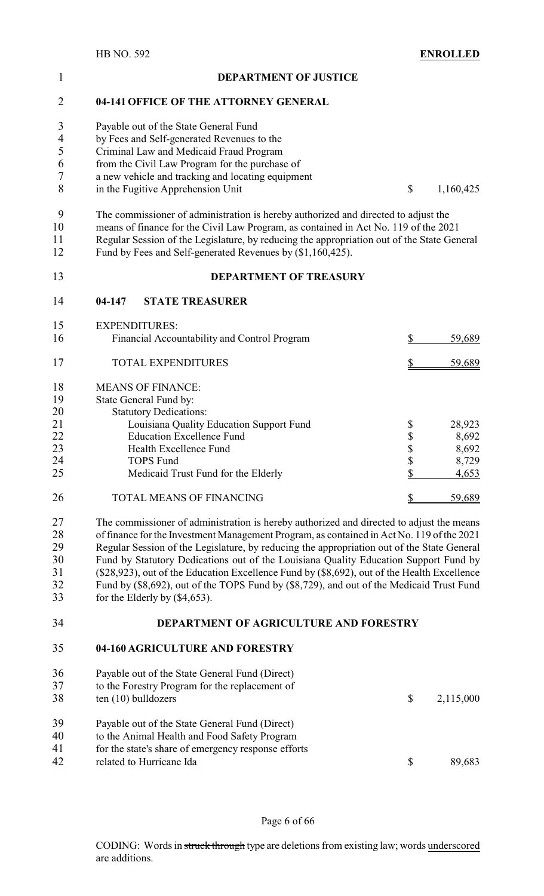| $\mathbf{1}$ | <b>DEPARTMENT OF JUSTICE</b>                                                                                                                             |          |                 |
|--------------|----------------------------------------------------------------------------------------------------------------------------------------------------------|----------|-----------------|
| 2            | 04-141 OFFICE OF THE ATTORNEY GENERAL                                                                                                                    |          |                 |
| 3<br>4       | Payable out of the State General Fund<br>by Fees and Self-generated Revenues to the                                                                      |          |                 |
| 5            | Criminal Law and Medicaid Fraud Program                                                                                                                  |          |                 |
| 6            | from the Civil Law Program for the purchase of                                                                                                           |          |                 |
| 7            | a new vehicle and tracking and locating equipment                                                                                                        |          |                 |
| 8            | in the Fugitive Apprehension Unit                                                                                                                        | \$       | 1,160,425       |
| 9            | The commissioner of administration is hereby authorized and directed to adjust the                                                                       |          |                 |
| 10           | means of finance for the Civil Law Program, as contained in Act No. 119 of the 2021                                                                      |          |                 |
| 11<br>12     | Regular Session of the Legislature, by reducing the appropriation out of the State General<br>Fund by Fees and Self-generated Revenues by (\$1,160,425). |          |                 |
| 13           | <b>DEPARTMENT OF TREASURY</b>                                                                                                                            |          |                 |
| 14           | 04-147<br><b>STATE TREASURER</b>                                                                                                                         |          |                 |
| 15           | <b>EXPENDITURES:</b>                                                                                                                                     |          |                 |
| 16           | Financial Accountability and Control Program                                                                                                             | \$       | 59,689          |
| 17           | <b>TOTAL EXPENDITURES</b>                                                                                                                                |          | 59,689          |
| 18           | <b>MEANS OF FINANCE:</b>                                                                                                                                 |          |                 |
| 19           | State General Fund by:                                                                                                                                   |          |                 |
| 20           | <b>Statutory Dedications:</b>                                                                                                                            |          |                 |
| 21           | Louisiana Quality Education Support Fund<br><b>Education Excellence Fund</b>                                                                             | \$<br>\$ | 28,923<br>8,692 |
| 22<br>23     | Health Excellence Fund                                                                                                                                   |          | 8,692           |
| 24           | <b>TOPS Fund</b>                                                                                                                                         | \$<br>\$ | 8,729           |
| 25           | Medicaid Trust Fund for the Elderly                                                                                                                      | P        | 4,653           |
| 26           | TOTAL MEANS OF FINANCING                                                                                                                                 |          | 59,689          |
| 27           | The commissioner of administration is hereby authorized and directed to adjust the means                                                                 |          |                 |
| 28           | of finance for the Investment Management Program, as contained in Act No. 119 of the 2021                                                                |          |                 |
| 29           | Regular Session of the Legislature, by reducing the appropriation out of the State General                                                               |          |                 |
| 30           | Fund by Statutory Dedications out of the Louisiana Quality Education Support Fund by                                                                     |          |                 |
| 31           | (\$28,923), out of the Education Excellence Fund by (\$8,692), out of the Health Excellence                                                              |          |                 |
| 32<br>33     | Fund by (\$8,692), out of the TOPS Fund by (\$8,729), and out of the Medicaid Trust Fund<br>for the Elderly by $(\$4,653)$ .                             |          |                 |
| 34           | DEPARTMENT OF AGRICULTURE AND FORESTRY                                                                                                                   |          |                 |
| 35           | 04-160 AGRICULTURE AND FORESTRY                                                                                                                          |          |                 |
| 36           | Payable out of the State General Fund (Direct)                                                                                                           |          |                 |
| 37           | to the Forestry Program for the replacement of                                                                                                           |          |                 |
| 38           | ten (10) bulldozers                                                                                                                                      | \$       | 2,115,000       |
| 39           | Payable out of the State General Fund (Direct)                                                                                                           |          |                 |
| 40           | to the Animal Health and Food Safety Program                                                                                                             |          |                 |
| 41           | for the state's share of emergency response efforts                                                                                                      |          |                 |
| 42           | related to Hurricane Ida                                                                                                                                 | \$       | 89,683          |

Page 6 of 66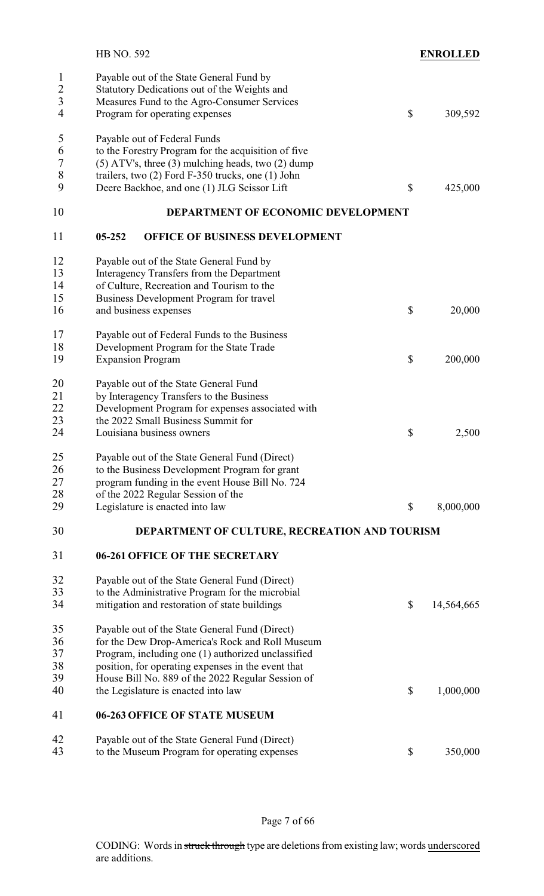|                                                                | <b>HB NO. 592</b>                                                                                                                                                                                                                                                                                         | <b>ENROLLED</b>  |
|----------------------------------------------------------------|-----------------------------------------------------------------------------------------------------------------------------------------------------------------------------------------------------------------------------------------------------------------------------------------------------------|------------------|
| $\mathbf{1}$<br>$\overline{2}$<br>$\overline{\mathbf{3}}$<br>4 | Payable out of the State General Fund by<br>Statutory Dedications out of the Weights and<br>Measures Fund to the Agro-Consumer Services<br>Program for operating expenses                                                                                                                                 | \$<br>309,592    |
| 5<br>6<br>$\sqrt{ }$<br>$\,8\,$<br>9                           | Payable out of Federal Funds<br>to the Forestry Program for the acquisition of five<br>$(5)$ ATV's, three $(3)$ mulching heads, two $(2)$ dump<br>trailers, two (2) Ford F-350 trucks, one (1) John<br>Deere Backhoe, and one (1) JLG Scissor Lift                                                        | \$<br>425,000    |
| 10                                                             | DEPARTMENT OF ECONOMIC DEVELOPMENT                                                                                                                                                                                                                                                                        |                  |
| 11                                                             | OFFICE OF BUSINESS DEVELOPMENT<br>$05 - 252$                                                                                                                                                                                                                                                              |                  |
| 12<br>13<br>14<br>15<br>16                                     | Payable out of the State General Fund by<br>Interagency Transfers from the Department<br>of Culture, Recreation and Tourism to the<br>Business Development Program for travel<br>and business expenses                                                                                                    | \$<br>20,000     |
| 17<br>18<br>19                                                 | Payable out of Federal Funds to the Business<br>Development Program for the State Trade<br><b>Expansion Program</b>                                                                                                                                                                                       | \$<br>200,000    |
| 20<br>21<br>22<br>23<br>24                                     | Payable out of the State General Fund<br>by Interagency Transfers to the Business<br>Development Program for expenses associated with<br>the 2022 Small Business Summit for<br>Louisiana business owners                                                                                                  | \$<br>2,500      |
| 25<br>26<br>27<br>28<br>29                                     | Payable out of the State General Fund (Direct)<br>to the Business Development Program for grant<br>program funding in the event House Bill No. 724<br>of the 2022 Regular Session of the<br>Legislature is enacted into law                                                                               | \$<br>8,000,000  |
| 30                                                             | DEPARTMENT OF CULTURE, RECREATION AND TOURISM                                                                                                                                                                                                                                                             |                  |
| 31                                                             | 06-261 OFFICE OF THE SECRETARY                                                                                                                                                                                                                                                                            |                  |
| 32<br>33<br>34                                                 | Payable out of the State General Fund (Direct)<br>to the Administrative Program for the microbial<br>mitigation and restoration of state buildings                                                                                                                                                        | \$<br>14,564,665 |
| 35<br>36<br>37<br>38<br>39<br>40                               | Payable out of the State General Fund (Direct)<br>for the Dew Drop-America's Rock and Roll Museum<br>Program, including one (1) authorized unclassified<br>position, for operating expenses in the event that<br>House Bill No. 889 of the 2022 Regular Session of<br>the Legislature is enacted into law | \$<br>1,000,000  |
| 41                                                             | 06-263 OFFICE OF STATE MUSEUM                                                                                                                                                                                                                                                                             |                  |
| 42<br>43                                                       | Payable out of the State General Fund (Direct)<br>to the Museum Program for operating expenses                                                                                                                                                                                                            | \$<br>350,000    |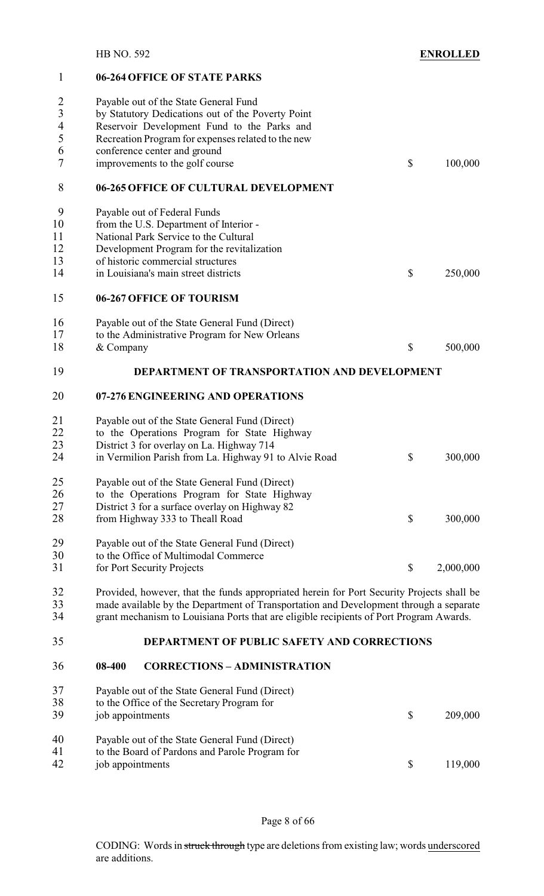#### **06-264 OFFICE OF STATE PARKS**

| $\overline{2}$<br>$\overline{3}$<br>$\overline{4}$<br>5<br>6<br>7 | Payable out of the State General Fund<br>by Statutory Dedications out of the Poverty Point<br>Reservoir Development Fund to the Parks and<br>Recreation Program for expenses related to the new<br>conference center and ground<br>improvements to the golf course            | \$<br>100,000   |
|-------------------------------------------------------------------|-------------------------------------------------------------------------------------------------------------------------------------------------------------------------------------------------------------------------------------------------------------------------------|-----------------|
| 8                                                                 | 06-265 OFFICE OF CULTURAL DEVELOPMENT                                                                                                                                                                                                                                         |                 |
| 9<br>10<br>11<br>12<br>13<br>14                                   | Payable out of Federal Funds<br>from the U.S. Department of Interior -<br>National Park Service to the Cultural<br>Development Program for the revitalization<br>of historic commercial structures<br>in Louisiana's main street districts                                    | \$<br>250,000   |
| 15                                                                | 06-267 OFFICE OF TOURISM                                                                                                                                                                                                                                                      |                 |
| 16<br>17<br>18                                                    | Payable out of the State General Fund (Direct)<br>to the Administrative Program for New Orleans<br>& Company                                                                                                                                                                  | \$<br>500,000   |
| 19                                                                | DEPARTMENT OF TRANSPORTATION AND DEVELOPMENT                                                                                                                                                                                                                                  |                 |
| 20                                                                | 07-276 ENGINEERING AND OPERATIONS                                                                                                                                                                                                                                             |                 |
| 21<br>22<br>23<br>24                                              | Payable out of the State General Fund (Direct)<br>to the Operations Program for State Highway<br>District 3 for overlay on La. Highway 714<br>in Vermilion Parish from La. Highway 91 to Alvie Road                                                                           | \$<br>300,000   |
| $25\,$<br>26<br>27<br>28                                          | Payable out of the State General Fund (Direct)<br>to the Operations Program for State Highway<br>District 3 for a surface overlay on Highway 82<br>from Highway 333 to Theall Road                                                                                            | \$<br>300,000   |
| 29<br>30<br>31                                                    | Payable out of the State General Fund (Direct)<br>to the Office of Multimodal Commerce<br>for Port Security Projects                                                                                                                                                          | \$<br>2,000,000 |
| 32<br>33<br>34                                                    | Provided, however, that the funds appropriated herein for Port Security Projects shall be<br>made available by the Department of Transportation and Development through a separate<br>grant mechanism to Louisiana Ports that are eligible recipients of Port Program Awards. |                 |
| 35                                                                | DEPARTMENT OF PUBLIC SAFETY AND CORRECTIONS                                                                                                                                                                                                                                   |                 |
| 36                                                                | 08-400<br><b>CORRECTIONS - ADMINISTRATION</b>                                                                                                                                                                                                                                 |                 |
| 37<br>38<br>39                                                    | Payable out of the State General Fund (Direct)<br>to the Office of the Secretary Program for<br>job appointments                                                                                                                                                              | \$<br>209,000   |
| 40<br>41<br>42                                                    | Payable out of the State General Fund (Direct)<br>to the Board of Pardons and Parole Program for<br>job appointments                                                                                                                                                          | \$<br>119,000   |

Page 8 of 66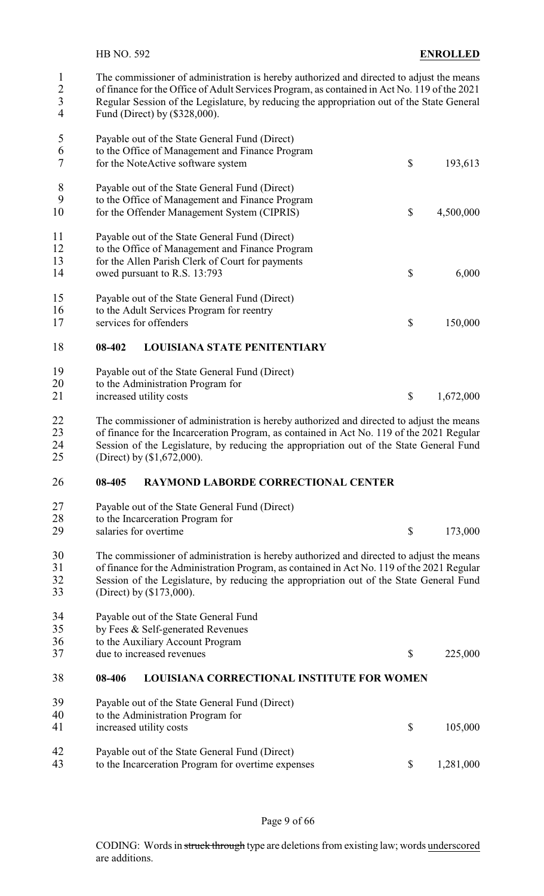1 The commissioner of administration is hereby authorized and directed to adjust the means<br>2 of finance for the Office of Adult Services Program, as contained in Act No. 119 of the 2021 2 of finance for the Office of Adult Services Program, as contained in Act No. 119 of the 2021<br>2 Regular Session of the Legislature, by reducing the appropriation out of the State General 3 Regular Session of the Legislature, by reducing the appropriation out of the State General<br>4 Fund (Direct) by (\$328,000)

Fund (Direct) by (\$328,000).

| 5              | Payable out of the State General Fund (Direct)                                                                                                        |                 |
|----------------|-------------------------------------------------------------------------------------------------------------------------------------------------------|-----------------|
| 6<br>7         | to the Office of Management and Finance Program<br>for the NoteActive software system                                                                 | \$<br>193,613   |
| 8<br>9<br>10   | Payable out of the State General Fund (Direct)<br>to the Office of Management and Finance Program<br>for the Offender Management System (CIPRIS)      | \$<br>4,500,000 |
| 11<br>12<br>13 | Payable out of the State General Fund (Direct)<br>to the Office of Management and Finance Program<br>for the Allen Parish Clerk of Court for payments |                 |
| 14             | owed pursuant to R.S. 13:793                                                                                                                          | \$<br>6,000     |
| 15<br>16<br>17 | Payable out of the State General Fund (Direct)<br>to the Adult Services Program for reentry<br>services for offenders                                 | \$<br>150,000   |
| 18             | 08-402<br><b>LOUISIANA STATE PENITENTIARY</b>                                                                                                         |                 |
| 19<br>20<br>21 | Payable out of the State General Fund (Direct)<br>to the Administration Program for<br>increased utility costs                                        | \$<br>1,672,000 |
|                |                                                                                                                                                       |                 |

 The commissioner of administration is hereby authorized and directed to adjust the means of finance for the Incarceration Program, as contained in Act No. 119 of the 2021 Regular 24 Session of the Legislature, by reducing the appropriation out of the State General Fund<br>25 (Direct) by (\$1,672,000). (Direct) by (\$1,672,000).

#### **08-405 RAYMOND LABORDE CORRECTIONAL CENTER**

| 27<br>28             | Payable out of the State General Fund (Direct)<br>to the Incarceration Program for                                                                                                                                                                                                                            |                 |
|----------------------|---------------------------------------------------------------------------------------------------------------------------------------------------------------------------------------------------------------------------------------------------------------------------------------------------------------|-----------------|
| 29                   | salaries for overtime                                                                                                                                                                                                                                                                                         | \$<br>173,000   |
| 30<br>31<br>32<br>33 | The commissioner of administration is hereby authorized and directed to adjust the means<br>of finance for the Administration Program, as contained in Act No. 119 of the 2021 Regular<br>Session of the Legislature, by reducing the appropriation out of the State General Fund<br>(Direct) by (\$173,000). |                 |
| 34<br>35<br>36<br>37 | Payable out of the State General Fund<br>by Fees & Self-generated Revenues<br>to the Auxiliary Account Program<br>due to increased revenues                                                                                                                                                                   | \$<br>225,000   |
| 38                   | <b>LOUISIANA CORRECTIONAL INSTITUTE FOR WOMEN</b><br>08-406                                                                                                                                                                                                                                                   |                 |
| 39                   | Payable out of the State General Fund (Direct)                                                                                                                                                                                                                                                                |                 |
| 40                   | to the Administration Program for                                                                                                                                                                                                                                                                             |                 |
| 41                   | increased utility costs                                                                                                                                                                                                                                                                                       | \$<br>105,000   |
| 42                   | Payable out of the State General Fund (Direct)                                                                                                                                                                                                                                                                |                 |
| 43                   | to the Incarceration Program for overtime expenses                                                                                                                                                                                                                                                            | \$<br>1,281,000 |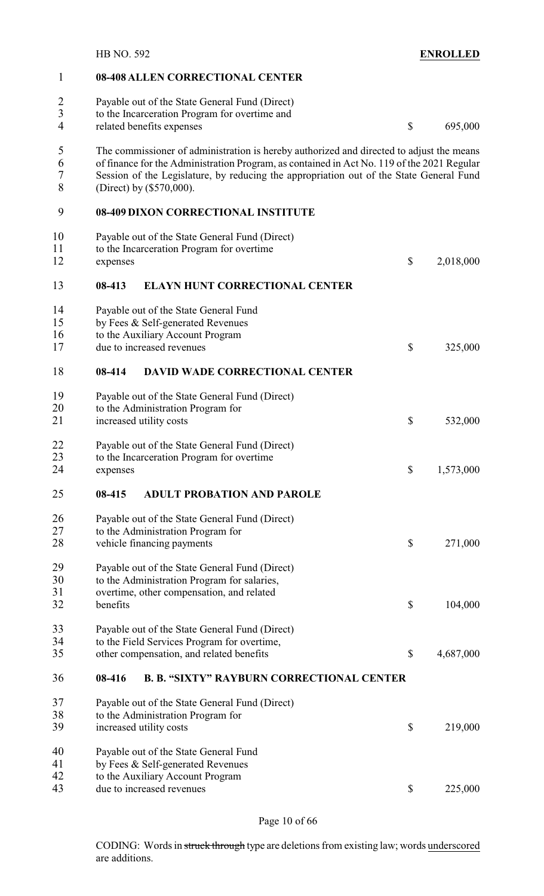|                                  | <b>HB NO. 592</b>                                                                                                                                                                                                                                                                                             |                                                  | <b>ENROLLED</b> |
|----------------------------------|---------------------------------------------------------------------------------------------------------------------------------------------------------------------------------------------------------------------------------------------------------------------------------------------------------------|--------------------------------------------------|-----------------|
| 1                                | 08-408 ALLEN CORRECTIONAL CENTER                                                                                                                                                                                                                                                                              |                                                  |                 |
| $\overline{2}$<br>$\overline{3}$ | Payable out of the State General Fund (Direct)<br>to the Incarceration Program for overtime and                                                                                                                                                                                                               |                                                  |                 |
| $\overline{4}$                   | related benefits expenses                                                                                                                                                                                                                                                                                     | $\boldsymbol{\mathsf{S}}$                        | 695,000         |
| 5<br>6<br>7<br>8                 | The commissioner of administration is hereby authorized and directed to adjust the means<br>of finance for the Administration Program, as contained in Act No. 119 of the 2021 Regular<br>Session of the Legislature, by reducing the appropriation out of the State General Fund<br>(Direct) by (\$570,000). |                                                  |                 |
| 9                                | <b>08-409 DIXON CORRECTIONAL INSTITUTE</b>                                                                                                                                                                                                                                                                    |                                                  |                 |
| 10<br>11<br>12                   | Payable out of the State General Fund (Direct)<br>to the Incarceration Program for overtime<br>expenses                                                                                                                                                                                                       | $\boldsymbol{\mathsf{S}}$                        | 2,018,000       |
| 13                               | 08-413<br><b>ELAYN HUNT CORRECTIONAL CENTER</b>                                                                                                                                                                                                                                                               |                                                  |                 |
| 14                               | Payable out of the State General Fund                                                                                                                                                                                                                                                                         |                                                  |                 |
| 15                               | by Fees & Self-generated Revenues                                                                                                                                                                                                                                                                             |                                                  |                 |
| 16                               | to the Auxiliary Account Program                                                                                                                                                                                                                                                                              |                                                  |                 |
| 17                               | due to increased revenues                                                                                                                                                                                                                                                                                     | \$                                               | 325,000         |
| 18                               | <b>DAVID WADE CORRECTIONAL CENTER</b><br>08-414                                                                                                                                                                                                                                                               |                                                  |                 |
| 19                               | Payable out of the State General Fund (Direct)                                                                                                                                                                                                                                                                |                                                  |                 |
| 20                               | to the Administration Program for                                                                                                                                                                                                                                                                             |                                                  |                 |
| 21                               | increased utility costs                                                                                                                                                                                                                                                                                       | \$                                               | 532,000         |
| 22                               | Payable out of the State General Fund (Direct)                                                                                                                                                                                                                                                                |                                                  |                 |
| 23                               | to the Incarceration Program for overtime                                                                                                                                                                                                                                                                     |                                                  |                 |
| 24                               | expenses                                                                                                                                                                                                                                                                                                      | $\boldsymbol{\mathsf{S}}$                        | 1,573,000       |
| 25                               | <b>ADULT PROBATION AND PAROLE</b><br>08-415                                                                                                                                                                                                                                                                   |                                                  |                 |
| 26                               | Payable out of the State General Fund (Direct)                                                                                                                                                                                                                                                                |                                                  |                 |
| 27                               | to the Administration Program for                                                                                                                                                                                                                                                                             |                                                  |                 |
| 28                               | vehicle financing payments                                                                                                                                                                                                                                                                                    | $\boldsymbol{\mathsf{S}}$                        | 271,000         |
| 29                               | Payable out of the State General Fund (Direct)                                                                                                                                                                                                                                                                |                                                  |                 |
| 30                               | to the Administration Program for salaries,                                                                                                                                                                                                                                                                   |                                                  |                 |
| 31                               | overtime, other compensation, and related                                                                                                                                                                                                                                                                     |                                                  |                 |
| 32                               | benefits                                                                                                                                                                                                                                                                                                      | $\boldsymbol{\mathsf{S}}$                        | 104,000         |
| 33                               | Payable out of the State General Fund (Direct)                                                                                                                                                                                                                                                                |                                                  |                 |
| 34                               | to the Field Services Program for overtime,                                                                                                                                                                                                                                                                   |                                                  |                 |
| 35                               | other compensation, and related benefits                                                                                                                                                                                                                                                                      | \$                                               | 4,687,000       |
| 36                               | 08-416                                                                                                                                                                                                                                                                                                        | <b>B. B. "SIXTY" RAYBURN CORRECTIONAL CENTER</b> |                 |
| 37                               | Payable out of the State General Fund (Direct)                                                                                                                                                                                                                                                                |                                                  |                 |
| 38                               | to the Administration Program for                                                                                                                                                                                                                                                                             |                                                  |                 |
| 39                               | increased utility costs                                                                                                                                                                                                                                                                                       | \$                                               | 219,000         |
| 40                               | Payable out of the State General Fund                                                                                                                                                                                                                                                                         |                                                  |                 |
| 41                               | by Fees & Self-generated Revenues                                                                                                                                                                                                                                                                             |                                                  |                 |
| 42                               | to the Auxiliary Account Program                                                                                                                                                                                                                                                                              |                                                  |                 |
| 43                               | due to increased revenues                                                                                                                                                                                                                                                                                     | \$                                               | 225,000         |

Page 10 of 66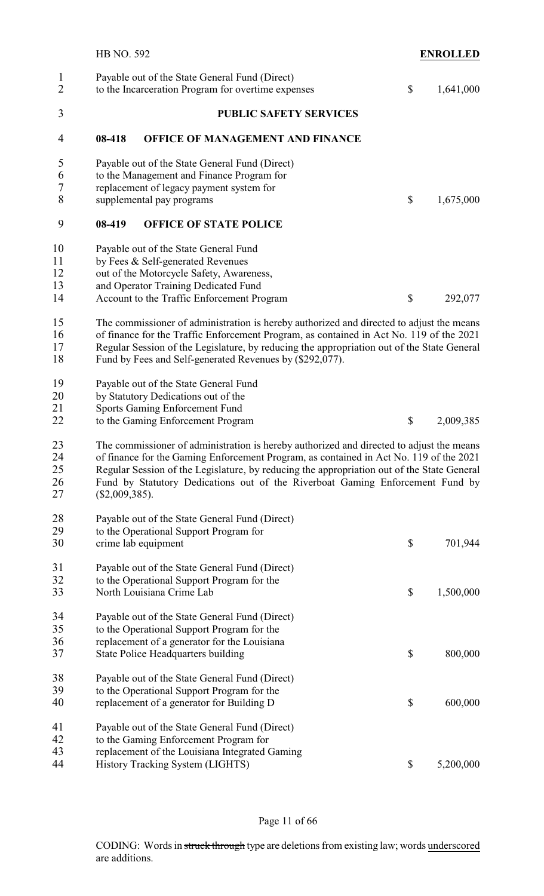| $\mathbf{1}$<br>$\overline{2}$ |                  | Payable out of the State General Fund (Direct)<br>to the Incarceration Program for overtime expenses | \$<br>1,641,000 |
|--------------------------------|------------------|------------------------------------------------------------------------------------------------------|-----------------|
| 3                              |                  | <b>PUBLIC SAFETY SERVICES</b>                                                                        |                 |
| 4                              | 08-418           | OFFICE OF MANAGEMENT AND FINANCE                                                                     |                 |
| 5                              |                  | Payable out of the State General Fund (Direct)                                                       |                 |
| 6                              |                  | to the Management and Finance Program for                                                            |                 |
| $\overline{7}$                 |                  | replacement of legacy payment system for                                                             |                 |
| 8                              |                  | supplemental pay programs                                                                            | \$<br>1,675,000 |
| 9                              | 08-419           | <b>OFFICE OF STATE POLICE</b>                                                                        |                 |
| 10                             |                  | Payable out of the State General Fund                                                                |                 |
| 11                             |                  | by Fees & Self-generated Revenues                                                                    |                 |
| 12                             |                  | out of the Motorcycle Safety, Awareness,                                                             |                 |
| 13                             |                  | and Operator Training Dedicated Fund                                                                 |                 |
| 14                             |                  | Account to the Traffic Enforcement Program                                                           | \$<br>292,077   |
| 15                             |                  | The commissioner of administration is hereby authorized and directed to adjust the means             |                 |
| 16                             |                  | of finance for the Traffic Enforcement Program, as contained in Act No. 119 of the 2021              |                 |
| 17                             |                  | Regular Session of the Legislature, by reducing the appropriation out of the State General           |                 |
| 18                             |                  | Fund by Fees and Self-generated Revenues by (\$292,077).                                             |                 |
| 19                             |                  | Payable out of the State General Fund                                                                |                 |
| 20                             |                  | by Statutory Dedications out of the                                                                  |                 |
| 21                             |                  | Sports Gaming Enforcement Fund                                                                       |                 |
| 22                             |                  | to the Gaming Enforcement Program                                                                    | \$<br>2,009,385 |
|                                |                  |                                                                                                      |                 |
| 23                             |                  | The commissioner of administration is hereby authorized and directed to adjust the means             |                 |
| 24                             |                  | of finance for the Gaming Enforcement Program, as contained in Act No. 119 of the 2021               |                 |
| 25<br>26                       |                  | Regular Session of the Legislature, by reducing the appropriation out of the State General           |                 |
| 27                             | $(\$2,009,385).$ | Fund by Statutory Dedications out of the Riverboat Gaming Enforcement Fund by                        |                 |
|                                |                  |                                                                                                      |                 |
| 28                             |                  | Payable out of the State General Fund (Direct)                                                       |                 |
| 29                             |                  | to the Operational Support Program for                                                               |                 |
| 30                             |                  | crime lab equipment                                                                                  | \$<br>701,944   |
| 31                             |                  | Payable out of the State General Fund (Direct)                                                       |                 |
| 32                             |                  | to the Operational Support Program for the                                                           |                 |
| 33                             |                  | North Louisiana Crime Lab                                                                            | \$<br>1,500,000 |
| 34                             |                  | Payable out of the State General Fund (Direct)                                                       |                 |
| 35                             |                  | to the Operational Support Program for the                                                           |                 |
| 36                             |                  | replacement of a generator for the Louisiana                                                         |                 |
| 37                             |                  | <b>State Police Headquarters building</b>                                                            | \$<br>800,000   |
| 38                             |                  | Payable out of the State General Fund (Direct)                                                       |                 |
| 39                             |                  | to the Operational Support Program for the                                                           |                 |
| 40                             |                  | replacement of a generator for Building D                                                            | \$<br>600,000   |
| 41                             |                  | Payable out of the State General Fund (Direct)                                                       |                 |
| 42                             |                  | to the Gaming Enforcement Program for                                                                |                 |
| 43                             |                  | replacement of the Louisiana Integrated Gaming                                                       |                 |
| 44                             |                  | History Tracking System (LIGHTS)                                                                     | \$<br>5,200,000 |
|                                |                  |                                                                                                      |                 |

## Page 11 of 66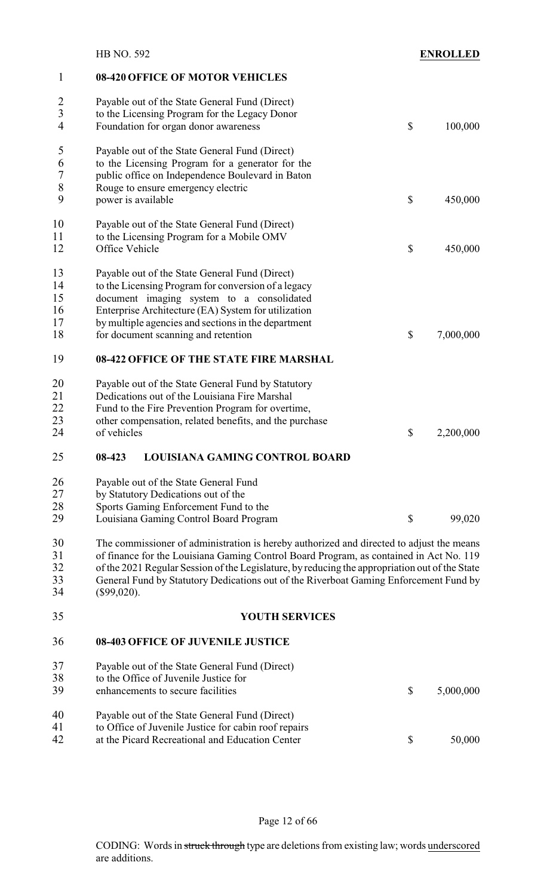|                                        | <b>HB NO. 592</b>                                                                                                                                                                                                                                                                                                                                  | <b>ENROLLED</b> |
|----------------------------------------|----------------------------------------------------------------------------------------------------------------------------------------------------------------------------------------------------------------------------------------------------------------------------------------------------------------------------------------------------|-----------------|
| $\mathbf 1$                            | 08-420 OFFICE OF MOTOR VEHICLES                                                                                                                                                                                                                                                                                                                    |                 |
| 2<br>$\overline{3}$<br>4               | Payable out of the State General Fund (Direct)<br>to the Licensing Program for the Legacy Donor<br>Foundation for organ donor awareness                                                                                                                                                                                                            | \$<br>100,000   |
| 5<br>6<br>7                            | Payable out of the State General Fund (Direct)<br>to the Licensing Program for a generator for the<br>public office on Independence Boulevard in Baton                                                                                                                                                                                             |                 |
| $\,$ $\,$<br>9                         | Rouge to ensure emergency electric<br>power is available                                                                                                                                                                                                                                                                                           | \$<br>450,000   |
| 10<br>11<br>12                         | Payable out of the State General Fund (Direct)<br>to the Licensing Program for a Mobile OMV<br>Office Vehicle                                                                                                                                                                                                                                      | \$<br>450,000   |
| 13<br>14<br>15<br>16<br>17<br>18<br>19 | Payable out of the State General Fund (Direct)<br>to the Licensing Program for conversion of a legacy<br>document imaging system to a consolidated<br>Enterprise Architecture (EA) System for utilization<br>by multiple agencies and sections in the department<br>for document scanning and retention<br>08-422 OFFICE OF THE STATE FIRE MARSHAL | \$<br>7,000,000 |
| 20                                     | Payable out of the State General Fund by Statutory                                                                                                                                                                                                                                                                                                 |                 |
| 21<br>22<br>23<br>24                   | Dedications out of the Louisiana Fire Marshal<br>Fund to the Fire Prevention Program for overtime,<br>other compensation, related benefits, and the purchase<br>of vehicles                                                                                                                                                                        | \$<br>2,200,000 |
| 25                                     | LOUISIANA GAMING CONTROL BOARD<br>08-423                                                                                                                                                                                                                                                                                                           |                 |
| 26<br>27<br>28<br>29                   | Payable out of the State General Fund<br>by Statutory Dedications out of the<br>Sports Gaming Enforcement Fund to the<br>Louisiana Gaming Control Board Program                                                                                                                                                                                    | \$<br>99,020    |
| 30                                     | The commissioner of administration is hereby authorized and directed to adjust the means                                                                                                                                                                                                                                                           |                 |
| 31<br>32<br>33<br>34                   | of finance for the Louisiana Gaming Control Board Program, as contained in Act No. 119<br>of the 2021 Regular Session of the Legislature, by reducing the appropriation out of the State<br>General Fund by Statutory Dedications out of the Riverboat Gaming Enforcement Fund by<br>(\$99,020).                                                   |                 |
| 35                                     | <b>YOUTH SERVICES</b>                                                                                                                                                                                                                                                                                                                              |                 |
| 36                                     | <b>08-403 OFFICE OF JUVENILE JUSTICE</b>                                                                                                                                                                                                                                                                                                           |                 |
| 37<br>38<br>39                         | Payable out of the State General Fund (Direct)<br>to the Office of Juvenile Justice for<br>enhancements to secure facilities                                                                                                                                                                                                                       | \$<br>5,000,000 |
| 40<br>41<br>42                         | Payable out of the State General Fund (Direct)<br>to Office of Juvenile Justice for cabin roof repairs<br>at the Picard Recreational and Education Center                                                                                                                                                                                          | \$<br>50,000    |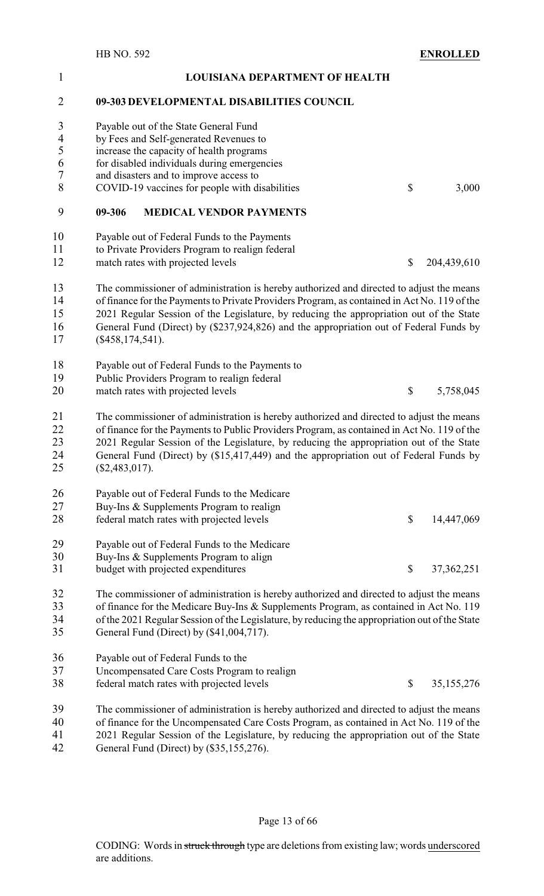| $\mathbf{1}$                         |                    | <b>LOUISIANA DEPARTMENT OF HEALTH</b>                                                                                                                                                                                                                                                                                                                                         |                                                   |
|--------------------------------------|--------------------|-------------------------------------------------------------------------------------------------------------------------------------------------------------------------------------------------------------------------------------------------------------------------------------------------------------------------------------------------------------------------------|---------------------------------------------------|
| $\overline{2}$                       |                    | 09-303 DEVELOPMENTAL DISABILITIES COUNCIL                                                                                                                                                                                                                                                                                                                                     |                                                   |
| $\mathfrak{Z}$<br>$\frac{4}{5}$<br>6 |                    | Payable out of the State General Fund<br>by Fees and Self-generated Revenues to<br>increase the capacity of health programs<br>for disabled individuals during emergencies                                                                                                                                                                                                    |                                                   |
| $\boldsymbol{7}$<br>8                |                    | and disasters and to improve access to<br>COVID-19 vaccines for people with disabilities                                                                                                                                                                                                                                                                                      | \$<br>3,000                                       |
| 9                                    | 09-306             | <b>MEDICAL VENDOR PAYMENTS</b>                                                                                                                                                                                                                                                                                                                                                |                                                   |
| 10<br>11<br>12                       |                    | Payable out of Federal Funds to the Payments<br>to Private Providers Program to realign federal<br>match rates with projected levels                                                                                                                                                                                                                                          | \$<br>204,439,610                                 |
| 13<br>14<br>15<br>16<br>17           | $(\$458,174,541).$ | The commissioner of administration is hereby authorized and directed to adjust the means<br>of finance for the Payments to Private Providers Program, as contained in Act No. 119 of the<br>2021 Regular Session of the Legislature, by reducing the appropriation out of the State<br>General Fund (Direct) by (\$237,924,826) and the appropriation out of Federal Funds by |                                                   |
| 18<br>19<br>20                       |                    | Payable out of Federal Funds to the Payments to<br>Public Providers Program to realign federal<br>match rates with projected levels                                                                                                                                                                                                                                           | \$<br>5,758,045                                   |
| 21<br>22<br>23<br>24<br>25           | $(\$2,483,017).$   | The commissioner of administration is hereby authorized and directed to adjust the means<br>of finance for the Payments to Public Providers Program, as contained in Act No. 119 of the<br>2021 Regular Session of the Legislature, by reducing the appropriation out of the State<br>General Fund (Direct) by (\$15,417,449) and the appropriation out of Federal Funds by   |                                                   |
| 26<br>27<br>28                       |                    | Payable out of Federal Funds to the Medicare<br>Buy-Ins & Supplements Program to realign<br>federal match rates with projected levels                                                                                                                                                                                                                                         | \$<br>14,447,069                                  |
| 29<br>30<br>31                       |                    | Payable out of Federal Funds to the Medicare<br>Buy-Ins & Supplements Program to align<br>budget with projected expenditures                                                                                                                                                                                                                                                  | \$<br>37, 362, 251                                |
| 32<br>33<br>34<br>35                 |                    | The commissioner of administration is hereby authorized and directed to adjust the means<br>of finance for the Medicare Buy-Ins & Supplements Program, as contained in Act No. 119<br>of the 2021 Regular Session of the Legislature, by reducing the appropriation out of the State<br>General Fund (Direct) by (\$41,004,717).                                              |                                                   |
| 36<br>37<br>38                       |                    | Payable out of Federal Funds to the<br>Uncompensated Care Costs Program to realign<br>federal match rates with projected levels                                                                                                                                                                                                                                               | \$<br>35,155,276                                  |
| 39<br>$\Lambda$                      |                    | The commissioner of administration is hereby authorized and directed to adjust the means<br>$c_{\alpha}$ the United States<br>conveniented Cons Contra Ducousse cons                                                                                                                                                                                                          | $\sin 4$ in $\lambda$ at $N_{\alpha}$ 110 a films |

 of finance for the Uncompensated Care Costs Program, as contained in Act No. 119 of the 41 2021 Regular Session of the Legislature, by reducing the appropriation out of the State<br>42 General Fund (Direct) by (\$35,155,276). General Fund (Direct) by (\$35,155,276).

Page 13 of 66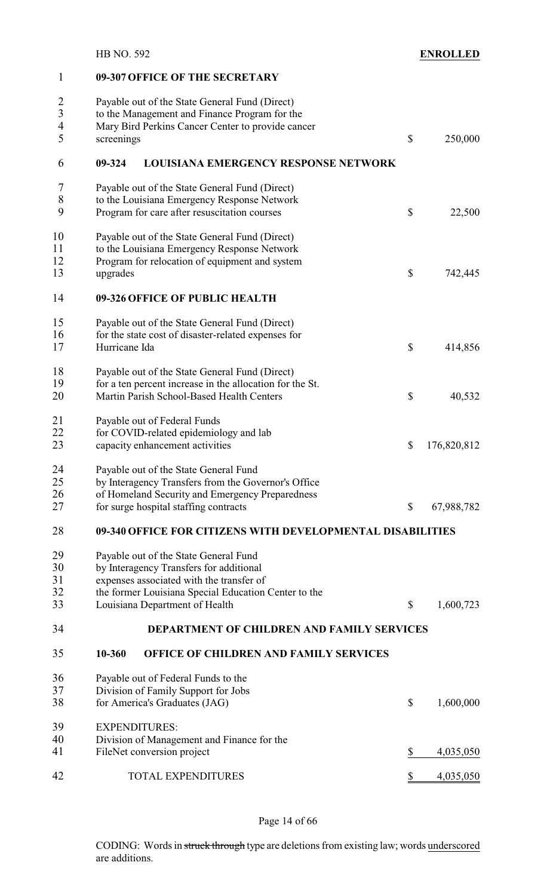| $\mathbf{1}$   | 09-307 OFFICE OF THE SECRETARY                             |                           |             |
|----------------|------------------------------------------------------------|---------------------------|-------------|
| $\overline{c}$ | Payable out of the State General Fund (Direct)             |                           |             |
| $\overline{3}$ | to the Management and Finance Program for the              |                           |             |
| $\overline{4}$ | Mary Bird Perkins Cancer Center to provide cancer          |                           |             |
| 5              |                                                            | $\mathcal{S}$             |             |
|                | screenings                                                 |                           | 250,000     |
| 6              | <b>LOUISIANA EMERGENCY RESPONSE NETWORK</b><br>09-324      |                           |             |
| 7              | Payable out of the State General Fund (Direct)             |                           |             |
| $8\,$          | to the Louisiana Emergency Response Network                |                           |             |
| 9              | Program for care after resuscitation courses               | \$                        | 22,500      |
| 10             | Payable out of the State General Fund (Direct)             |                           |             |
| 11             | to the Louisiana Emergency Response Network                |                           |             |
| 12             | Program for relocation of equipment and system             |                           |             |
| 13             | upgrades                                                   | \$                        | 742,445     |
| 14             | 09-326 OFFICE OF PUBLIC HEALTH                             |                           |             |
| 15             | Payable out of the State General Fund (Direct)             |                           |             |
| 16             | for the state cost of disaster-related expenses for        |                           |             |
| 17             | Hurricane Ida                                              | \$                        | 414,856     |
| 18             | Payable out of the State General Fund (Direct)             |                           |             |
| 19             | for a ten percent increase in the allocation for the St.   |                           |             |
| 20             | Martin Parish School-Based Health Centers                  | \$                        | 40,532      |
| 21             | Payable out of Federal Funds                               |                           |             |
| 22             | for COVID-related epidemiology and lab                     |                           |             |
| 23             | capacity enhancement activities                            | \$                        | 176,820,812 |
| 24             | Payable out of the State General Fund                      |                           |             |
| 25             | by Interagency Transfers from the Governor's Office        |                           |             |
| 26             | of Homeland Security and Emergency Preparedness            |                           |             |
| 27             | for surge hospital staffing contracts                      | \$                        | 67,988,782  |
| 28             | 09-340 OFFICE FOR CITIZENS WITH DEVELOPMENTAL DISABILITIES |                           |             |
| 29             | Payable out of the State General Fund                      |                           |             |
| 30             | by Interagency Transfers for additional                    |                           |             |
| 31             | expenses associated with the transfer of                   |                           |             |
| 32             | the former Louisiana Special Education Center to the       |                           |             |
| 33             | Louisiana Department of Health                             | \$                        | 1,600,723   |
| 34             | DEPARTMENT OF CHILDREN AND FAMILY SERVICES                 |                           |             |
| 35             | 10-360<br>OFFICE OF CHILDREN AND FAMILY SERVICES           |                           |             |
| 36             | Payable out of Federal Funds to the                        |                           |             |
| 37             | Division of Family Support for Jobs                        |                           |             |
| 38             | for America's Graduates (JAG)                              | $\boldsymbol{\mathsf{S}}$ | 1,600,000   |
| 39             | <b>EXPENDITURES:</b>                                       |                           |             |
| 40             | Division of Management and Finance for the                 |                           |             |
| 41             | FileNet conversion project                                 | \$                        | 4,035,050   |
| 42             | <b>TOTAL EXPENDITURES</b>                                  | \$                        | 4,035,050   |
|                |                                                            |                           |             |

#### Page 14 of 66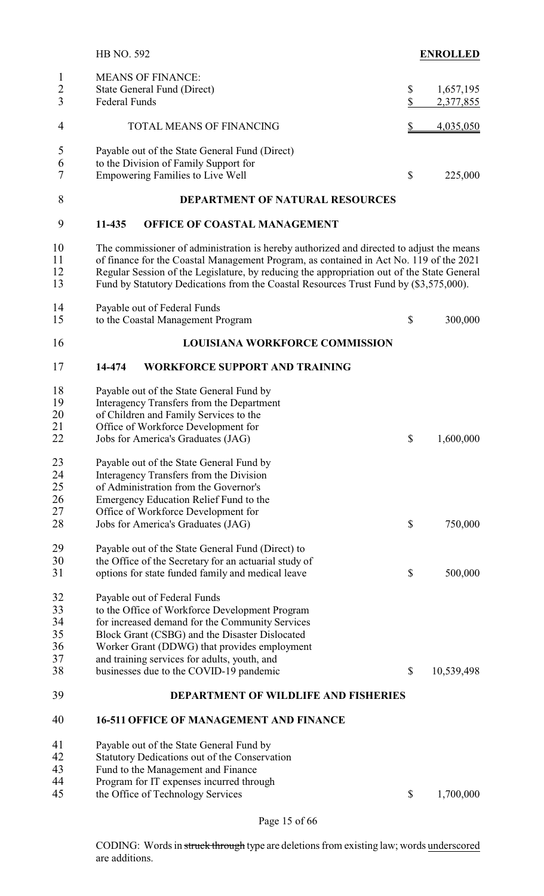|                                | <b>HB NO. 592</b>                                                                                                                                                                                                                                                                                                                                                         | <b>ENROLLED</b>                        |
|--------------------------------|---------------------------------------------------------------------------------------------------------------------------------------------------------------------------------------------------------------------------------------------------------------------------------------------------------------------------------------------------------------------------|----------------------------------------|
| $\mathbf{1}$<br>$\overline{c}$ | <b>MEANS OF FINANCE:</b><br>State General Fund (Direct)                                                                                                                                                                                                                                                                                                                   | 1,657,195<br>\$                        |
| $\overline{3}$                 | Federal Funds                                                                                                                                                                                                                                                                                                                                                             | \$<br>2,377,855                        |
| 4                              | TOTAL MEANS OF FINANCING                                                                                                                                                                                                                                                                                                                                                  | \$<br>4,035,050                        |
| 5                              | Payable out of the State General Fund (Direct)                                                                                                                                                                                                                                                                                                                            |                                        |
| 6<br>7                         | to the Division of Family Support for<br><b>Empowering Families to Live Well</b>                                                                                                                                                                                                                                                                                          | \$<br>225,000                          |
| 8                              | <b>DEPARTMENT OF NATURAL RESOURCES</b>                                                                                                                                                                                                                                                                                                                                    |                                        |
| 9                              | 11-435<br>OFFICE OF COASTAL MANAGEMENT                                                                                                                                                                                                                                                                                                                                    |                                        |
| 10<br>11<br>12<br>13           | The commissioner of administration is hereby authorized and directed to adjust the means<br>of finance for the Coastal Management Program, as contained in Act No. 119 of the 2021<br>Regular Session of the Legislature, by reducing the appropriation out of the State General<br>Fund by Statutory Dedications from the Coastal Resources Trust Fund by (\$3,575,000). |                                        |
| 14<br>15                       | Payable out of Federal Funds<br>to the Coastal Management Program                                                                                                                                                                                                                                                                                                         | \$<br>300,000                          |
| 16                             | <b>LOUISIANA WORKFORCE COMMISSION</b>                                                                                                                                                                                                                                                                                                                                     |                                        |
| 17                             | 14-474<br><b>WORKFORCE SUPPORT AND TRAINING</b>                                                                                                                                                                                                                                                                                                                           |                                        |
| 18                             | Payable out of the State General Fund by                                                                                                                                                                                                                                                                                                                                  |                                        |
| 19                             | Interagency Transfers from the Department                                                                                                                                                                                                                                                                                                                                 |                                        |
| 20                             | of Children and Family Services to the                                                                                                                                                                                                                                                                                                                                    |                                        |
| 21                             | Office of Workforce Development for                                                                                                                                                                                                                                                                                                                                       |                                        |
| 22                             | Jobs for America's Graduates (JAG)                                                                                                                                                                                                                                                                                                                                        | \$<br>1,600,000                        |
| 23                             | Payable out of the State General Fund by                                                                                                                                                                                                                                                                                                                                  |                                        |
| 24                             | Interagency Transfers from the Division                                                                                                                                                                                                                                                                                                                                   |                                        |
| 25                             | of Administration from the Governor's                                                                                                                                                                                                                                                                                                                                     |                                        |
| 26                             | Emergency Education Relief Fund to the                                                                                                                                                                                                                                                                                                                                    |                                        |
| 27                             | Office of Workforce Development for                                                                                                                                                                                                                                                                                                                                       |                                        |
| 28                             | Jobs for America's Graduates (JAG)                                                                                                                                                                                                                                                                                                                                        | \$<br>750,000                          |
| 29                             | Payable out of the State General Fund (Direct) to                                                                                                                                                                                                                                                                                                                         |                                        |
| 30                             | the Office of the Secretary for an actuarial study of                                                                                                                                                                                                                                                                                                                     |                                        |
| 31                             | options for state funded family and medical leave                                                                                                                                                                                                                                                                                                                         | \$<br>500,000                          |
| 32                             | Payable out of Federal Funds                                                                                                                                                                                                                                                                                                                                              |                                        |
| 33                             | to the Office of Workforce Development Program                                                                                                                                                                                                                                                                                                                            |                                        |
| 34                             | for increased demand for the Community Services                                                                                                                                                                                                                                                                                                                           |                                        |
| 35                             | Block Grant (CSBG) and the Disaster Dislocated                                                                                                                                                                                                                                                                                                                            |                                        |
| 36                             | Worker Grant (DDWG) that provides employment                                                                                                                                                                                                                                                                                                                              |                                        |
| 37                             | and training services for adults, youth, and                                                                                                                                                                                                                                                                                                                              |                                        |
| 38                             | businesses due to the COVID-19 pandemic                                                                                                                                                                                                                                                                                                                                   | \$<br>10,539,498                       |
|                                |                                                                                                                                                                                                                                                                                                                                                                           |                                        |
| 39                             | <b>DEPARTMENT OF WILDLIFE AND FISHERIES</b>                                                                                                                                                                                                                                                                                                                               |                                        |
| 40                             | <b>16-511 OFFICE OF MANAGEMENT AND FINANCE</b>                                                                                                                                                                                                                                                                                                                            |                                        |
| 41                             | Payable out of the State General Fund by                                                                                                                                                                                                                                                                                                                                  |                                        |
| 42                             | Statutory Dedications out of the Conservation                                                                                                                                                                                                                                                                                                                             |                                        |
| 43                             | Fund to the Management and Finance                                                                                                                                                                                                                                                                                                                                        |                                        |
| 44                             | Program for IT expenses incurred through                                                                                                                                                                                                                                                                                                                                  |                                        |
| 45                             | the Office of Technology Services                                                                                                                                                                                                                                                                                                                                         | $\boldsymbol{\mathsf{S}}$<br>1,700,000 |

Page 15 of 66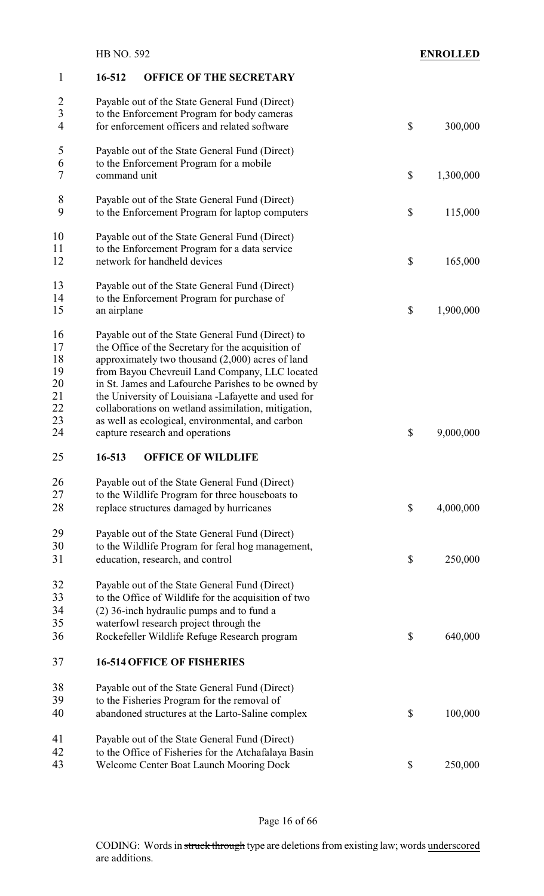## **16-512 OFFICE OF THE SECRETARY**

| $\overline{\mathbf{c}}$ | Payable out of the State General Fund (Direct)                                                    |                           |           |
|-------------------------|---------------------------------------------------------------------------------------------------|---------------------------|-----------|
| $\overline{3}$          | to the Enforcement Program for body cameras                                                       |                           |           |
| $\overline{4}$          | for enforcement officers and related software                                                     | $\boldsymbol{\mathsf{S}}$ | 300,000   |
| 5                       | Payable out of the State General Fund (Direct)                                                    |                           |           |
| 6                       | to the Enforcement Program for a mobile                                                           |                           |           |
| 7                       | command unit                                                                                      | $\boldsymbol{\mathsf{S}}$ | 1,300,000 |
|                         |                                                                                                   |                           |           |
| 8<br>9                  | Payable out of the State General Fund (Direct)<br>to the Enforcement Program for laptop computers | \$                        | 115,000   |
|                         |                                                                                                   |                           |           |
| 10                      | Payable out of the State General Fund (Direct)                                                    |                           |           |
| 11                      | to the Enforcement Program for a data service                                                     |                           |           |
| 12                      | network for handheld devices                                                                      | $\mathbb S$               | 165,000   |
| 13                      | Payable out of the State General Fund (Direct)                                                    |                           |           |
| 14                      | to the Enforcement Program for purchase of                                                        |                           |           |
| 15                      | an airplane                                                                                       | \$                        | 1,900,000 |
|                         |                                                                                                   |                           |           |
| 16                      | Payable out of the State General Fund (Direct) to                                                 |                           |           |
| 17                      | the Office of the Secretary for the acquisition of                                                |                           |           |
| 18                      | approximately two thousand $(2,000)$ acres of land                                                |                           |           |
| 19                      | from Bayou Chevreuil Land Company, LLC located                                                    |                           |           |
| 20                      | in St. James and Lafourche Parishes to be owned by                                                |                           |           |
| 21                      | the University of Louisiana -Lafayette and used for                                               |                           |           |
| 22                      | collaborations on wetland assimilation, mitigation,                                               |                           |           |
| 23                      | as well as ecological, environmental, and carbon                                                  |                           |           |
| 24                      | capture research and operations                                                                   | \$                        | 9,000,000 |
| 25                      | 16-513<br><b>OFFICE OF WILDLIFE</b>                                                               |                           |           |
| 26                      | Payable out of the State General Fund (Direct)                                                    |                           |           |
| 27                      | to the Wildlife Program for three houseboats to                                                   |                           |           |
| 28                      | replace structures damaged by hurricanes                                                          | \$                        | 4,000,000 |
| 29                      | Payable out of the State General Fund (Direct)                                                    |                           |           |
| 30                      | to the Wildlife Program for feral hog management,                                                 |                           |           |
| 31                      | education, research, and control                                                                  | \$                        | 250,000   |
|                         |                                                                                                   |                           |           |
| 32                      | Payable out of the State General Fund (Direct)                                                    |                           |           |
| 33<br>34                | to the Office of Wildlife for the acquisition of two                                              |                           |           |
| 35                      | (2) 36-inch hydraulic pumps and to fund a                                                         |                           |           |
| 36                      | waterfowl research project through the<br>Rockefeller Wildlife Refuge Research program            | \$                        | 640,000   |
|                         |                                                                                                   |                           |           |
| 37                      | <b>16-514 OFFICE OF FISHERIES</b>                                                                 |                           |           |
| 38                      | Payable out of the State General Fund (Direct)                                                    |                           |           |
| 39                      | to the Fisheries Program for the removal of                                                       |                           |           |
| 40                      | abandoned structures at the Larto-Saline complex                                                  | \$                        | 100,000   |
| 41                      | Payable out of the State General Fund (Direct)                                                    |                           |           |
| 42                      | to the Office of Fisheries for the Atchafalaya Basin                                              |                           |           |
| 43                      | <b>Welcome Center Boat Launch Mooring Dock</b>                                                    | \$                        | 250,000   |
|                         |                                                                                                   |                           |           |

Page 16 of 66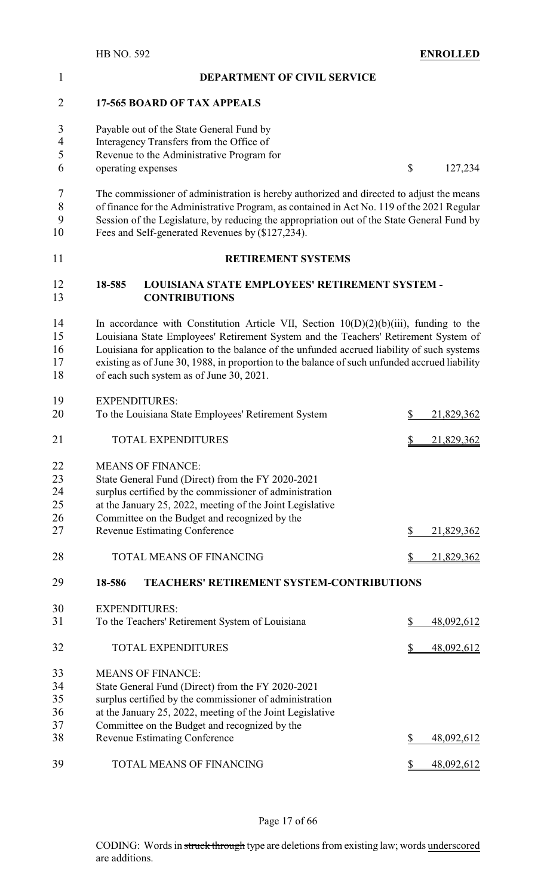| 1              |        | DEPARTMENT OF CIVIL SERVICE                                                                   |                  |
|----------------|--------|-----------------------------------------------------------------------------------------------|------------------|
| $\overline{2}$ |        | <b>17-565 BOARD OF TAX APPEALS</b>                                                            |                  |
| 3              |        | Payable out of the State General Fund by                                                      |                  |
| $\overline{4}$ |        | Interagency Transfers from the Office of                                                      |                  |
| 5              |        | Revenue to the Administrative Program for                                                     |                  |
| 6              |        | operating expenses                                                                            | \$<br>127,234    |
| 7              |        | The commissioner of administration is hereby authorized and directed to adjust the means      |                  |
| 8              |        | of finance for the Administrative Program, as contained in Act No. 119 of the 2021 Regular    |                  |
| 9              |        | Session of the Legislature, by reducing the appropriation out of the State General Fund by    |                  |
| 10             |        | Fees and Self-generated Revenues by (\$127,234).                                              |                  |
| 11             |        | <b>RETIREMENT SYSTEMS</b>                                                                     |                  |
| 12<br>13       | 18-585 | LOUISIANA STATE EMPLOYEES' RETIREMENT SYSTEM -<br><b>CONTRIBUTIONS</b>                        |                  |
| 14             |        | In accordance with Constitution Article VII, Section $10(D)(2)(b)(iii)$ , funding to the      |                  |
| 15             |        | Louisiana State Employees' Retirement System and the Teachers' Retirement System of           |                  |
| 16             |        | Louisiana for application to the balance of the unfunded accrued liability of such systems    |                  |
| 17             |        | existing as of June 30, 1988, in proportion to the balance of such unfunded accrued liability |                  |
| 18             |        | of each such system as of June 30, 2021.                                                      |                  |
| 19             |        | <b>EXPENDITURES:</b>                                                                          |                  |
| 20             |        | To the Louisiana State Employees' Retirement System                                           | \$<br>21,829,362 |
| 21             |        | <b>TOTAL EXPENDITURES</b>                                                                     | \$<br>21,829,362 |
| 22             |        | <b>MEANS OF FINANCE:</b>                                                                      |                  |
| 23             |        | State General Fund (Direct) from the FY 2020-2021                                             |                  |
| 24             |        | surplus certified by the commissioner of administration                                       |                  |
| 25             |        | at the January 25, 2022, meeting of the Joint Legislative                                     |                  |
| 26             |        | Committee on the Budget and recognized by the                                                 |                  |
| 27             |        | <b>Revenue Estimating Conference</b>                                                          | \$<br>21,829,362 |
| 28             |        | <b>TOTAL MEANS OF FINANCING</b>                                                               | \$<br>21,829,362 |
| 29             | 18-586 | <b>TEACHERS' RETIREMENT SYSTEM-CONTRIBUTIONS</b>                                              |                  |
| 30             |        | <b>EXPENDITURES:</b>                                                                          |                  |
| 31             |        | To the Teachers' Retirement System of Louisiana                                               | \$<br>48,092,612 |
| 32             |        | <b>TOTAL EXPENDITURES</b>                                                                     | \$<br>48,092,612 |
| 33             |        | <b>MEANS OF FINANCE:</b>                                                                      |                  |
| 34             |        | State General Fund (Direct) from the FY 2020-2021                                             |                  |
| 35             |        | surplus certified by the commissioner of administration                                       |                  |
| 36             |        | at the January 25, 2022, meeting of the Joint Legislative                                     |                  |
| 37             |        | Committee on the Budget and recognized by the                                                 |                  |
| 38             |        | <b>Revenue Estimating Conference</b>                                                          | \$<br>48,092,612 |
| 39             |        | TOTAL MEANS OF FINANCING                                                                      | \$<br>48,092,612 |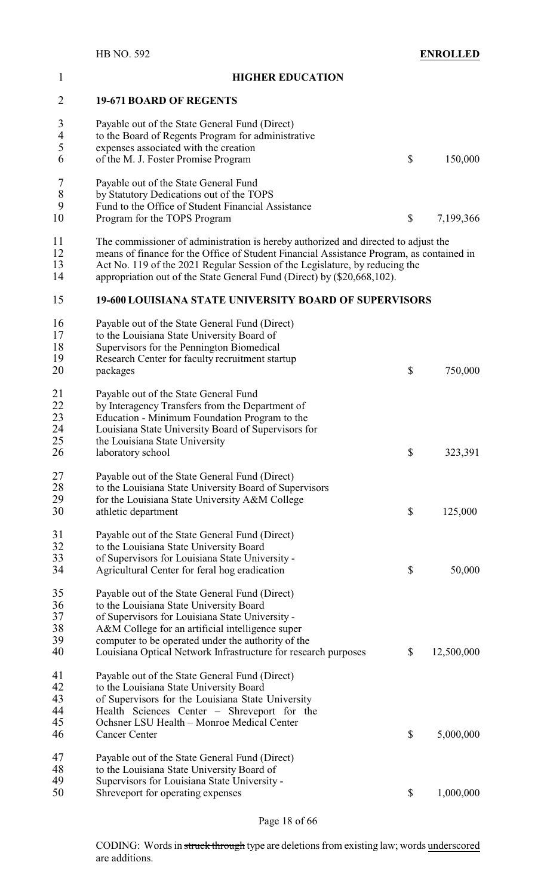| $\mathbf{1}$             | <b>HIGHER EDUCATION</b>                                                                  |                  |
|--------------------------|------------------------------------------------------------------------------------------|------------------|
| $\overline{2}$           | <b>19-671 BOARD OF REGENTS</b>                                                           |                  |
| 3                        | Payable out of the State General Fund (Direct)                                           |                  |
| $\overline{\mathcal{A}}$ | to the Board of Regents Program for administrative                                       |                  |
| 5                        | expenses associated with the creation                                                    |                  |
| 6                        | of the M. J. Foster Promise Program                                                      | \$<br>150,000    |
| 7                        | Payable out of the State General Fund                                                    |                  |
| 8                        | by Statutory Dedications out of the TOPS                                                 |                  |
| 9                        | Fund to the Office of Student Financial Assistance                                       |                  |
| 10                       | Program for the TOPS Program                                                             | \$<br>7,199,366  |
| 11                       | The commissioner of administration is hereby authorized and directed to adjust the       |                  |
| 12                       | means of finance for the Office of Student Financial Assistance Program, as contained in |                  |
| 13                       | Act No. 119 of the 2021 Regular Session of the Legislature, by reducing the              |                  |
| 14                       | appropriation out of the State General Fund (Direct) by (\$20,668,102).                  |                  |
| 15                       | <b>19-600 LOUISIANA STATE UNIVERSITY BOARD OF SUPERVISORS</b>                            |                  |
| 16                       | Payable out of the State General Fund (Direct)                                           |                  |
| 17                       | to the Louisiana State University Board of                                               |                  |
| 18                       | Supervisors for the Pennington Biomedical                                                |                  |
| 19                       | Research Center for faculty recruitment startup                                          |                  |
| 20                       | packages                                                                                 | \$<br>750,000    |
| 21                       | Payable out of the State General Fund                                                    |                  |
| 22                       | by Interagency Transfers from the Department of                                          |                  |
| 23                       | Education - Minimum Foundation Program to the                                            |                  |
| 24                       | Louisiana State University Board of Supervisors for                                      |                  |
| 25                       | the Louisiana State University                                                           |                  |
| 26                       | laboratory school                                                                        | \$<br>323,391    |
| 27                       | Payable out of the State General Fund (Direct)                                           |                  |
| 28                       | to the Louisiana State University Board of Supervisors                                   |                  |
| 29                       | for the Louisiana State University A&M College                                           |                  |
| 30                       | athletic department                                                                      | \$<br>125,000    |
| 31                       | Payable out of the State General Fund (Direct)                                           |                  |
| 32                       | to the Louisiana State University Board                                                  |                  |
| 33                       | of Supervisors for Louisiana State University -                                          |                  |
| 34                       | Agricultural Center for feral hog eradication                                            | \$<br>50,000     |
| 35                       | Payable out of the State General Fund (Direct)                                           |                  |
| 36                       | to the Louisiana State University Board                                                  |                  |
| 37                       | of Supervisors for Louisiana State University -                                          |                  |
| 38                       | A&M College for an artificial intelligence super                                         |                  |
| 39                       | computer to be operated under the authority of the                                       |                  |
| 40                       | Louisiana Optical Network Infrastructure for research purposes                           | \$<br>12,500,000 |
| 41                       | Payable out of the State General Fund (Direct)                                           |                  |
| 42                       | to the Louisiana State University Board                                                  |                  |
| 43                       | of Supervisors for the Louisiana State University                                        |                  |
| 44                       | Health Sciences Center – Shreveport for the                                              |                  |
| 45                       | Ochsner LSU Health - Monroe Medical Center                                               |                  |
| 46                       | <b>Cancer Center</b>                                                                     | \$<br>5,000,000  |
| 47                       | Payable out of the State General Fund (Direct)                                           |                  |
| 48                       | to the Louisiana State University Board of                                               |                  |
| 49                       | Supervisors for Louisiana State University -                                             |                  |
| 50                       | Shreveport for operating expenses                                                        | \$<br>1,000,000  |
|                          |                                                                                          |                  |

Page 18 of 66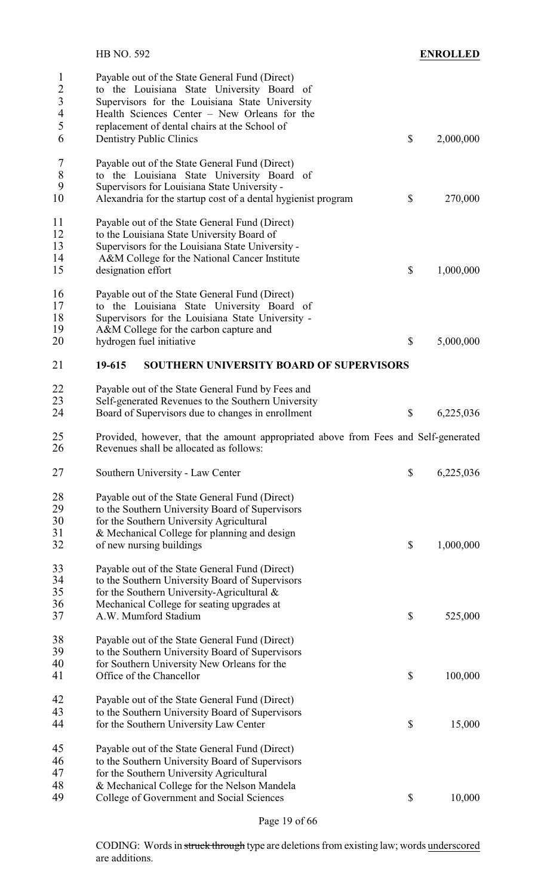|                                                                                       | HB NO. 592                                                                                                                                                                                                                | <b>ENROLLED</b> |
|---------------------------------------------------------------------------------------|---------------------------------------------------------------------------------------------------------------------------------------------------------------------------------------------------------------------------|-----------------|
| $\mathbf{1}$<br>$\overline{c}$<br>$\overline{\mathbf{3}}$<br>$\overline{\mathcal{A}}$ | Payable out of the State General Fund (Direct)<br>to the Louisiana State University Board of<br>Supervisors for the Louisiana State University<br>Health Sciences Center - New Orleans for the                            |                 |
| 5<br>6                                                                                | replacement of dental chairs at the School of<br><b>Dentistry Public Clinics</b>                                                                                                                                          | \$<br>2,000,000 |
| $\tau$<br>8<br>9                                                                      | Payable out of the State General Fund (Direct)<br>to the Louisiana State University Board of<br>Supervisors for Louisiana State University -                                                                              |                 |
| 10                                                                                    | Alexandria for the startup cost of a dental hygienist program                                                                                                                                                             | \$<br>270,000   |
| 11<br>12<br>13                                                                        | Payable out of the State General Fund (Direct)<br>to the Louisiana State University Board of<br>Supervisors for the Louisiana State University -                                                                          |                 |
| 14<br>15                                                                              | A&M College for the National Cancer Institute<br>designation effort                                                                                                                                                       | \$<br>1,000,000 |
| 16<br>17<br>$18\,$<br>19                                                              | Payable out of the State General Fund (Direct)<br>to the Louisiana State University Board of<br>Supervisors for the Louisiana State University -<br>A&M College for the carbon capture and                                |                 |
| 20                                                                                    | hydrogen fuel initiative                                                                                                                                                                                                  | \$<br>5,000,000 |
| 21                                                                                    | 19-615<br>SOUTHERN UNIVERSITY BOARD OF SUPERVISORS                                                                                                                                                                        |                 |
| 22<br>23                                                                              | Payable out of the State General Fund by Fees and<br>Self-generated Revenues to the Southern University                                                                                                                   |                 |
| 24                                                                                    | Board of Supervisors due to changes in enrollment                                                                                                                                                                         | \$<br>6,225,036 |
| 25<br>26                                                                              | Provided, however, that the amount appropriated above from Fees and Self-generated<br>Revenues shall be allocated as follows:                                                                                             |                 |
| 27                                                                                    | Southern University - Law Center                                                                                                                                                                                          | \$<br>6,225,036 |
| 28<br>29<br>30<br>31<br>32                                                            | Payable out of the State General Fund (Direct)<br>to the Southern University Board of Supervisors<br>for the Southern University Agricultural<br>& Mechanical College for planning and design<br>of new nursing buildings | \$<br>1,000,000 |
| 33<br>34<br>35<br>36<br>37                                                            | Payable out of the State General Fund (Direct)<br>to the Southern University Board of Supervisors<br>for the Southern University-Agricultural $\&$<br>Mechanical College for seating upgrades at<br>A.W. Mumford Stadium  | \$<br>525,000   |
| 38<br>39<br>40<br>41                                                                  | Payable out of the State General Fund (Direct)<br>to the Southern University Board of Supervisors<br>for Southern University New Orleans for the<br>Office of the Chancellor                                              | \$<br>100,000   |
| 42<br>43<br>44                                                                        | Payable out of the State General Fund (Direct)<br>to the Southern University Board of Supervisors<br>for the Southern University Law Center                                                                               | \$<br>15,000    |
| 45<br>46<br>47<br>48                                                                  | Payable out of the State General Fund (Direct)<br>to the Southern University Board of Supervisors<br>for the Southern University Agricultural<br>& Mechanical College for the Nelson Mandela                              |                 |
| 49                                                                                    | College of Government and Social Sciences                                                                                                                                                                                 | \$<br>10,000    |

Page 19 of 66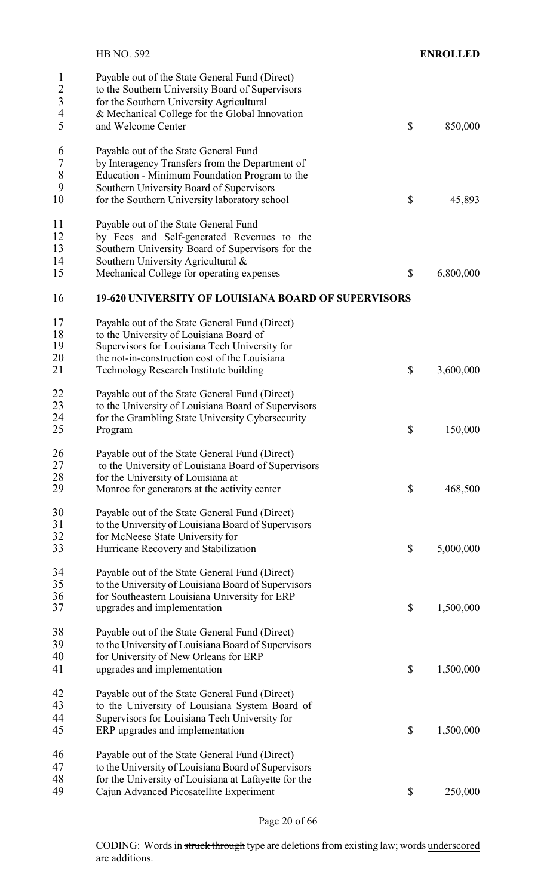| $\mathbf{1}$<br>Payable out of the State General Fund (Direct)<br>$\frac{2}{3}$<br>to the Southern University Board of Supervisors<br>for the Southern University Agricultural<br>$\overline{4}$<br>& Mechanical College for the Global Innovation<br>5<br>and Welcome Center<br>$\boldsymbol{\mathsf{S}}$<br>6<br>Payable out of the State General Fund<br>$\tau$<br>by Interagency Transfers from the Department of<br>8<br>Education - Minimum Foundation Program to the<br>9<br>Southern University Board of Supervisors<br>10<br>\$<br>for the Southern University laboratory school | <b>ENROLLED</b> |
|-------------------------------------------------------------------------------------------------------------------------------------------------------------------------------------------------------------------------------------------------------------------------------------------------------------------------------------------------------------------------------------------------------------------------------------------------------------------------------------------------------------------------------------------------------------------------------------------|-----------------|
|                                                                                                                                                                                                                                                                                                                                                                                                                                                                                                                                                                                           | 850,000         |
|                                                                                                                                                                                                                                                                                                                                                                                                                                                                                                                                                                                           | 45,893          |
| 11<br>Payable out of the State General Fund<br>12<br>by Fees and Self-generated Revenues to the<br>13<br>Southern University Board of Supervisors for the<br>14<br>Southern University Agricultural &<br>15<br>$\boldsymbol{\mathsf{S}}$<br>Mechanical College for operating expenses                                                                                                                                                                                                                                                                                                     | 6,800,000       |
| 16<br><b>19-620 UNIVERSITY OF LOUISIANA BOARD OF SUPERVISORS</b>                                                                                                                                                                                                                                                                                                                                                                                                                                                                                                                          |                 |
| 17<br>Payable out of the State General Fund (Direct)<br>18<br>to the University of Louisiana Board of<br>19<br>Supervisors for Louisiana Tech University for<br>20<br>the not-in-construction cost of the Louisiana<br>\$<br>21<br>Technology Research Institute building                                                                                                                                                                                                                                                                                                                 | 3,600,000       |
| 22<br>Payable out of the State General Fund (Direct)<br>23<br>to the University of Louisiana Board of Supervisors<br>24<br>for the Grambling State University Cybersecurity<br>25<br>$\boldsymbol{\mathsf{S}}$<br>Program                                                                                                                                                                                                                                                                                                                                                                 | 150,000         |
| 26<br>Payable out of the State General Fund (Direct)<br>27<br>to the University of Louisiana Board of Supervisors<br>28<br>for the University of Louisiana at<br>29<br>\$<br>Monroe for generators at the activity center                                                                                                                                                                                                                                                                                                                                                                 | 468,500         |
| 30<br>Payable out of the State General Fund (Direct)<br>31<br>to the University of Louisiana Board of Supervisors<br>32<br>for McNeese State University for<br>$\boldsymbol{\mathsf{S}}$<br>33<br>Hurricane Recovery and Stabilization                                                                                                                                                                                                                                                                                                                                                    | 5,000,000       |
| 34<br>Payable out of the State General Fund (Direct)<br>35<br>to the University of Louisiana Board of Supervisors<br>36<br>for Southeastern Louisiana University for ERP<br>37<br>$\boldsymbol{\mathsf{S}}$<br>upgrades and implementation                                                                                                                                                                                                                                                                                                                                                | 1,500,000       |
| 38<br>Payable out of the State General Fund (Direct)<br>39<br>to the University of Louisiana Board of Supervisors<br>40<br>for University of New Orleans for ERP<br>41<br>\$<br>upgrades and implementation                                                                                                                                                                                                                                                                                                                                                                               | 1,500,000       |
| 42<br>Payable out of the State General Fund (Direct)<br>43<br>to the University of Louisiana System Board of<br>44<br>Supervisors for Louisiana Tech University for<br>\$<br>45<br>ERP upgrades and implementation                                                                                                                                                                                                                                                                                                                                                                        | 1,500,000       |
| 46<br>Payable out of the State General Fund (Direct)<br>47<br>to the University of Louisiana Board of Supervisors<br>48<br>for the University of Louisiana at Lafayette for the<br>49<br>$\mathbb S$<br>Cajun Advanced Picosatellite Experiment                                                                                                                                                                                                                                                                                                                                           | 250,000         |

Page 20 of 66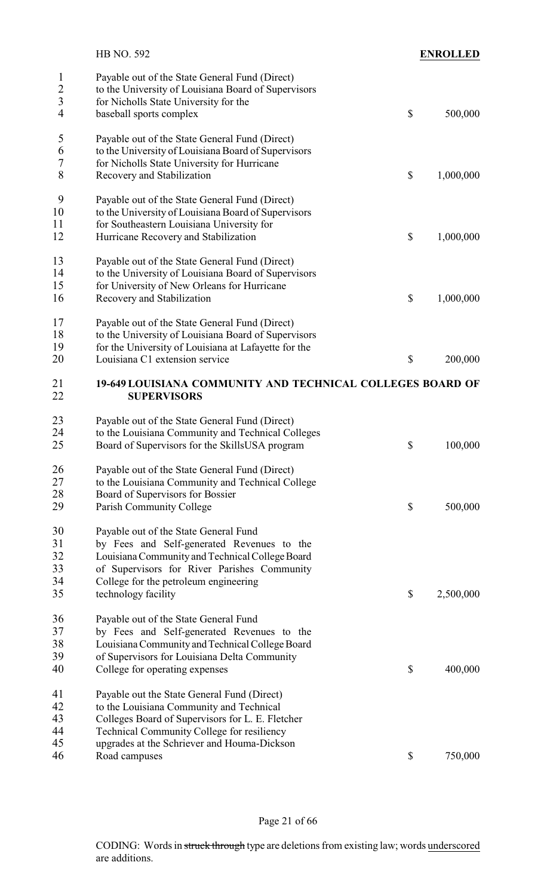|                                                 | <b>HB NO. 592</b>                                                                                                                                                                                                                  | <b>ENROLLED</b> |
|-------------------------------------------------|------------------------------------------------------------------------------------------------------------------------------------------------------------------------------------------------------------------------------------|-----------------|
| $\mathbf{1}$<br>$\frac{2}{3}$<br>$\overline{4}$ | Payable out of the State General Fund (Direct)<br>to the University of Louisiana Board of Supervisors<br>for Nicholls State University for the<br>baseball sports complex                                                          | \$<br>500,000   |
| $\mathfrak s$<br>6<br>7<br>8                    | Payable out of the State General Fund (Direct)<br>to the University of Louisiana Board of Supervisors<br>for Nicholls State University for Hurricane<br>Recovery and Stabilization                                                 | \$<br>1,000,000 |
| 9<br>10<br>11<br>12                             | Payable out of the State General Fund (Direct)<br>to the University of Louisiana Board of Supervisors<br>for Southeastern Louisiana University for<br>Hurricane Recovery and Stabilization                                         | \$<br>1,000,000 |
| 13<br>14<br>15<br>16                            | Payable out of the State General Fund (Direct)<br>to the University of Louisiana Board of Supervisors<br>for University of New Orleans for Hurricane<br>Recovery and Stabilization                                                 | \$<br>1,000,000 |
| 17<br>18<br>19<br>20                            | Payable out of the State General Fund (Direct)<br>to the University of Louisiana Board of Supervisors<br>for the University of Louisiana at Lafayette for the<br>Louisiana C1 extension service                                    | \$<br>200,000   |
| 21<br>22                                        | 19-649 LOUISIANA COMMUNITY AND TECHNICAL COLLEGES BOARD OF<br><b>SUPERVISORS</b>                                                                                                                                                   |                 |
| 23<br>24<br>25                                  | Payable out of the State General Fund (Direct)<br>to the Louisiana Community and Technical Colleges<br>Board of Supervisors for the SkillsUSA program                                                                              | \$<br>100,000   |
| 26<br>27<br>28<br>29                            | Payable out of the State General Fund (Direct)<br>to the Louisiana Community and Technical College<br>Board of Supervisors for Bossier<br>Parish Community College                                                                 | \$<br>500,000   |
| 30<br>31<br>32<br>33                            | Payable out of the State General Fund<br>by Fees and Self-generated Revenues to the<br>Louisiana Community and Technical College Board<br>of Supervisors for River Parishes Community                                              |                 |
| 34<br>35                                        | College for the petroleum engineering<br>technology facility                                                                                                                                                                       | \$<br>2,500,000 |
| 36<br>37<br>38<br>39                            | Payable out of the State General Fund<br>by Fees and Self-generated Revenues to the<br>Louisiana Community and Technical College Board<br>of Supervisors for Louisiana Delta Community                                             |                 |
| 40<br>41<br>42<br>43<br>44                      | College for operating expenses<br>Payable out the State General Fund (Direct)<br>to the Louisiana Community and Technical<br>Colleges Board of Supervisors for L. E. Fletcher<br><b>Technical Community College for resiliency</b> | \$<br>400,000   |
| 45<br>46                                        | upgrades at the Schriever and Houma-Dickson<br>Road campuses                                                                                                                                                                       | \$<br>750,000   |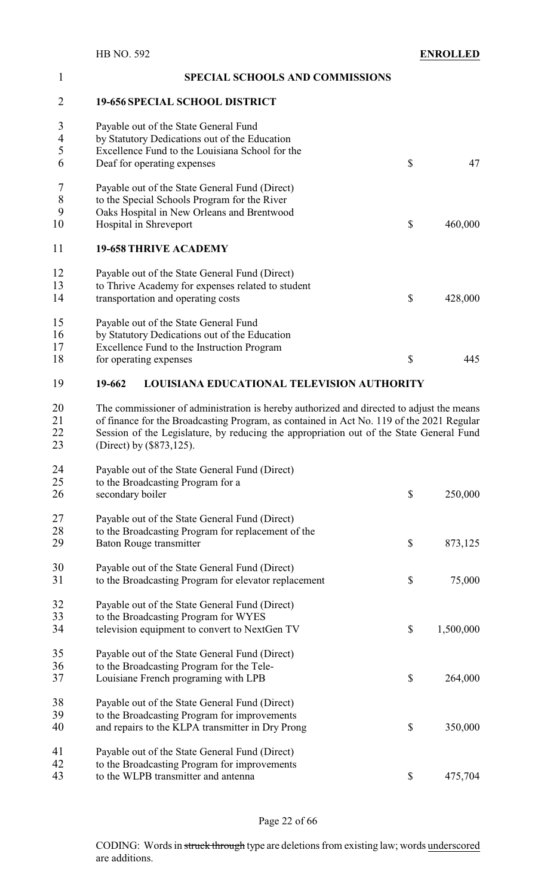| $\mathbf{1}$   | <b>SPECIAL SCHOOLS AND COMMISSIONS</b>                                                   |                           |           |  |
|----------------|------------------------------------------------------------------------------------------|---------------------------|-----------|--|
| $\overline{2}$ | <b>19-656 SPECIAL SCHOOL DISTRICT</b>                                                    |                           |           |  |
| 3              | Payable out of the State General Fund                                                    |                           |           |  |
| 4              | by Statutory Dedications out of the Education                                            |                           |           |  |
| 5              | Excellence Fund to the Louisiana School for the                                          |                           |           |  |
| 6              | Deaf for operating expenses                                                              | $\boldsymbol{\mathsf{S}}$ | 47        |  |
| 7              | Payable out of the State General Fund (Direct)                                           |                           |           |  |
| $\,8\,$        | to the Special Schools Program for the River                                             |                           |           |  |
| 9              | Oaks Hospital in New Orleans and Brentwood                                               |                           |           |  |
| 10             | Hospital in Shreveport                                                                   | $\boldsymbol{\mathsf{S}}$ | 460,000   |  |
| 11             | <b>19-658 THRIVE ACADEMY</b>                                                             |                           |           |  |
| 12             | Payable out of the State General Fund (Direct)                                           |                           |           |  |
| 13             | to Thrive Academy for expenses related to student                                        |                           |           |  |
| 14             | transportation and operating costs                                                       | \$                        | 428,000   |  |
|                |                                                                                          |                           |           |  |
| 15             | Payable out of the State General Fund                                                    |                           |           |  |
| 16             | by Statutory Dedications out of the Education                                            |                           |           |  |
| 17             | Excellence Fund to the Instruction Program                                               |                           |           |  |
| 18             | for operating expenses                                                                   | \$                        | 445       |  |
|                |                                                                                          |                           |           |  |
| 19             | 19-662<br><b>LOUISIANA EDUCATIONAL TELEVISION AUTHORITY</b>                              |                           |           |  |
| 20             | The commissioner of administration is hereby authorized and directed to adjust the means |                           |           |  |
| 21             | of finance for the Broadcasting Program, as contained in Act No. 119 of the 2021 Regular |                           |           |  |
| 22             | Session of the Legislature, by reducing the appropriation out of the State General Fund  |                           |           |  |
| 23             | (Direct) by (\$873,125).                                                                 |                           |           |  |
| 24             | Payable out of the State General Fund (Direct)                                           |                           |           |  |
| 25             | to the Broadcasting Program for a                                                        |                           |           |  |
| 26             | secondary boiler                                                                         | \$                        | 250,000   |  |
|                |                                                                                          |                           |           |  |
| 27             | Payable out of the State General Fund (Direct)                                           |                           |           |  |
| 28             | to the Broadcasting Program for replacement of the                                       |                           |           |  |
| 29             | Baton Rouge transmitter                                                                  | \$                        | 873,125   |  |
|                |                                                                                          |                           |           |  |
| 30             | Payable out of the State General Fund (Direct)                                           |                           |           |  |
| 31             | to the Broadcasting Program for elevator replacement                                     | \$                        | 75,000    |  |
| 32             | Payable out of the State General Fund (Direct)                                           |                           |           |  |
| 33             | to the Broadcasting Program for WYES                                                     |                           |           |  |
| 34             | television equipment to convert to NextGen TV                                            | \$                        | 1,500,000 |  |
| 35             | Payable out of the State General Fund (Direct)                                           |                           |           |  |
| 36             | to the Broadcasting Program for the Tele-                                                |                           |           |  |
| 37             | Louisiane French programing with LPB                                                     | \$                        | 264,000   |  |
| 38             |                                                                                          |                           |           |  |
| 39             | Payable out of the State General Fund (Direct)                                           |                           |           |  |
| 40             | to the Broadcasting Program for improvements                                             | \$                        | 350,000   |  |
|                | and repairs to the KLPA transmitter in Dry Prong                                         |                           |           |  |
| 41             | Payable out of the State General Fund (Direct)                                           |                           |           |  |
| $\Delta$       | to the Broadcasting Program for improvements                                             |                           |           |  |

#### 42 to the Broadcasting Program for improvements<br>43 to the WLPB transmitter and antenna to the WLPB transmitter and antenna  $\qquad$  \$ 475,704

## Page 22 of 66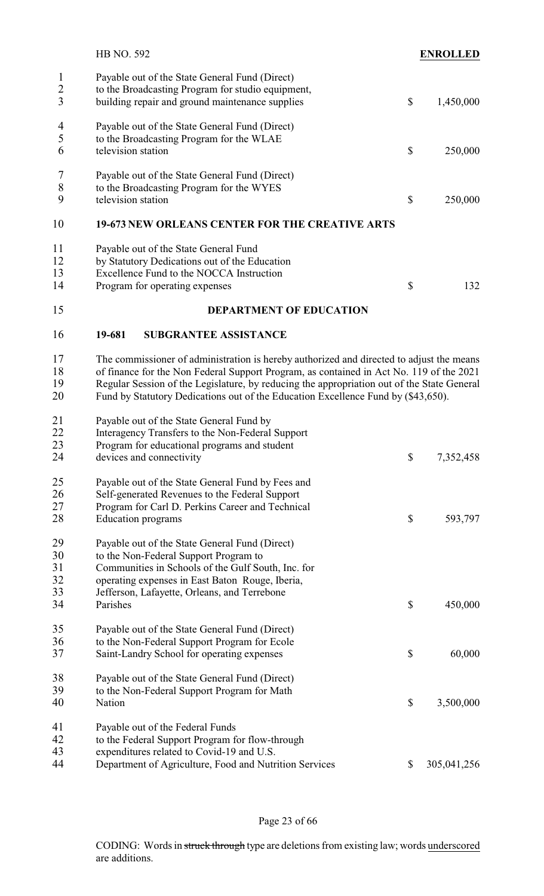|                                     | <b>HB NO. 592</b>                                                                                                                                                                                                                                                                                                                                                      |                           | <b>ENROLLED</b> |
|-------------------------------------|------------------------------------------------------------------------------------------------------------------------------------------------------------------------------------------------------------------------------------------------------------------------------------------------------------------------------------------------------------------------|---------------------------|-----------------|
| $\mathbf{1}$<br>$\overline{2}$<br>3 | Payable out of the State General Fund (Direct)<br>to the Broadcasting Program for studio equipment,<br>building repair and ground maintenance supplies                                                                                                                                                                                                                 | $\boldsymbol{\mathsf{S}}$ | 1,450,000       |
| 4<br>5<br>6                         | Payable out of the State General Fund (Direct)<br>to the Broadcasting Program for the WLAE<br>television station                                                                                                                                                                                                                                                       | $\boldsymbol{\mathsf{S}}$ | 250,000         |
| 7<br>$\,8\,$<br>9                   | Payable out of the State General Fund (Direct)<br>to the Broadcasting Program for the WYES<br>television station                                                                                                                                                                                                                                                       | \$                        | 250,000         |
| 10                                  | 19-673 NEW ORLEANS CENTER FOR THE CREATIVE ARTS                                                                                                                                                                                                                                                                                                                        |                           |                 |
| 11<br>12<br>13<br>14                | Payable out of the State General Fund<br>by Statutory Dedications out of the Education<br>Excellence Fund to the NOCCA Instruction<br>Program for operating expenses                                                                                                                                                                                                   | \$                        | 132             |
| 15                                  | <b>DEPARTMENT OF EDUCATION</b>                                                                                                                                                                                                                                                                                                                                         |                           |                 |
| 16                                  | 19-681<br><b>SUBGRANTEE ASSISTANCE</b>                                                                                                                                                                                                                                                                                                                                 |                           |                 |
| 17<br>18<br>19<br>20                | The commissioner of administration is hereby authorized and directed to adjust the means<br>of finance for the Non Federal Support Program, as contained in Act No. 119 of the 2021<br>Regular Session of the Legislature, by reducing the appropriation out of the State General<br>Fund by Statutory Dedications out of the Education Excellence Fund by (\$43,650). |                           |                 |
| 21<br>22<br>23<br>24                | Payable out of the State General Fund by<br>Interagency Transfers to the Non-Federal Support<br>Program for educational programs and student<br>devices and connectivity                                                                                                                                                                                               | \$                        | 7,352,458       |
| 25<br>26                            | Payable out of the State General Fund by Fees and<br>Self-generated Revenues to the Federal Support                                                                                                                                                                                                                                                                    |                           |                 |
| 27<br>28                            | Program for Carl D. Perkins Career and Technical<br><b>Education</b> programs                                                                                                                                                                                                                                                                                          | \$                        | 593,797         |
|                                     |                                                                                                                                                                                                                                                                                                                                                                        |                           |                 |

| 40 | Euucation programs                                     | ل                         | JJJ, IJ I   |
|----|--------------------------------------------------------|---------------------------|-------------|
| 29 | Payable out of the State General Fund (Direct)         |                           |             |
| 30 | to the Non-Federal Support Program to                  |                           |             |
| 31 | Communities in Schools of the Gulf South, Inc. for     |                           |             |
| 32 | operating expenses in East Baton Rouge, Iberia,        |                           |             |
| 33 | Jefferson, Lafayette, Orleans, and Terrebone           |                           |             |
| 34 | Parishes                                               | $\boldsymbol{\mathsf{S}}$ | 450,000     |
| 35 | Payable out of the State General Fund (Direct)         |                           |             |
| 36 | to the Non-Federal Support Program for Ecole           |                           |             |
| 37 | Saint-Landry School for operating expenses             | \$                        | 60,000      |
| 38 | Payable out of the State General Fund (Direct)         |                           |             |
| 39 | to the Non-Federal Support Program for Math            |                           |             |
| 40 | Nation                                                 | \$                        | 3,500,000   |
| 41 | Payable out of the Federal Funds                       |                           |             |
| 42 | to the Federal Support Program for flow-through        |                           |             |
| 43 | expenditures related to Covid-19 and U.S.              |                           |             |
| 44 | Department of Agriculture, Food and Nutrition Services | \$                        | 305,041,256 |

Page 23 of 66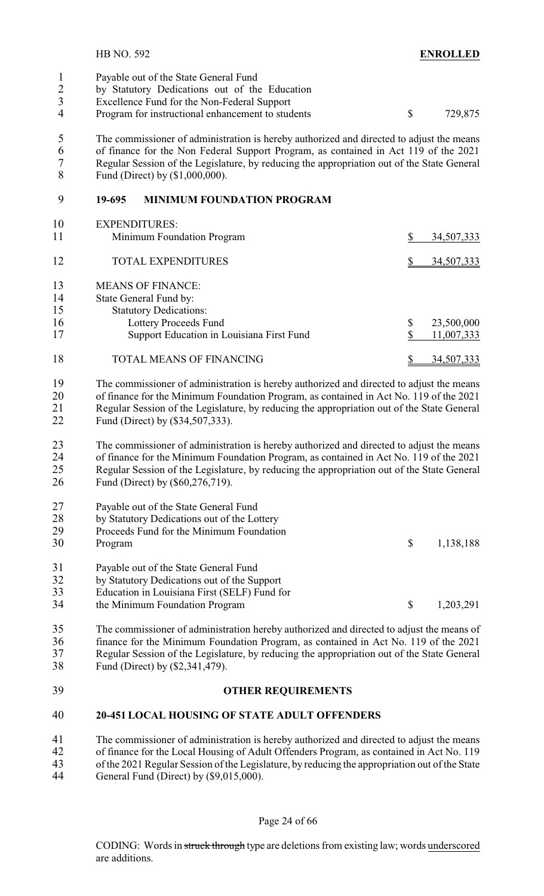Payable out of the State General Fund by Statutory Dedications out of the Education 3 Excellence Fund for the Non-Federal Support<br>4 Program for instructional enhancement to stud Program for instructional enhancement to students  $\qquad$  \$ 729,875

 The commissioner of administration is hereby authorized and directed to adjust the means of finance for the Non Federal Support Program, as contained in Act 119 of the 2021 7 Regular Session of the Legislature, by reducing the appropriation out of the State General<br>8 Fund (Direct) by (\$1,000,000). Fund (Direct) by (\$1,000,000).

#### **19-695 MINIMUM FOUNDATION PROGRAM**

| 10<br>11 | <b>EXPENDITURES:</b><br>Minimum Foundation Program | 34,507,333        |
|----------|----------------------------------------------------|-------------------|
| 12       | <b>TOTAL EXPENDITURES</b>                          | <u>34,507,333</u> |
| 13       | <b>MEANS OF FINANCE:</b>                           |                   |
| 14       | State General Fund by:                             |                   |
| 15       | <b>Statutory Dedications:</b>                      |                   |
| 16       | Lottery Proceeds Fund                              | \$<br>23,500,000  |
| 17       | Support Education in Louisiana First Fund          | 11,007,333        |
| 18       | TOTAL MEANS OF FINANCING                           | 34,507,333        |

 The commissioner of administration is hereby authorized and directed to adjust the means of finance for the Minimum Foundation Program, as contained in Act No. 119 of the 2021 Regular Session of the Legislature, by reducing the appropriation out of the State General Fund (Direct) by (\$34,507,333).

 The commissioner of administration is hereby authorized and directed to adjust the means of finance for the Minimum Foundation Program, as contained in Act No. 119 of the 2021 25 Regular Session of the Legislature, by reducing the appropriation out of the State General<br>26 Fund (Direct) by (\$60.276.719). Fund (Direct) by (\$60,276,719).

| 27 | Payable out of the State General Fund |  |  |
|----|---------------------------------------|--|--|
|    |                                       |  |  |

| 28  | by Statutory Dedications out of the Lottery  |              |           |
|-----|----------------------------------------------|--------------|-----------|
| 29  | Proceeds Fund for the Minimum Foundation     |              |           |
| 30  | Program                                      | <sup>S</sup> | 1,138,188 |
| 31  | Payable out of the State General Fund        |              |           |
| 32  | by Statutory Dedications out of the Support  |              |           |
| 33  | Education in Louisiana First (SELF) Fund for |              |           |
| - - |                                              |              |           |

34 the Minimum Foundation Program  $\qquad \qquad$  \$ 1,203,291

 The commissioner of administration hereby authorized and directed to adjust the means of finance for the Minimum Foundation Program, as contained in Act No. 119 of the 2021 Regular Session of the Legislature, by reducing the appropriation out of the State General Fund (Direct) by (\$2,341,479).

### **OTHER REQUIREMENTS**

#### **20-451 LOCAL HOUSING OF STATE ADULT OFFENDERS**

 The commissioner of administration is hereby authorized and directed to adjust the means of finance for the Local Housing of Adult Offenders Program, as contained in Act No. 119 of the 2021 Regular Session of the Legislature, by reducing the appropriation out of the State General Fund (Direct) by (\$9,015,000).

Page 24 of 66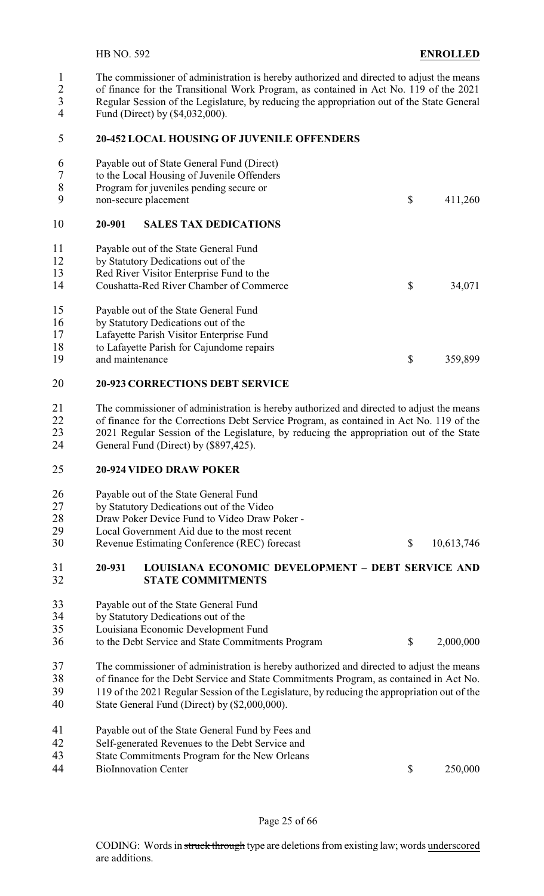The commissioner of administration is hereby authorized and directed to adjust the means of finance for the Transitional Work Program, as contained in Act No. 119 of the 2021

- 3 Regular Session of the Legislature, by reducing the appropriation out of the State General<br>4 Fund (Direct) by (\$4.032.000)
- Fund (Direct) by (\$4,032,000).

#### **20-452 LOCAL HOUSING OF JUVENILE OFFENDERS**

| 34,071  |
|---------|
|         |
|         |
|         |
|         |
| 359,899 |
|         |

#### **20-923 CORRECTIONS DEBT SERVICE**

 The commissioner of administration is hereby authorized and directed to adjust the means of finance for the Corrections Debt Service Program, as contained in Act No. 119 of the 2021 Regular Session of the Legislature, by reducing the appropriation out of the State General Fund (Direct) by (\$897,425).

#### **20-924 VIDEO DRAW POKER**

| 26 | Payable out of the State General Fund |
|----|---------------------------------------|
|----|---------------------------------------|

- by Statutory Dedications out of the Video
- 28 Draw Poker Device Fund to Video Draw Poker -<br>29 Local Government Aid due to the most recent
- 29 Local Government Aid due to the most recent<br>30 Revenue Estimating Conference (REC) forecas
- Revenue Estimating Conference (REC) forecast \$ 10,613,746

#### **20-931 LOUISIANA ECONOMIC DEVELOPMENT – DEBT SERVICE AND STATE COMMITMENTS**

- 33 Payable out of the State General Fund<br>34 by Statutory Dedications out of the
- 34 by Statutory Dedications out of the<br>35 Louisiana Economic Development
- Louisiana Economic Development Fund
- to the Debt Service and State Commitments Program \$ 2,000,000
- The commissioner of administration is hereby authorized and directed to adjust the means
- of finance for the Debt Service and State Commitments Program, as contained in Act No.
- 119 of the 2021 Regular Session of the Legislature, by reducing the appropriation out of the
- State General Fund (Direct) by (\$2,000,000).
- Payable out of the State General Fund by Fees and
- Self-generated Revenues to the Debt Service and
- State Commitments Program for the New Orleans
- 44 BioInnovation Center \$ 250,000

Page 25 of 66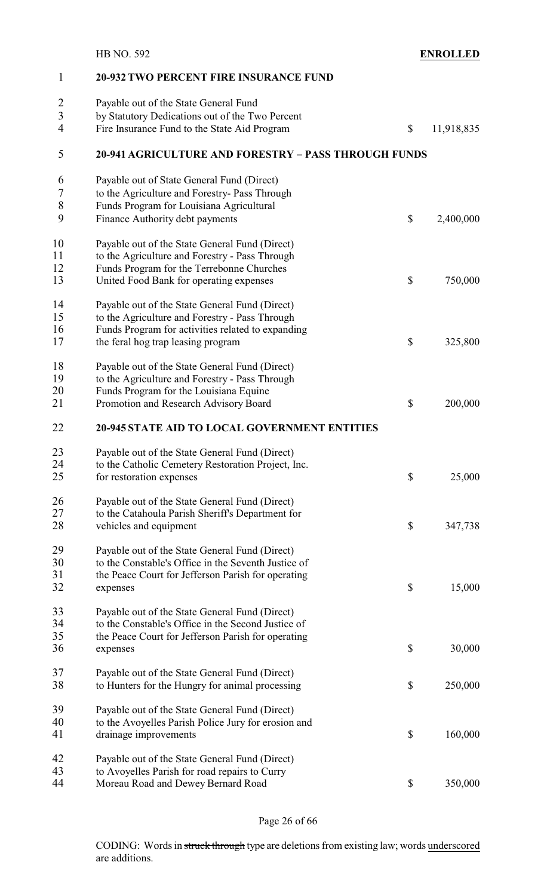|                | <b>HB NO. 592</b>                                           | <b>ENROLLED</b>  |
|----------------|-------------------------------------------------------------|------------------|
| 1              | <b>20-932 TWO PERCENT FIRE INSURANCE FUND</b>               |                  |
|                | Payable out of the State General Fund                       |                  |
| $\frac{2}{3}$  | by Statutory Dedications out of the Two Percent             |                  |
| $\overline{4}$ | Fire Insurance Fund to the State Aid Program                | \$<br>11,918,835 |
| 5              | <b>20-941 AGRICULTURE AND FORESTRY - PASS THROUGH FUNDS</b> |                  |
| 6              | Payable out of State General Fund (Direct)                  |                  |
| 7              | to the Agriculture and Forestry- Pass Through               |                  |
| 8              | Funds Program for Louisiana Agricultural                    |                  |
| 9              | Finance Authority debt payments                             | \$<br>2,400,000  |
| 10             | Payable out of the State General Fund (Direct)              |                  |
| 11             | to the Agriculture and Forestry - Pass Through              |                  |
| 12             | Funds Program for the Terrebonne Churches                   |                  |
| 13             | United Food Bank for operating expenses                     | \$<br>750,000    |
| 14             | Payable out of the State General Fund (Direct)              |                  |
| 15             | to the Agriculture and Forestry - Pass Through              |                  |
| 16             | Funds Program for activities related to expanding           |                  |
| 17             | the feral hog trap leasing program                          | \$<br>325,800    |
| 18             | Payable out of the State General Fund (Direct)              |                  |
| 19             | to the Agriculture and Forestry - Pass Through              |                  |
| 20             | Funds Program for the Louisiana Equine                      |                  |
| 21             | Promotion and Research Advisory Board                       | \$<br>200,000    |
| 22             | <b>20-945 STATE AID TO LOCAL GOVERNMENT ENTITIES</b>        |                  |
| 23             | Payable out of the State General Fund (Direct)              |                  |
| 24             | to the Catholic Cemetery Restoration Project, Inc.          |                  |
| 25             | for restoration expenses                                    | \$<br>25,000     |
| 26             | Payable out of the State General Fund (Direct)              |                  |
| 27             | to the Catahoula Parish Sheriff's Department for            |                  |
| 28             | vehicles and equipment                                      | \$<br>347,738    |
| 29             | Payable out of the State General Fund (Direct)              |                  |
| 30             | to the Constable's Office in the Seventh Justice of         |                  |
| 31             | the Peace Court for Jefferson Parish for operating          |                  |
| 32             | expenses                                                    | \$<br>15,000     |
| 33             | Payable out of the State General Fund (Direct)              |                  |
| 34             | to the Constable's Office in the Second Justice of          |                  |
| 35             | the Peace Court for Jefferson Parish for operating          |                  |
| 36             | expenses                                                    | \$<br>30,000     |
| 37             | Payable out of the State General Fund (Direct)              |                  |
| 38             | to Hunters for the Hungry for animal processing             | \$<br>250,000    |
| 39             | Payable out of the State General Fund (Direct)              |                  |
| 40             | to the Avoyelles Parish Police Jury for erosion and         |                  |
| 41             | drainage improvements                                       | \$<br>160,000    |
| 42             | Payable out of the State General Fund (Direct)              |                  |
| 43             | to Avoyelles Parish for road repairs to Curry               |                  |
| 44             | Moreau Road and Dewey Bernard Road                          | \$<br>350,000    |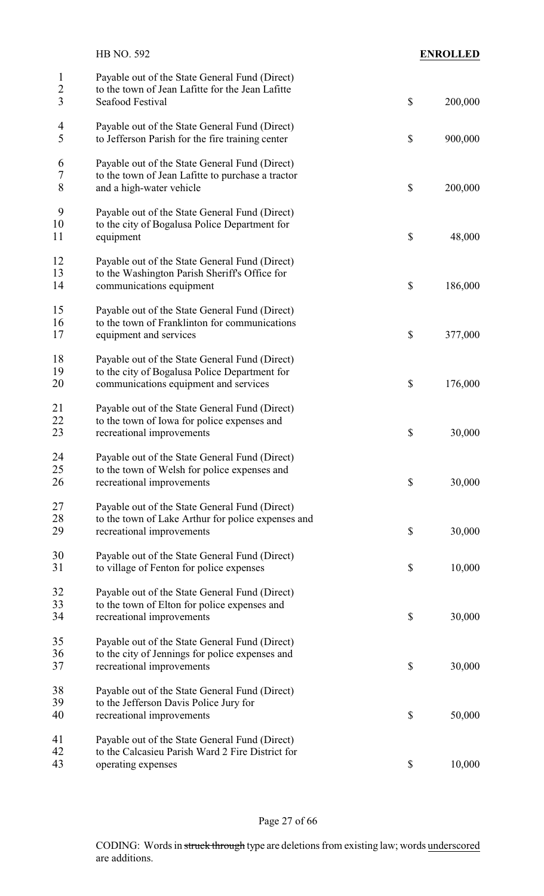|                                     | <b>HB NO. 592</b>                                                                                                                        | <b>ENROLLED</b> |
|-------------------------------------|------------------------------------------------------------------------------------------------------------------------------------------|-----------------|
| $\mathbf{1}$<br>$\overline{2}$<br>3 | Payable out of the State General Fund (Direct)<br>to the town of Jean Lafitte for the Jean Lafitte<br>Seafood Festival                   | \$<br>200,000   |
| $\overline{\mathcal{A}}$<br>5       | Payable out of the State General Fund (Direct)<br>to Jefferson Parish for the fire training center                                       | \$<br>900,000   |
| 6<br>$\overline{7}$<br>8            | Payable out of the State General Fund (Direct)<br>to the town of Jean Lafitte to purchase a tractor<br>and a high-water vehicle          | \$<br>200,000   |
| 9<br>10<br>11                       | Payable out of the State General Fund (Direct)<br>to the city of Bogalusa Police Department for<br>equipment                             | \$<br>48,000    |
| 12<br>13<br>14                      | Payable out of the State General Fund (Direct)<br>to the Washington Parish Sheriff's Office for<br>communications equipment              | \$<br>186,000   |
| 15<br>16<br>17                      | Payable out of the State General Fund (Direct)<br>to the town of Franklinton for communications<br>equipment and services                | \$<br>377,000   |
| 18<br>19<br>20                      | Payable out of the State General Fund (Direct)<br>to the city of Bogalusa Police Department for<br>communications equipment and services | \$<br>176,000   |
| 21<br>22<br>23                      | Payable out of the State General Fund (Direct)<br>to the town of Iowa for police expenses and<br>recreational improvements               | \$<br>30,000    |
| 24<br>25<br>26                      | Payable out of the State General Fund (Direct)<br>to the town of Welsh for police expenses and<br>recreational improvements              | \$<br>30,000    |
| 27<br>28<br>29                      | Payable out of the State General Fund (Direct)<br>to the town of Lake Arthur for police expenses and<br>recreational improvements        | \$<br>30,000    |
| 30<br>31                            | Payable out of the State General Fund (Direct)<br>to village of Fenton for police expenses                                               | \$<br>10,000    |
| 32<br>33<br>34                      | Payable out of the State General Fund (Direct)<br>to the town of Elton for police expenses and<br>recreational improvements              | \$<br>30,000    |
| 35<br>36<br>37                      | Payable out of the State General Fund (Direct)<br>to the city of Jennings for police expenses and<br>recreational improvements           | \$<br>30,000    |
| 38<br>39<br>40                      | Payable out of the State General Fund (Direct)<br>to the Jefferson Davis Police Jury for<br>recreational improvements                    | \$<br>50,000    |
| 41<br>42<br>43                      | Payable out of the State General Fund (Direct)<br>to the Calcasieu Parish Ward 2 Fire District for<br>operating expenses                 | \$<br>10,000    |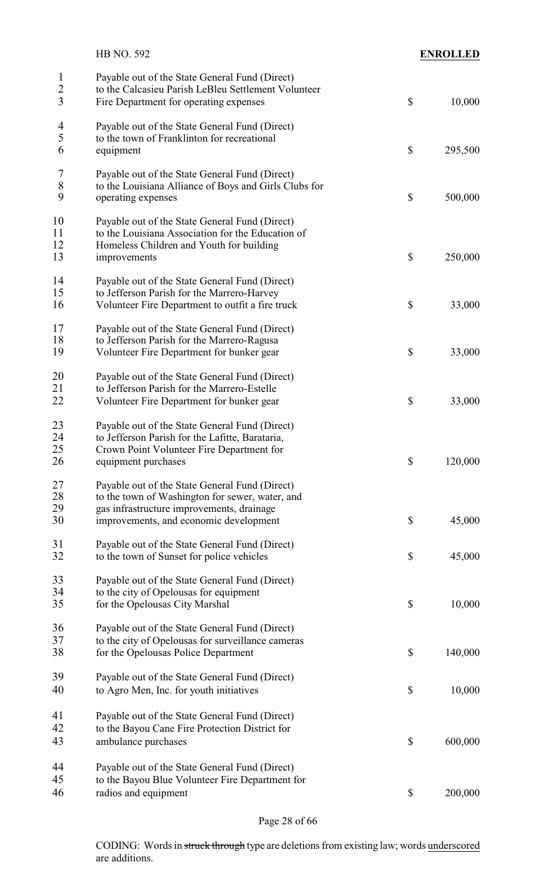|                                                  | HB NO. 592                                                                                                                                                                               |                           | <b>ENROLLED</b> |
|--------------------------------------------------|------------------------------------------------------------------------------------------------------------------------------------------------------------------------------------------|---------------------------|-----------------|
| $\mathbf{1}$<br>$\overline{2}$<br>$\overline{3}$ | Payable out of the State General Fund (Direct)<br>to the Calcasieu Parish LeBleu Settlement Volunteer<br>Fire Department for operating expenses                                          | $\boldsymbol{\mathsf{S}}$ | 10,000          |
| $\overline{4}$<br>5<br>6                         | Payable out of the State General Fund (Direct)<br>to the town of Franklinton for recreational<br>equipment                                                                               | $\boldsymbol{\mathsf{S}}$ | 295,500         |
|                                                  |                                                                                                                                                                                          |                           |                 |
| $\overline{7}$<br>8<br>9                         | Payable out of the State General Fund (Direct)<br>to the Louisiana Alliance of Boys and Girls Clubs for<br>operating expenses                                                            | $\boldsymbol{\mathsf{S}}$ | 500,000         |
| 10<br>11<br>12<br>13                             | Payable out of the State General Fund (Direct)<br>to the Louisiana Association for the Education of<br>Homeless Children and Youth for building<br>improvements                          | $\boldsymbol{\mathsf{S}}$ | 250,000         |
| 14<br>15<br>16                                   | Payable out of the State General Fund (Direct)<br>to Jefferson Parish for the Marrero-Harvey<br>Volunteer Fire Department to outfit a fire truck                                         | \$                        | 33,000          |
| 17<br>18<br>19                                   | Payable out of the State General Fund (Direct)<br>to Jefferson Parish for the Marrero-Ragusa<br>Volunteer Fire Department for bunker gear                                                | $\boldsymbol{\mathsf{S}}$ | 33,000          |
| 20<br>21<br>22                                   | Payable out of the State General Fund (Direct)<br>to Jefferson Parish for the Marrero-Estelle<br>Volunteer Fire Department for bunker gear                                               | \$                        | 33,000          |
| 23<br>24<br>25<br>26                             | Payable out of the State General Fund (Direct)<br>to Jefferson Parish for the Lafitte, Barataria,<br>Crown Point Volunteer Fire Department for<br>equipment purchases                    | \$                        | 120,000         |
| 27<br>28<br>29<br>30                             | Payable out of the State General Fund (Direct)<br>to the town of Washington for sewer, water, and<br>gas infrastructure improvements, drainage<br>improvements, and economic development | \$                        | 45,000          |
| 31<br>32                                         | Payable out of the State General Fund (Direct)<br>to the town of Sunset for police vehicles                                                                                              | \$                        | 45,000          |
| 33<br>34<br>35                                   | Payable out of the State General Fund (Direct)<br>to the city of Opelousas for equipment<br>for the Opelousas City Marshal                                                               | $\boldsymbol{\mathsf{S}}$ | 10,000          |
| 36<br>37<br>38                                   | Payable out of the State General Fund (Direct)<br>to the city of Opelousas for surveillance cameras<br>for the Opelousas Police Department                                               | \$                        | 140,000         |
| 39<br>40                                         | Payable out of the State General Fund (Direct)<br>to Agro Men, Inc. for youth initiatives                                                                                                | $\boldsymbol{\mathsf{S}}$ | 10,000          |
| 41<br>42<br>43                                   | Payable out of the State General Fund (Direct)<br>to the Bayou Cane Fire Protection District for<br>ambulance purchases                                                                  | $\boldsymbol{\mathsf{S}}$ | 600,000         |
| 44<br>45<br>46                                   | Payable out of the State General Fund (Direct)<br>to the Bayou Blue Volunteer Fire Department for<br>radios and equipment                                                                | $\boldsymbol{\mathsf{S}}$ | 200,000         |

Page 28 of 66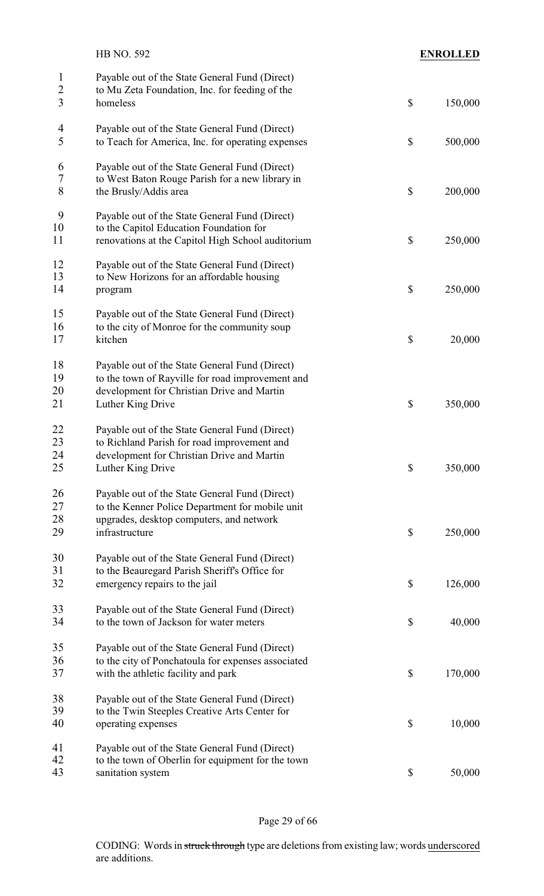|                                                  | HB NO. 592                                                                                                   | <b>ENROLLED</b> |
|--------------------------------------------------|--------------------------------------------------------------------------------------------------------------|-----------------|
| $\mathbf{1}$<br>$\overline{c}$<br>$\overline{3}$ | Payable out of the State General Fund (Direct)<br>to Mu Zeta Foundation, Inc. for feeding of the<br>homeless | \$<br>150,000   |
|                                                  |                                                                                                              |                 |
| 4<br>5                                           | Payable out of the State General Fund (Direct)<br>to Teach for America, Inc. for operating expenses          | \$<br>500,000   |
| 6                                                | Payable out of the State General Fund (Direct)                                                               |                 |
| $\sqrt{ }$<br>8                                  | to West Baton Rouge Parish for a new library in<br>the Brusly/Addis area                                     | \$<br>200,000   |
| 9                                                | Payable out of the State General Fund (Direct)                                                               |                 |
| 10                                               | to the Capitol Education Foundation for                                                                      |                 |
| 11                                               | renovations at the Capitol High School auditorium                                                            | \$<br>250,000   |
| 12                                               | Payable out of the State General Fund (Direct)                                                               |                 |
| 13                                               | to New Horizons for an affordable housing                                                                    |                 |
| 14                                               | program                                                                                                      | \$<br>250,000   |
| 15                                               | Payable out of the State General Fund (Direct)                                                               |                 |
| 16                                               | to the city of Monroe for the community soup                                                                 |                 |
| 17                                               | kitchen                                                                                                      | \$<br>20,000    |
| 18                                               | Payable out of the State General Fund (Direct)                                                               |                 |
| 19                                               | to the town of Rayville for road improvement and                                                             |                 |
| 20                                               | development for Christian Drive and Martin                                                                   |                 |
| 21                                               | Luther King Drive                                                                                            | \$<br>350,000   |
| 22                                               | Payable out of the State General Fund (Direct)                                                               |                 |
| 23                                               | to Richland Parish for road improvement and                                                                  |                 |
| 24                                               | development for Christian Drive and Martin                                                                   |                 |
| 25                                               | Luther King Drive                                                                                            | \$<br>350,000   |
| 26                                               | Payable out of the State General Fund (Direct)                                                               |                 |
| 27                                               | to the Kenner Police Department for mobile unit                                                              |                 |
| 28                                               | upgrades, desktop computers, and network                                                                     |                 |
| 29                                               | infrastructure                                                                                               | \$<br>250,000   |
| 30                                               | Payable out of the State General Fund (Direct)                                                               |                 |
| 31                                               | to the Beauregard Parish Sheriff's Office for                                                                |                 |
| 32                                               | emergency repairs to the jail                                                                                | \$<br>126,000   |
| 33                                               | Payable out of the State General Fund (Direct)                                                               |                 |
| 34                                               | to the town of Jackson for water meters                                                                      | \$<br>40,000    |
| 35                                               | Payable out of the State General Fund (Direct)                                                               |                 |
| 36                                               | to the city of Ponchatoula for expenses associated                                                           |                 |
| 37                                               | with the athletic facility and park                                                                          | \$<br>170,000   |
| 38                                               | Payable out of the State General Fund (Direct)                                                               |                 |
| 39                                               | to the Twin Steeples Creative Arts Center for                                                                |                 |
| 40                                               | operating expenses                                                                                           | \$<br>10,000    |
| 41                                               | Payable out of the State General Fund (Direct)                                                               |                 |
| 42                                               | to the town of Oberlin for equipment for the town                                                            |                 |
| 43                                               | sanitation system                                                                                            | \$<br>50,000    |
|                                                  |                                                                                                              |                 |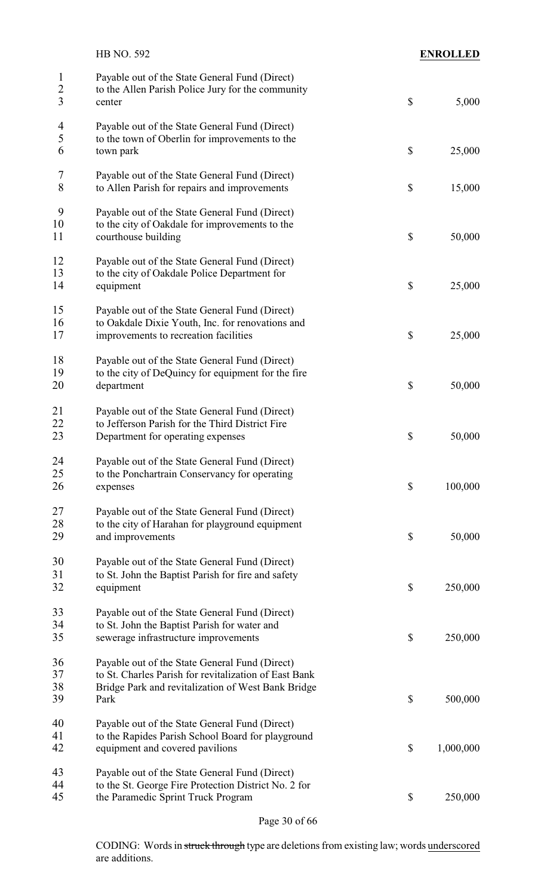| <b>ENROLLED</b> |                           | HB NO. 592                                                                                                    |                                     |
|-----------------|---------------------------|---------------------------------------------------------------------------------------------------------------|-------------------------------------|
| 5,000           | $\boldsymbol{\mathsf{S}}$ | Payable out of the State General Fund (Direct)<br>to the Allen Parish Police Jury for the community<br>center | $\mathbf{1}$<br>$\overline{c}$<br>3 |
|                 |                           |                                                                                                               |                                     |
|                 |                           | Payable out of the State General Fund (Direct)                                                                | $\overline{\mathcal{A}}$            |
|                 |                           | to the town of Oberlin for improvements to the                                                                | 5                                   |
| 25,000          | $\boldsymbol{\mathsf{S}}$ | town park                                                                                                     | 6                                   |
|                 |                           | Payable out of the State General Fund (Direct)                                                                | 7                                   |
| 15,000          | \$                        | to Allen Parish for repairs and improvements                                                                  | 8                                   |
|                 |                           | Payable out of the State General Fund (Direct)                                                                | 9                                   |
|                 |                           | to the city of Oakdale for improvements to the                                                                | 10                                  |
| 50,000          | \$                        | courthouse building                                                                                           | 11                                  |
|                 |                           | Payable out of the State General Fund (Direct)                                                                | 12                                  |
|                 |                           | to the city of Oakdale Police Department for                                                                  | 13                                  |
| 25,000          | \$                        | equipment                                                                                                     | 14                                  |
|                 |                           | Payable out of the State General Fund (Direct)                                                                | 15                                  |
|                 |                           | to Oakdale Dixie Youth, Inc. for renovations and                                                              | 16                                  |
| 25,000          | \$                        | improvements to recreation facilities                                                                         | 17                                  |
|                 |                           | Payable out of the State General Fund (Direct)                                                                | 18                                  |
|                 |                           | to the city of DeQuincy for equipment for the fire                                                            | 19                                  |
| 50,000          | \$                        | department                                                                                                    | 20                                  |
|                 |                           | Payable out of the State General Fund (Direct)                                                                | 21                                  |
|                 |                           | to Jefferson Parish for the Third District Fire                                                               | 22                                  |
| 50,000          | \$                        | Department for operating expenses                                                                             | 23                                  |
|                 |                           | Payable out of the State General Fund (Direct)                                                                | 24                                  |
|                 |                           | to the Ponchartrain Conservancy for operating                                                                 | 25                                  |
| 100,000         | $\boldsymbol{\mathsf{S}}$ | expenses                                                                                                      | 26                                  |
|                 |                           | Payable out of the State General Fund (Direct)                                                                | 27                                  |
|                 |                           | to the city of Harahan for playground equipment                                                               | 28                                  |
| 50,000          | \$                        | and improvements                                                                                              | 29                                  |
|                 |                           | Payable out of the State General Fund (Direct)                                                                | 30                                  |
|                 |                           | to St. John the Baptist Parish for fire and safety                                                            | 31                                  |
| 250,000         | $\boldsymbol{\mathsf{S}}$ | equipment                                                                                                     | 32                                  |
|                 |                           | Payable out of the State General Fund (Direct)                                                                | 33                                  |
|                 |                           | to St. John the Baptist Parish for water and                                                                  | 34                                  |
| 250,000         | \$                        | sewerage infrastructure improvements                                                                          | 35                                  |
|                 |                           | Payable out of the State General Fund (Direct)                                                                | 36                                  |
|                 |                           | to St. Charles Parish for revitalization of East Bank                                                         | 37                                  |
|                 |                           | Bridge Park and revitalization of West Bank Bridge                                                            | 38                                  |
| 500,000         | $\boldsymbol{\mathsf{S}}$ | Park                                                                                                          | 39                                  |
|                 |                           | Payable out of the State General Fund (Direct)                                                                | 40                                  |
|                 |                           | to the Rapides Parish School Board for playground                                                             | 41                                  |
| 1,000,000       | \$                        | equipment and covered pavilions                                                                               | 42                                  |
|                 |                           | Payable out of the State General Fund (Direct)                                                                | 43                                  |
|                 |                           | to the St. George Fire Protection District No. 2 for                                                          | 44                                  |
| 250,000         | \$                        | the Paramedic Sprint Truck Program                                                                            | 45                                  |
|                 |                           |                                                                                                               |                                     |

Page 30 of 66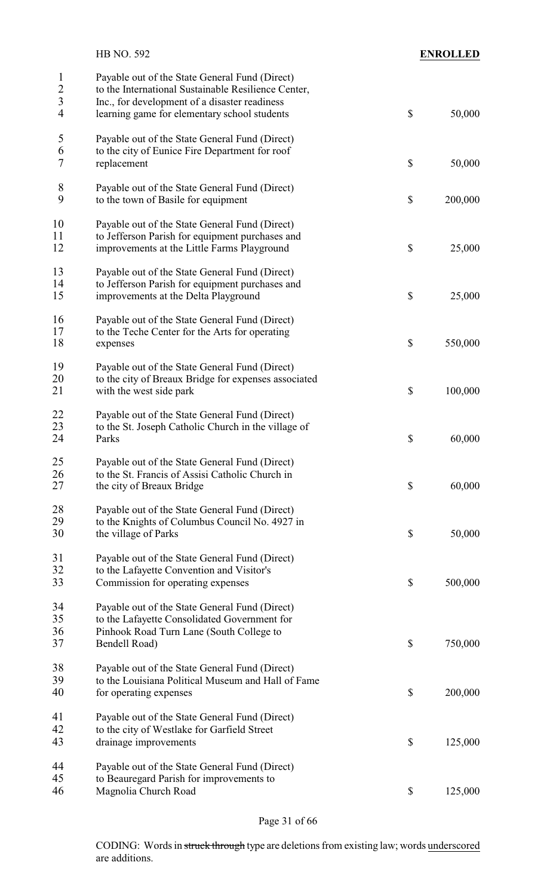|                                                     | HB NO. 592                                                                                                                                                                                             |                           | <b>ENROLLED</b> |
|-----------------------------------------------------|--------------------------------------------------------------------------------------------------------------------------------------------------------------------------------------------------------|---------------------------|-----------------|
| 1<br>$\overline{2}$<br>$\overline{\mathbf{3}}$<br>4 | Payable out of the State General Fund (Direct)<br>to the International Sustainable Resilience Center,<br>Inc., for development of a disaster readiness<br>learning game for elementary school students | $\boldsymbol{\mathsf{S}}$ | 50,000          |
| 5<br>6<br>7                                         | Payable out of the State General Fund (Direct)<br>to the city of Eunice Fire Department for roof<br>replacement                                                                                        | $\boldsymbol{\mathsf{S}}$ | 50,000          |
| 8<br>9                                              | Payable out of the State General Fund (Direct)<br>to the town of Basile for equipment                                                                                                                  | $\boldsymbol{\mathsf{S}}$ | 200,000         |
| 10<br>11<br>12                                      | Payable out of the State General Fund (Direct)<br>to Jefferson Parish for equipment purchases and<br>improvements at the Little Farms Playground                                                       | $\boldsymbol{\mathsf{S}}$ | 25,000          |
| 13<br>14<br>15                                      | Payable out of the State General Fund (Direct)<br>to Jefferson Parish for equipment purchases and<br>improvements at the Delta Playground                                                              | \$                        | 25,000          |
| 16<br>17<br>18                                      | Payable out of the State General Fund (Direct)<br>to the Teche Center for the Arts for operating<br>expenses                                                                                           | $\boldsymbol{\mathsf{S}}$ | 550,000         |
| 19<br>20<br>21                                      | Payable out of the State General Fund (Direct)<br>to the city of Breaux Bridge for expenses associated<br>with the west side park                                                                      | \$                        | 100,000         |
| 22<br>23<br>24                                      | Payable out of the State General Fund (Direct)<br>to the St. Joseph Catholic Church in the village of<br>Parks                                                                                         | \$                        | 60,000          |
| 25<br>26<br>27                                      | Payable out of the State General Fund (Direct)<br>to the St. Francis of Assisi Catholic Church in<br>the city of Breaux Bridge                                                                         | $\boldsymbol{\mathsf{S}}$ | 60,000          |
| 28<br>29<br>30                                      | Payable out of the State General Fund (Direct)<br>to the Knights of Columbus Council No. 4927 in<br>the village of Parks                                                                               | $\boldsymbol{\mathsf{S}}$ | 50,000          |
| 31<br>32<br>33                                      | Payable out of the State General Fund (Direct)<br>to the Lafayette Convention and Visitor's<br>Commission for operating expenses                                                                       | $\boldsymbol{\mathsf{S}}$ | 500,000         |
| 34<br>35<br>36<br>37                                | Payable out of the State General Fund (Direct)<br>to the Lafayette Consolidated Government for<br>Pinhook Road Turn Lane (South College to<br>Bendell Road)                                            | $\mathcal{S}$             | 750,000         |
| 38<br>39<br>40                                      | Payable out of the State General Fund (Direct)<br>to the Louisiana Political Museum and Hall of Fame<br>for operating expenses                                                                         | \$                        | 200,000         |
| 41<br>42<br>43                                      | Payable out of the State General Fund (Direct)<br>to the city of Westlake for Garfield Street<br>drainage improvements                                                                                 | $\boldsymbol{\mathsf{S}}$ | 125,000         |
| 44<br>45<br>46                                      | Payable out of the State General Fund (Direct)<br>to Beauregard Parish for improvements to<br>Magnolia Church Road                                                                                     | \$                        | 125,000         |

Page 31 of 66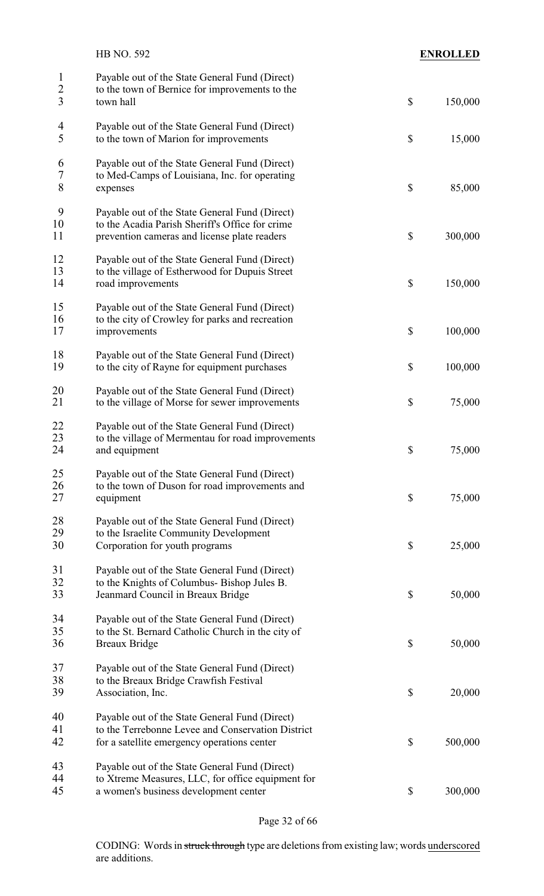|                                | <b>HB NO. 592</b>                                                                                                                                  |                           | <b>ENROLLED</b> |
|--------------------------------|----------------------------------------------------------------------------------------------------------------------------------------------------|---------------------------|-----------------|
| $\mathbf{1}$<br>$\overline{c}$ | Payable out of the State General Fund (Direct)<br>to the town of Bernice for improvements to the                                                   |                           |                 |
| $\overline{3}$                 | town hall                                                                                                                                          | $\boldsymbol{\mathsf{S}}$ | 150,000         |
| 4<br>5                         | Payable out of the State General Fund (Direct)<br>to the town of Marion for improvements                                                           | $\boldsymbol{\mathsf{S}}$ | 15,000          |
| 6<br>$\tau$<br>8               | Payable out of the State General Fund (Direct)<br>to Med-Camps of Louisiana, Inc. for operating<br>expenses                                        | \$                        | 85,000          |
| 9<br>10<br>11                  | Payable out of the State General Fund (Direct)<br>to the Acadia Parish Sheriff's Office for crime<br>prevention cameras and license plate readers  | $\boldsymbol{\mathsf{S}}$ | 300,000         |
| 12<br>13<br>14                 | Payable out of the State General Fund (Direct)<br>to the village of Estherwood for Dupuis Street<br>road improvements                              | \$                        | 150,000         |
| 15<br>16<br>17                 | Payable out of the State General Fund (Direct)<br>to the city of Crowley for parks and recreation<br>improvements                                  | \$                        | 100,000         |
| 18<br>19                       | Payable out of the State General Fund (Direct)<br>to the city of Rayne for equipment purchases                                                     | \$                        | 100,000         |
| 20<br>21                       | Payable out of the State General Fund (Direct)<br>to the village of Morse for sewer improvements                                                   | \$                        | 75,000          |
| 22<br>23<br>24                 | Payable out of the State General Fund (Direct)<br>to the village of Mermentau for road improvements<br>and equipment                               | \$                        | 75,000          |
| 25<br>26<br>27                 | Payable out of the State General Fund (Direct)<br>to the town of Duson for road improvements and<br>equipment                                      | $\boldsymbol{\mathsf{S}}$ | 75,000          |
| 28<br>29<br>30                 | Payable out of the State General Fund (Direct)<br>to the Israelite Community Development<br>Corporation for youth programs                         | \$                        | 25,000          |
| 31<br>32<br>33                 | Payable out of the State General Fund (Direct)<br>to the Knights of Columbus-Bishop Jules B.<br>Jeanmard Council in Breaux Bridge                  | \$                        | 50,000          |
| 34<br>35<br>36                 | Payable out of the State General Fund (Direct)<br>to the St. Bernard Catholic Church in the city of<br><b>Breaux Bridge</b>                        | $\boldsymbol{\mathsf{S}}$ | 50,000          |
| 37<br>38<br>39                 | Payable out of the State General Fund (Direct)<br>to the Breaux Bridge Crawfish Festival<br>Association, Inc.                                      | \$                        | 20,000          |
| 40<br>41<br>42                 | Payable out of the State General Fund (Direct)<br>to the Terrebonne Levee and Conservation District<br>for a satellite emergency operations center | $\boldsymbol{\mathsf{S}}$ | 500,000         |
| 43<br>44<br>45                 | Payable out of the State General Fund (Direct)<br>to Xtreme Measures, LLC, for office equipment for<br>a women's business development center       | \$                        | 300,000         |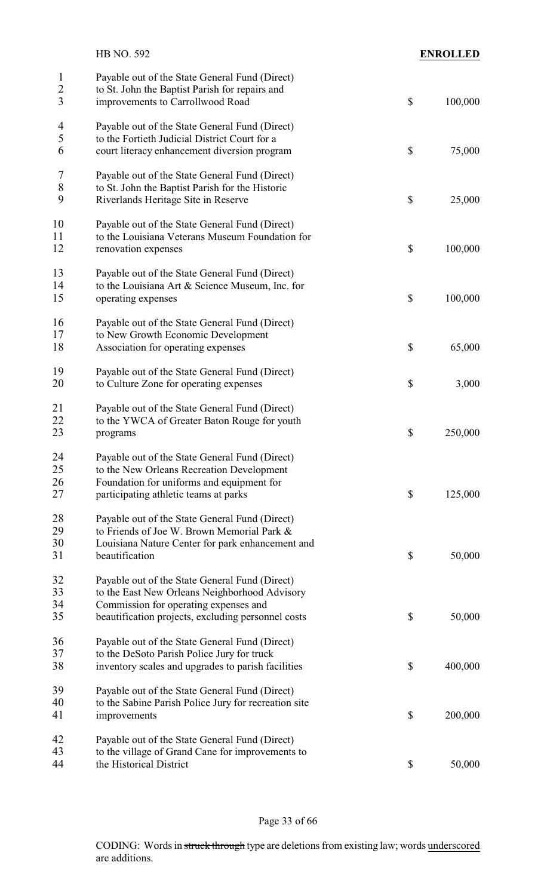|                                     | HB NO. 592                                                                                                                                                                                     | <b>ENROLLED</b> |
|-------------------------------------|------------------------------------------------------------------------------------------------------------------------------------------------------------------------------------------------|-----------------|
| $\mathbf{1}$<br>$\overline{2}$<br>3 | Payable out of the State General Fund (Direct)<br>to St. John the Baptist Parish for repairs and<br>improvements to Carrollwood Road                                                           | \$<br>100,000   |
| $\overline{\mathcal{A}}$<br>5<br>6  | Payable out of the State General Fund (Direct)<br>to the Fortieth Judicial District Court for a<br>court literacy enhancement diversion program                                                | \$<br>75,000    |
| 7<br>$8\,$<br>9                     | Payable out of the State General Fund (Direct)<br>to St. John the Baptist Parish for the Historic<br>Riverlands Heritage Site in Reserve                                                       | \$<br>25,000    |
| 10<br>11<br>12                      | Payable out of the State General Fund (Direct)<br>to the Louisiana Veterans Museum Foundation for<br>renovation expenses                                                                       | \$<br>100,000   |
| 13<br>14<br>15                      | Payable out of the State General Fund (Direct)<br>to the Louisiana Art & Science Museum, Inc. for<br>operating expenses                                                                        | \$<br>100,000   |
| 16<br>17<br>18                      | Payable out of the State General Fund (Direct)<br>to New Growth Economic Development<br>Association for operating expenses                                                                     | \$<br>65,000    |
| 19<br>20                            | Payable out of the State General Fund (Direct)<br>to Culture Zone for operating expenses                                                                                                       | \$<br>3,000     |
| 21<br>22<br>23                      | Payable out of the State General Fund (Direct)<br>to the YWCA of Greater Baton Rouge for youth<br>programs                                                                                     | \$<br>250,000   |
| 24<br>25<br>26<br>27                | Payable out of the State General Fund (Direct)<br>to the New Orleans Recreation Development<br>Foundation for uniforms and equipment for<br>participating athletic teams at parks              | \$<br>125,000   |
| 28<br>29<br>30                      | Payable out of the State General Fund (Direct)<br>to Friends of Joe W. Brown Memorial Park &<br>Louisiana Nature Center for park enhancement and                                               |                 |
| 31                                  | beautification                                                                                                                                                                                 | \$<br>50,000    |
| 32<br>33<br>34<br>35                | Payable out of the State General Fund (Direct)<br>to the East New Orleans Neighborhood Advisory<br>Commission for operating expenses and<br>beautification projects, excluding personnel costs | \$<br>50,000    |
| 36<br>37<br>38                      | Payable out of the State General Fund (Direct)<br>to the DeSoto Parish Police Jury for truck<br>inventory scales and upgrades to parish facilities                                             | \$<br>400,000   |
| 39<br>40<br>41                      | Payable out of the State General Fund (Direct)<br>to the Sabine Parish Police Jury for recreation site<br>improvements                                                                         | \$<br>200,000   |
| 42<br>43<br>44                      | Payable out of the State General Fund (Direct)<br>to the village of Grand Cane for improvements to<br>the Historical District                                                                  | \$<br>50,000    |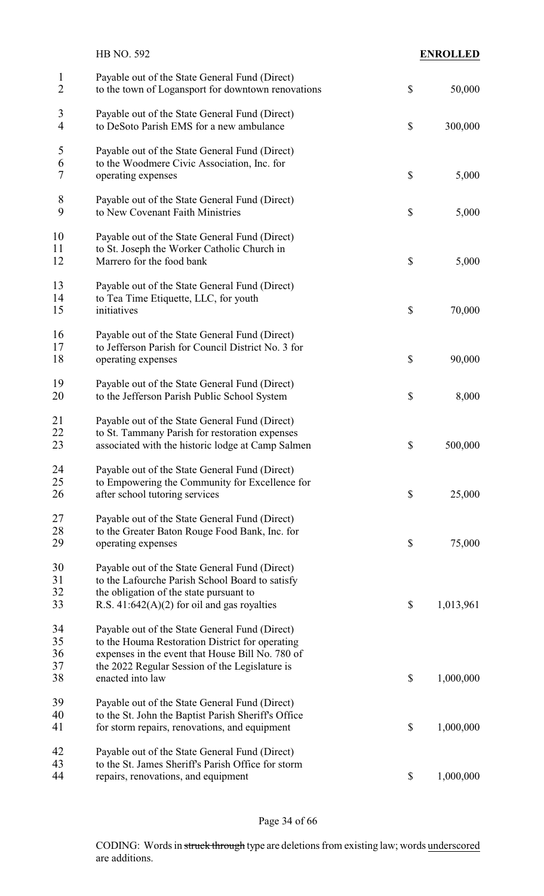|                                | HB NO. 592                                                                                                                                                                                                                  | <b>ENROLLED</b> |
|--------------------------------|-----------------------------------------------------------------------------------------------------------------------------------------------------------------------------------------------------------------------------|-----------------|
| $\mathbf{1}$<br>$\overline{2}$ | Payable out of the State General Fund (Direct)<br>to the town of Logansport for downtown renovations                                                                                                                        | \$<br>50,000    |
| 3<br>$\overline{4}$            | Payable out of the State General Fund (Direct)<br>to DeSoto Parish EMS for a new ambulance                                                                                                                                  | \$<br>300,000   |
| 5<br>6<br>7                    | Payable out of the State General Fund (Direct)<br>to the Woodmere Civic Association, Inc. for<br>operating expenses                                                                                                         | \$<br>5,000     |
| $8\,$<br>9                     | Payable out of the State General Fund (Direct)<br>to New Covenant Faith Ministries                                                                                                                                          | \$<br>5,000     |
| 10<br>11<br>12                 | Payable out of the State General Fund (Direct)<br>to St. Joseph the Worker Catholic Church in<br>Marrero for the food bank                                                                                                  | \$<br>5,000     |
| 13<br>14<br>15                 | Payable out of the State General Fund (Direct)<br>to Tea Time Etiquette, LLC, for youth<br>initiatives                                                                                                                      | \$<br>70,000    |
| 16<br>17<br>18                 | Payable out of the State General Fund (Direct)<br>to Jefferson Parish for Council District No. 3 for<br>operating expenses                                                                                                  | \$<br>90,000    |
| 19<br>20                       | Payable out of the State General Fund (Direct)<br>to the Jefferson Parish Public School System                                                                                                                              | \$<br>8,000     |
| 21<br>22<br>23                 | Payable out of the State General Fund (Direct)<br>to St. Tammany Parish for restoration expenses<br>associated with the historic lodge at Camp Salmen                                                                       | \$<br>500,000   |
| 24<br>25<br>26                 | Payable out of the State General Fund (Direct)<br>to Empowering the Community for Excellence for<br>after school tutoring services                                                                                          | \$<br>25,000    |
| 27<br>28<br>29                 | Payable out of the State General Fund (Direct)<br>to the Greater Baton Rouge Food Bank, Inc. for<br>operating expenses                                                                                                      | \$<br>75,000    |
| 30<br>31<br>32<br>33           | Payable out of the State General Fund (Direct)<br>to the Lafourche Parish School Board to satisfy<br>the obligation of the state pursuant to<br>R.S. $41:642(A)(2)$ for oil and gas royalties                               | \$<br>1,013,961 |
| 34<br>35<br>36<br>37<br>38     | Payable out of the State General Fund (Direct)<br>to the Houma Restoration District for operating<br>expenses in the event that House Bill No. 780 of<br>the 2022 Regular Session of the Legislature is<br>enacted into law | \$<br>1,000,000 |
| 39<br>40<br>41                 | Payable out of the State General Fund (Direct)<br>to the St. John the Baptist Parish Sheriff's Office<br>for storm repairs, renovations, and equipment                                                                      | \$<br>1,000,000 |
| 42<br>43<br>44                 | Payable out of the State General Fund (Direct)<br>to the St. James Sheriff's Parish Office for storm<br>repairs, renovations, and equipment                                                                                 | \$<br>1,000,000 |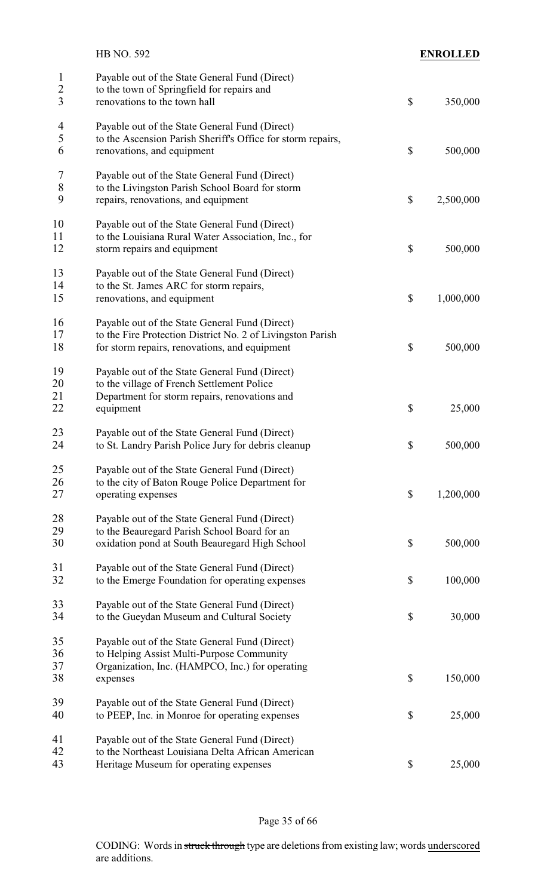|                                                  | HB NO. 592                                                                                                                                                    |                           | <b>ENROLLED</b> |
|--------------------------------------------------|---------------------------------------------------------------------------------------------------------------------------------------------------------------|---------------------------|-----------------|
| $\mathbf{1}$<br>$\overline{c}$<br>$\overline{3}$ | Payable out of the State General Fund (Direct)<br>to the town of Springfield for repairs and<br>renovations to the town hall                                  | $\mathcal{S}$             | 350,000         |
| $\overline{4}$<br>5<br>6                         | Payable out of the State General Fund (Direct)<br>to the Ascension Parish Sheriff's Office for storm repairs,<br>renovations, and equipment                   | $\mathcal{S}$             | 500,000         |
| 7<br>8<br>9                                      | Payable out of the State General Fund (Direct)<br>to the Livingston Parish School Board for storm<br>repairs, renovations, and equipment                      | $\boldsymbol{\mathsf{S}}$ | 2,500,000       |
| 10<br>11<br>12                                   | Payable out of the State General Fund (Direct)<br>to the Louisiana Rural Water Association, Inc., for<br>storm repairs and equipment                          | $\boldsymbol{\mathsf{S}}$ | 500,000         |
| 13<br>14<br>15                                   | Payable out of the State General Fund (Direct)<br>to the St. James ARC for storm repairs,<br>renovations, and equipment                                       | $\boldsymbol{\mathsf{S}}$ | 1,000,000       |
| 16<br>17<br>18                                   | Payable out of the State General Fund (Direct)<br>to the Fire Protection District No. 2 of Livingston Parish<br>for storm repairs, renovations, and equipment | \$                        | 500,000         |
| 19<br>20<br>21<br>22                             | Payable out of the State General Fund (Direct)<br>to the village of French Settlement Police<br>Department for storm repairs, renovations and<br>equipment    | \$                        | 25,000          |
| 23<br>24                                         | Payable out of the State General Fund (Direct)<br>to St. Landry Parish Police Jury for debris cleanup                                                         | \$                        | 500,000         |
| 25<br>26<br>27                                   | Payable out of the State General Fund (Direct)<br>to the city of Baton Rouge Police Department for<br>operating expenses                                      | $\boldsymbol{\mathsf{S}}$ | 1,200,000       |
| 28<br>29<br>30                                   | Payable out of the State General Fund (Direct)<br>to the Beauregard Parish School Board for an<br>oxidation pond at South Beauregard High School              | $\boldsymbol{\mathsf{S}}$ | 500,000         |
| 31<br>32                                         | Payable out of the State General Fund (Direct)<br>to the Emerge Foundation for operating expenses                                                             | $\mathcal{S}$             | 100,000         |
| 33<br>34                                         | Payable out of the State General Fund (Direct)<br>to the Gueydan Museum and Cultural Society                                                                  | $\boldsymbol{\mathsf{S}}$ | 30,000          |
| 35<br>36<br>37<br>38                             | Payable out of the State General Fund (Direct)<br>to Helping Assist Multi-Purpose Community<br>Organization, Inc. (HAMPCO, Inc.) for operating<br>expenses    | $\mathcal{S}$             | 150,000         |
| 39<br>40                                         | Payable out of the State General Fund (Direct)<br>to PEEP, Inc. in Monroe for operating expenses                                                              | \$                        | 25,000          |
| 41<br>42<br>43                                   | Payable out of the State General Fund (Direct)<br>to the Northeast Louisiana Delta African American<br>Heritage Museum for operating expenses                 | $\boldsymbol{\mathsf{S}}$ | 25,000          |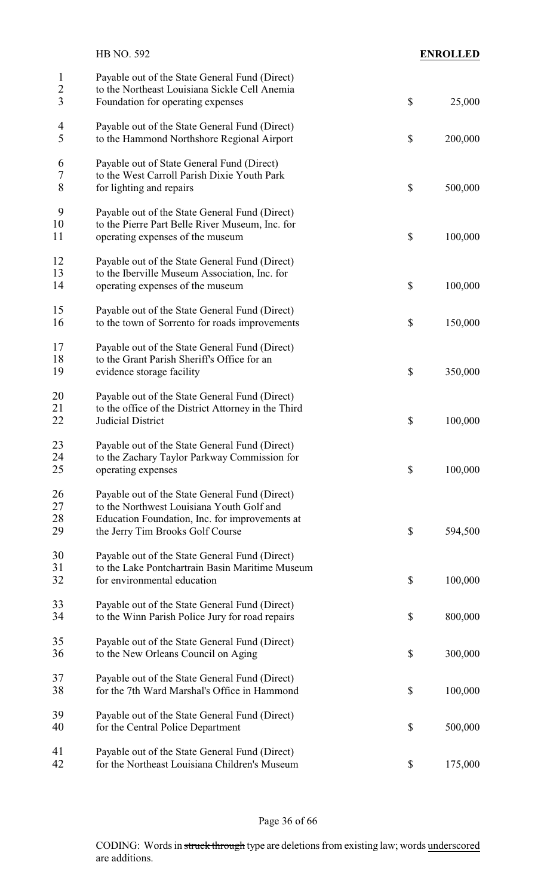|                               | HB NO. 592                                                                                                                                                                        | <b>ENROLLED</b> |
|-------------------------------|-----------------------------------------------------------------------------------------------------------------------------------------------------------------------------------|-----------------|
| $\mathbf{1}$<br>$\frac{2}{3}$ | Payable out of the State General Fund (Direct)<br>to the Northeast Louisiana Sickle Cell Anemia<br>Foundation for operating expenses                                              | \$<br>25,000    |
| $\overline{4}$<br>5           | Payable out of the State General Fund (Direct)<br>to the Hammond Northshore Regional Airport                                                                                      | \$<br>200,000   |
| 6<br>$\sqrt{ }$<br>8          | Payable out of State General Fund (Direct)<br>to the West Carroll Parish Dixie Youth Park<br>for lighting and repairs                                                             | \$<br>500,000   |
| 9<br>10<br>11                 | Payable out of the State General Fund (Direct)<br>to the Pierre Part Belle River Museum, Inc. for<br>operating expenses of the museum                                             | \$<br>100,000   |
| 12<br>13<br>14                | Payable out of the State General Fund (Direct)<br>to the Iberville Museum Association, Inc. for<br>operating expenses of the museum                                               | \$<br>100,000   |
| 15<br>16                      | Payable out of the State General Fund (Direct)<br>to the town of Sorrento for roads improvements                                                                                  | \$<br>150,000   |
| 17<br>18<br>19                | Payable out of the State General Fund (Direct)<br>to the Grant Parish Sheriff's Office for an<br>evidence storage facility                                                        | \$<br>350,000   |
| 20<br>21<br>22                | Payable out of the State General Fund (Direct)<br>to the office of the District Attorney in the Third<br>Judicial District                                                        | \$<br>100,000   |
| 23<br>24<br>25                | Payable out of the State General Fund (Direct)<br>to the Zachary Taylor Parkway Commission for<br>operating expenses                                                              | \$<br>100,000   |
| 26<br>27<br>28<br>29          | Payable out of the State General Fund (Direct)<br>to the Northwest Louisiana Youth Golf and<br>Education Foundation, Inc. for improvements at<br>the Jerry Tim Brooks Golf Course | \$<br>594,500   |
| 30<br>31<br>32                | Payable out of the State General Fund (Direct)<br>to the Lake Pontchartrain Basin Maritime Museum<br>for environmental education                                                  | \$<br>100,000   |
| 33<br>34                      | Payable out of the State General Fund (Direct)<br>to the Winn Parish Police Jury for road repairs                                                                                 | \$<br>800,000   |
| 35<br>36                      | Payable out of the State General Fund (Direct)<br>to the New Orleans Council on Aging                                                                                             | \$<br>300,000   |
| 37<br>38                      | Payable out of the State General Fund (Direct)<br>for the 7th Ward Marshal's Office in Hammond                                                                                    | \$<br>100,000   |
| 39<br>40                      | Payable out of the State General Fund (Direct)<br>for the Central Police Department                                                                                               | \$<br>500,000   |
| 41<br>42                      | Payable out of the State General Fund (Direct)<br>for the Northeast Louisiana Children's Museum                                                                                   | \$<br>175,000   |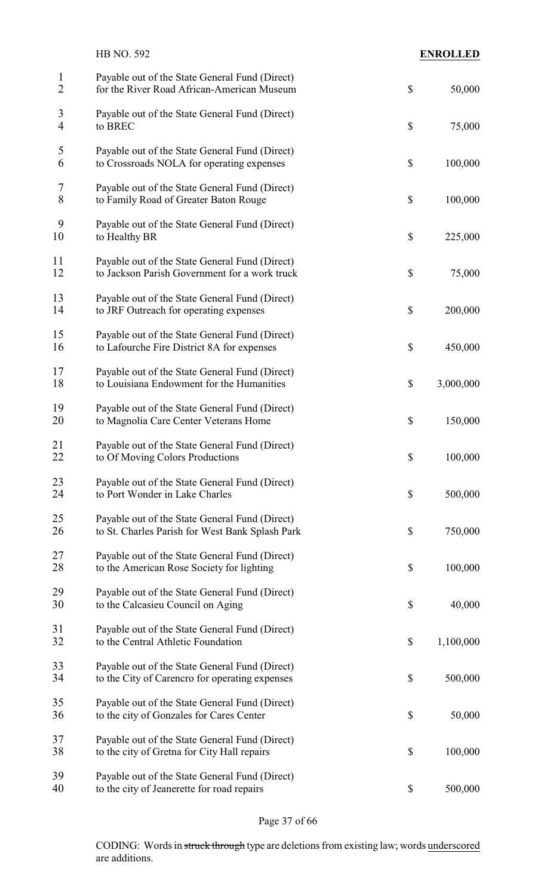|                                | <b>HB NO. 592</b>                                                                                 |                           | <b>ENROLLED</b> |
|--------------------------------|---------------------------------------------------------------------------------------------------|---------------------------|-----------------|
| $\mathbf{1}$<br>$\overline{2}$ | Payable out of the State General Fund (Direct)<br>for the River Road African-American Museum      | \$                        | 50,000          |
| 3<br>$\overline{4}$            | Payable out of the State General Fund (Direct)<br>to BREC                                         | $\mathcal{S}$             | 75,000          |
| 5<br>6                         | Payable out of the State General Fund (Direct)<br>to Crossroads NOLA for operating expenses       | $\mathcal{S}$             | 100,000         |
| 7<br>8                         | Payable out of the State General Fund (Direct)<br>to Family Road of Greater Baton Rouge           | $\mathcal{S}$             | 100,000         |
| 9<br>10                        | Payable out of the State General Fund (Direct)<br>to Healthy BR                                   | $\boldsymbol{\mathsf{S}}$ | 225,000         |
| 11<br>12                       | Payable out of the State General Fund (Direct)<br>to Jackson Parish Government for a work truck   | \$                        | 75,000          |
| 13<br>14                       | Payable out of the State General Fund (Direct)<br>to JRF Outreach for operating expenses          | $\mathcal{S}$             | 200,000         |
| 15<br>16                       | Payable out of the State General Fund (Direct)<br>to Lafourche Fire District 8A for expenses      | \$                        | 450,000         |
| 17<br>18                       | Payable out of the State General Fund (Direct)<br>to Louisiana Endowment for the Humanities       | \$                        | 3,000,000       |
| 19<br>20                       | Payable out of the State General Fund (Direct)<br>to Magnolia Care Center Veterans Home           | $\boldsymbol{\mathsf{S}}$ | 150,000         |
| 21<br>22                       | Payable out of the State General Fund (Direct)<br>to Of Moving Colors Productions                 | \$                        | 100,000         |
| 23<br>24                       | Payable out of the State General Fund (Direct)<br>to Port Wonder in Lake Charles                  | $\mathcal{S}$             | 500,000         |
| 25<br>26                       | Payable out of the State General Fund (Direct)<br>to St. Charles Parish for West Bank Splash Park | \$                        | 750,000         |
| 27<br>28                       | Payable out of the State General Fund (Direct)<br>to the American Rose Society for lighting       | $\boldsymbol{\mathsf{S}}$ | 100,000         |
| 29<br>30                       | Payable out of the State General Fund (Direct)<br>to the Calcasieu Council on Aging               | $\boldsymbol{\mathsf{S}}$ | 40,000          |
| 31<br>32                       | Payable out of the State General Fund (Direct)<br>to the Central Athletic Foundation              | \$                        | 1,100,000       |
| 33<br>34                       | Payable out of the State General Fund (Direct)<br>to the City of Carencro for operating expenses  | \$                        | 500,000         |
| 35<br>36                       | Payable out of the State General Fund (Direct)<br>to the city of Gonzales for Cares Center        | \$                        | 50,000          |
| 37<br>38                       | Payable out of the State General Fund (Direct)<br>to the city of Gretna for City Hall repairs     | \$                        | 100,000         |
| 39<br>40                       | Payable out of the State General Fund (Direct)<br>to the city of Jeanerette for road repairs      | \$                        | 500,000         |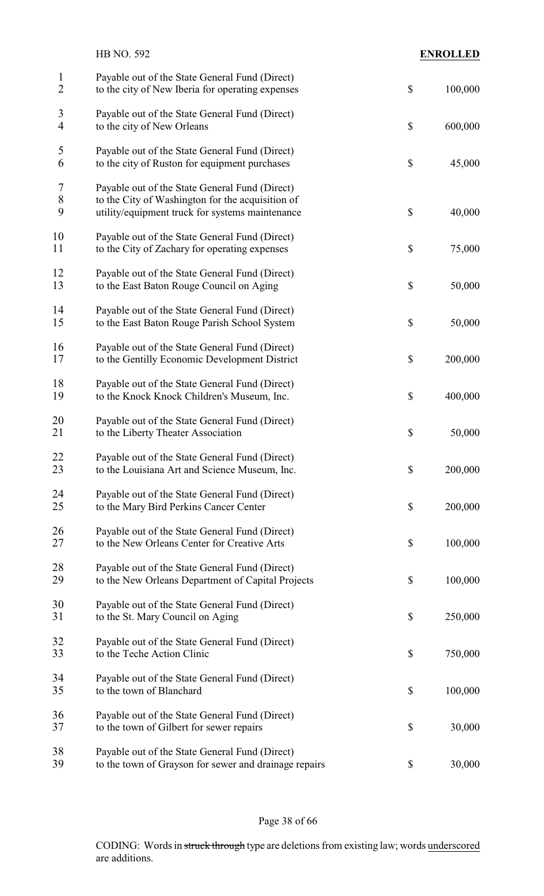|                                | HB NO. 592                                                                                                                                            |                           | <b>ENROLLED</b> |
|--------------------------------|-------------------------------------------------------------------------------------------------------------------------------------------------------|---------------------------|-----------------|
| $\mathbf{1}$<br>$\overline{2}$ | Payable out of the State General Fund (Direct)<br>to the city of New Iberia for operating expenses                                                    | $\boldsymbol{\mathsf{S}}$ | 100,000         |
| 3<br>$\overline{4}$            | Payable out of the State General Fund (Direct)<br>to the city of New Orleans                                                                          | $\mathcal{S}$             | 600,000         |
| 5<br>6                         | Payable out of the State General Fund (Direct)<br>to the city of Ruston for equipment purchases                                                       | \$                        | 45,000          |
| 7<br>$8\,$<br>9                | Payable out of the State General Fund (Direct)<br>to the City of Washington for the acquisition of<br>utility/equipment truck for systems maintenance | $\boldsymbol{\mathsf{S}}$ | 40,000          |
| 10<br>11                       | Payable out of the State General Fund (Direct)<br>to the City of Zachary for operating expenses                                                       | $\boldsymbol{\mathsf{S}}$ | 75,000          |
| 12<br>13                       | Payable out of the State General Fund (Direct)<br>to the East Baton Rouge Council on Aging                                                            | \$                        | 50,000          |
| 14<br>15                       | Payable out of the State General Fund (Direct)<br>to the East Baton Rouge Parish School System                                                        | \$                        | 50,000          |
| 16<br>17                       | Payable out of the State General Fund (Direct)<br>to the Gentilly Economic Development District                                                       | \$                        | 200,000         |
| 18<br>19                       | Payable out of the State General Fund (Direct)<br>to the Knock Knock Children's Museum, Inc.                                                          | $\boldsymbol{\mathsf{S}}$ | 400,000         |
| 20<br>21                       | Payable out of the State General Fund (Direct)<br>to the Liberty Theater Association                                                                  | \$                        | 50,000          |
| 22<br>23                       | Payable out of the State General Fund (Direct)<br>to the Louisiana Art and Science Museum, Inc.                                                       | \$                        | 200,000         |
| 24<br>25                       | Payable out of the State General Fund (Direct)<br>to the Mary Bird Perkins Cancer Center                                                              | \$                        | 200,000         |
| 26<br>27                       | Payable out of the State General Fund (Direct)<br>to the New Orleans Center for Creative Arts                                                         | $\boldsymbol{\mathsf{S}}$ | 100,000         |
| 28<br>29                       | Payable out of the State General Fund (Direct)<br>to the New Orleans Department of Capital Projects                                                   | $\boldsymbol{\mathsf{S}}$ | 100,000         |
| 30<br>31                       | Payable out of the State General Fund (Direct)<br>to the St. Mary Council on Aging                                                                    | $\boldsymbol{\mathsf{S}}$ | 250,000         |
| 32<br>33                       | Payable out of the State General Fund (Direct)<br>to the Teche Action Clinic                                                                          | \$                        | 750,000         |
| 34<br>35                       | Payable out of the State General Fund (Direct)<br>to the town of Blanchard                                                                            | \$                        | 100,000         |
| 36<br>37                       | Payable out of the State General Fund (Direct)<br>to the town of Gilbert for sewer repairs                                                            | \$                        | 30,000          |
| 38<br>39                       | Payable out of the State General Fund (Direct)<br>to the town of Grayson for sewer and drainage repairs                                               | \$                        | 30,000          |
|                                |                                                                                                                                                       |                           |                 |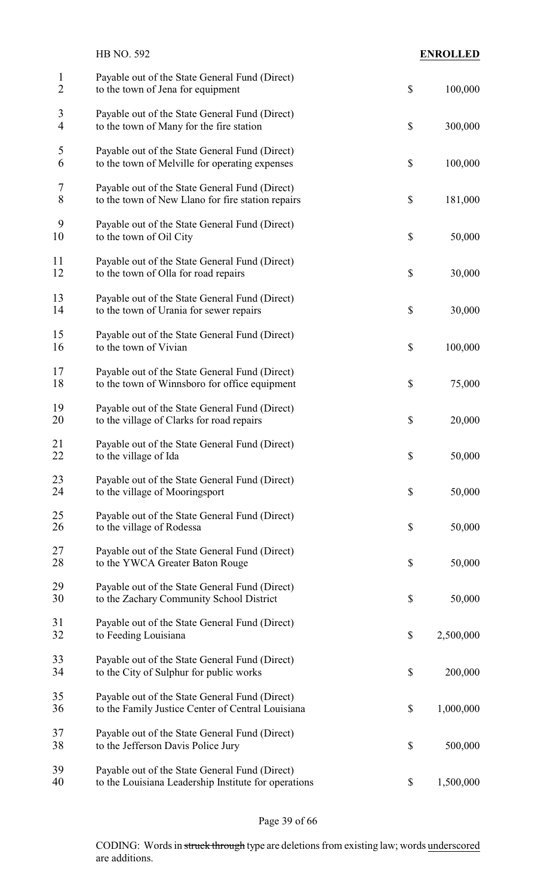|                                | <b>HB NO. 592</b>                                                                                      | <b>ENROLLED</b> |
|--------------------------------|--------------------------------------------------------------------------------------------------------|-----------------|
| $\mathbf{1}$<br>$\overline{2}$ | Payable out of the State General Fund (Direct)<br>to the town of Jena for equipment                    | \$<br>100,000   |
| 3<br>4                         | Payable out of the State General Fund (Direct)<br>to the town of Many for the fire station             | \$<br>300,000   |
| 5<br>6                         | Payable out of the State General Fund (Direct)<br>to the town of Melville for operating expenses       | \$<br>100,000   |
| 7<br>8                         | Payable out of the State General Fund (Direct)<br>to the town of New Llano for fire station repairs    | \$<br>181,000   |
| 9<br>10                        | Payable out of the State General Fund (Direct)<br>to the town of Oil City                              | \$<br>50,000    |
| 11<br>12                       | Payable out of the State General Fund (Direct)<br>to the town of Olla for road repairs                 | \$<br>30,000    |
| 13<br>14                       | Payable out of the State General Fund (Direct)<br>to the town of Urania for sewer repairs              | \$<br>30,000    |
| 15<br>16                       | Payable out of the State General Fund (Direct)<br>to the town of Vivian                                | \$<br>100,000   |
| 17<br>18                       | Payable out of the State General Fund (Direct)<br>to the town of Winnsboro for office equipment        | \$<br>75,000    |
| 19<br>20                       | Payable out of the State General Fund (Direct)<br>to the village of Clarks for road repairs            | \$<br>20,000    |
| 21<br>22                       | Payable out of the State General Fund (Direct)<br>to the village of Ida                                | \$<br>50,000    |
| 23<br>24                       | Payable out of the State General Fund (Direct)<br>to the village of Mooringsport                       | \$<br>50,000    |
| 25<br>26                       | Payable out of the State General Fund (Direct)<br>to the village of Rodessa                            | \$<br>50,000    |
| 27<br>28                       | Payable out of the State General Fund (Direct)<br>to the YWCA Greater Baton Rouge                      | \$<br>50,000    |
| 29<br>30                       | Payable out of the State General Fund (Direct)<br>to the Zachary Community School District             | \$<br>50,000    |
| 31<br>32                       | Payable out of the State General Fund (Direct)<br>to Feeding Louisiana                                 | \$<br>2,500,000 |
| 33<br>34                       | Payable out of the State General Fund (Direct)<br>to the City of Sulphur for public works              | \$<br>200,000   |
| 35<br>36                       | Payable out of the State General Fund (Direct)<br>to the Family Justice Center of Central Louisiana    | \$<br>1,000,000 |
| 37<br>38                       | Payable out of the State General Fund (Direct)<br>to the Jefferson Davis Police Jury                   | \$<br>500,000   |
| 39<br>40                       | Payable out of the State General Fund (Direct)<br>to the Louisiana Leadership Institute for operations | \$<br>1,500,000 |

## Page 39 of 66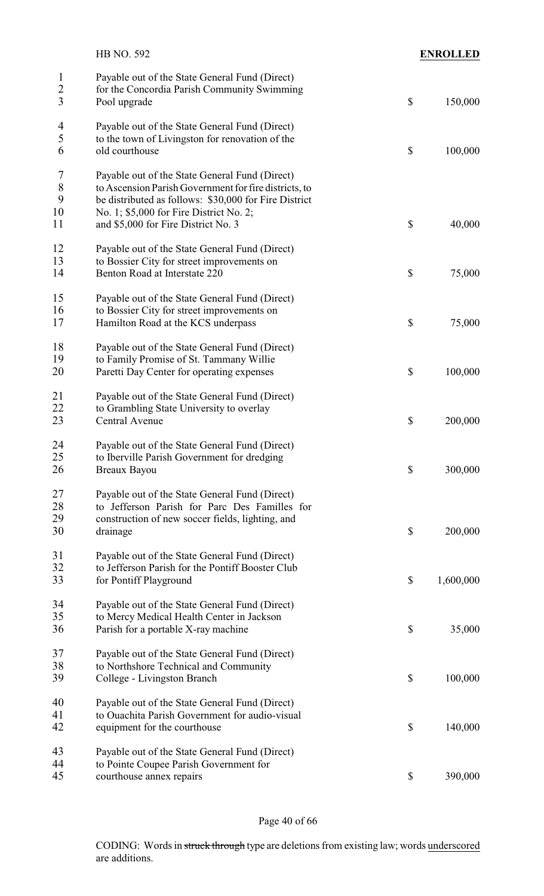|                                                  | HB NO. 592                                                                                                                                                                                                  |                           | <b>ENROLLED</b> |
|--------------------------------------------------|-------------------------------------------------------------------------------------------------------------------------------------------------------------------------------------------------------------|---------------------------|-----------------|
| $\mathbf{1}$<br>$\overline{c}$<br>$\overline{3}$ | Payable out of the State General Fund (Direct)<br>for the Concordia Parish Community Swimming<br>Pool upgrade                                                                                               | $\mathcal{S}$             | 150,000         |
| $\overline{4}$<br>5<br>6                         | Payable out of the State General Fund (Direct)<br>to the town of Livingston for renovation of the<br>old courthouse                                                                                         | $\mathcal{S}$             | 100,000         |
| 7<br>8<br>9<br>10                                | Payable out of the State General Fund (Direct)<br>to Ascension Parish Government for fire districts, to<br>be distributed as follows: \$30,000 for Fire District<br>No. 1; \$5,000 for Fire District No. 2; |                           |                 |
| 11                                               | and \$5,000 for Fire District No. 3                                                                                                                                                                         | \$                        | 40,000          |
| 12<br>13<br>14                                   | Payable out of the State General Fund (Direct)<br>to Bossier City for street improvements on<br>Benton Road at Interstate 220                                                                               | $\boldsymbol{\mathsf{S}}$ | 75,000          |
| 15<br>16<br>17                                   | Payable out of the State General Fund (Direct)<br>to Bossier City for street improvements on<br>Hamilton Road at the KCS underpass                                                                          | \$                        | 75,000          |
| 18<br>19<br>20                                   | Payable out of the State General Fund (Direct)<br>to Family Promise of St. Tammany Willie<br>Paretti Day Center for operating expenses                                                                      | $\boldsymbol{\mathsf{S}}$ | 100,000         |
| 21<br>22<br>23                                   | Payable out of the State General Fund (Direct)<br>to Grambling State University to overlay<br>Central Avenue                                                                                                | $\boldsymbol{\mathsf{S}}$ | 200,000         |
| 24<br>25<br>26                                   | Payable out of the State General Fund (Direct)<br>to Iberville Parish Government for dredging<br>Breaux Bayou                                                                                               | $\mathcal{S}$             | 300,000         |
| 27<br>28<br>29<br>30                             | Payable out of the State General Fund (Direct)<br>to Jefferson Parish for Parc Des Familles for<br>construction of new soccer fields, lighting, and<br>drainage                                             | $\mathcal{S}$             | 200,000         |
| 31<br>32<br>33                                   | Payable out of the State General Fund (Direct)<br>to Jefferson Parish for the Pontiff Booster Club<br>for Pontiff Playground                                                                                | $\boldsymbol{\mathsf{S}}$ | 1,600,000       |
| 34<br>35<br>36                                   | Payable out of the State General Fund (Direct)<br>to Mercy Medical Health Center in Jackson<br>Parish for a portable X-ray machine                                                                          | $\boldsymbol{\mathsf{S}}$ | 35,000          |
| 37<br>38<br>39                                   | Payable out of the State General Fund (Direct)<br>to Northshore Technical and Community<br>College - Livingston Branch                                                                                      | $\mathcal{S}$             | 100,000         |
| 40<br>41<br>42                                   | Payable out of the State General Fund (Direct)<br>to Ouachita Parish Government for audio-visual<br>equipment for the courthouse                                                                            | $\boldsymbol{\mathsf{S}}$ | 140,000         |
| 43<br>44<br>45                                   | Payable out of the State General Fund (Direct)<br>to Pointe Coupee Parish Government for<br>courthouse annex repairs                                                                                        | $\boldsymbol{\mathsf{S}}$ | 390,000         |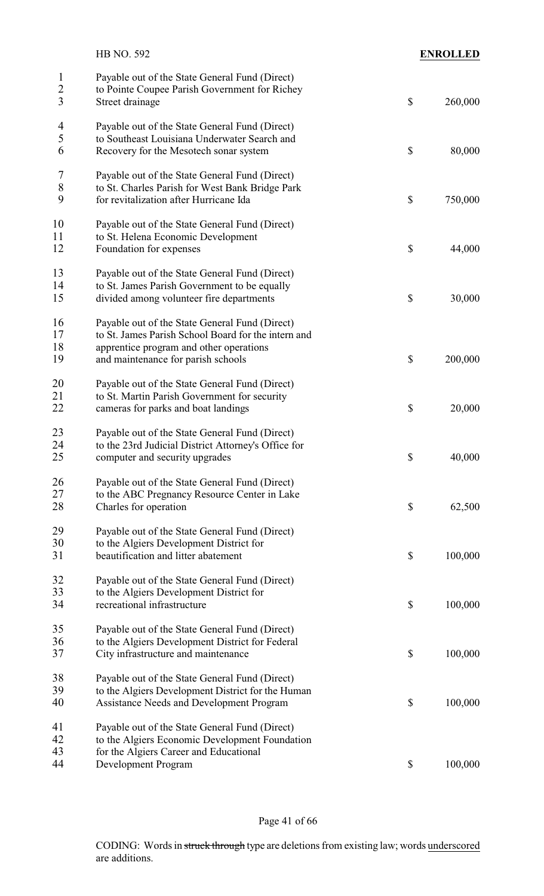|                               | HB NO. 592                                                                                                                                                                             | <b>ENROLLED</b> |
|-------------------------------|----------------------------------------------------------------------------------------------------------------------------------------------------------------------------------------|-----------------|
| $\mathbf{1}$<br>$\frac{2}{3}$ | Payable out of the State General Fund (Direct)<br>to Pointe Coupee Parish Government for Richey<br>Street drainage                                                                     | \$<br>260,000   |
| $\overline{4}$<br>5<br>6      | Payable out of the State General Fund (Direct)<br>to Southeast Louisiana Underwater Search and<br>Recovery for the Mesotech sonar system                                               | \$<br>80,000    |
| 7<br>8<br>9                   | Payable out of the State General Fund (Direct)<br>to St. Charles Parish for West Bank Bridge Park<br>for revitalization after Hurricane Ida                                            | \$<br>750,000   |
| 10<br>11<br>12                | Payable out of the State General Fund (Direct)<br>to St. Helena Economic Development<br>Foundation for expenses                                                                        | \$<br>44,000    |
| 13<br>14<br>15                | Payable out of the State General Fund (Direct)<br>to St. James Parish Government to be equally<br>divided among volunteer fire departments                                             | \$<br>30,000    |
| 16<br>17<br>18<br>19          | Payable out of the State General Fund (Direct)<br>to St. James Parish School Board for the intern and<br>apprentice program and other operations<br>and maintenance for parish schools | \$<br>200,000   |
| 20<br>21<br>22                | Payable out of the State General Fund (Direct)<br>to St. Martin Parish Government for security<br>cameras for parks and boat landings                                                  | \$<br>20,000    |
| 23<br>24<br>25                | Payable out of the State General Fund (Direct)<br>to the 23rd Judicial District Attorney's Office for<br>computer and security upgrades                                                | \$<br>40,000    |
| 26<br>27<br>28                | Payable out of the State General Fund (Direct)<br>to the ABC Pregnancy Resource Center in Lake<br>Charles for operation                                                                | \$<br>62,500    |
| 29<br>30<br>31                | Payable out of the State General Fund (Direct)<br>to the Algiers Development District for<br>beautification and litter abatement                                                       | \$<br>100,000   |
| 32<br>33<br>34                | Payable out of the State General Fund (Direct)<br>to the Algiers Development District for<br>recreational infrastructure                                                               | \$<br>100,000   |
| 35<br>36<br>37                | Payable out of the State General Fund (Direct)<br>to the Algiers Development District for Federal<br>City infrastructure and maintenance                                               | \$<br>100,000   |
| 38<br>39<br>40                | Payable out of the State General Fund (Direct)<br>to the Algiers Development District for the Human<br><b>Assistance Needs and Development Program</b>                                 | \$<br>100,000   |
| 41<br>42<br>43<br>44          | Payable out of the State General Fund (Direct)<br>to the Algiers Economic Development Foundation<br>for the Algiers Career and Educational<br>Development Program                      | \$<br>100,000   |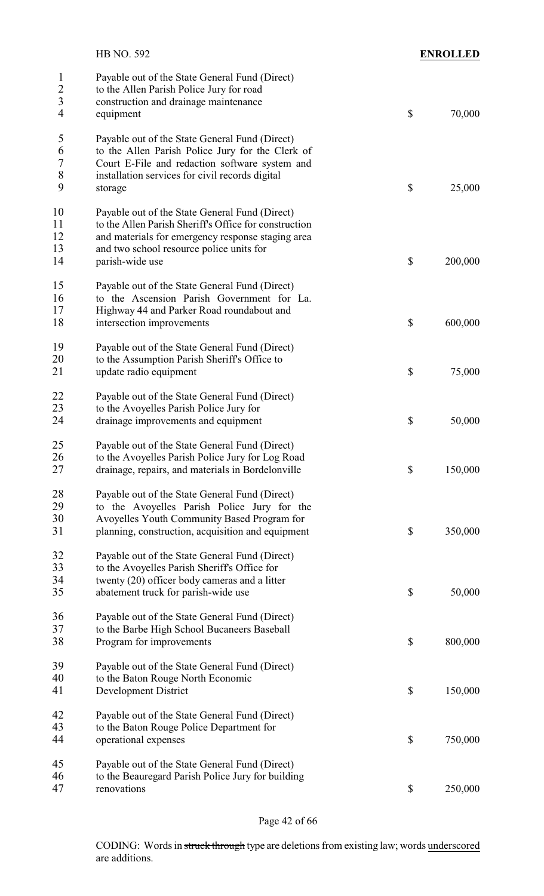|                                    | HB NO. 592                                                                                                                                                                                                                  | <b>ENROLLED</b> |
|------------------------------------|-----------------------------------------------------------------------------------------------------------------------------------------------------------------------------------------------------------------------------|-----------------|
| $\mathbf{1}$<br>$\frac{2}{3}$<br>4 | Payable out of the State General Fund (Direct)<br>to the Allen Parish Police Jury for road<br>construction and drainage maintenance<br>equipment                                                                            | \$<br>70,000    |
| 5<br>6<br>$\overline{7}$<br>8<br>9 | Payable out of the State General Fund (Direct)<br>to the Allen Parish Police Jury for the Clerk of<br>Court E-File and redaction software system and<br>installation services for civil records digital<br>storage          | \$<br>25,000    |
| 10<br>11<br>12<br>13<br>14         | Payable out of the State General Fund (Direct)<br>to the Allen Parish Sheriff's Office for construction<br>and materials for emergency response staging area<br>and two school resource police units for<br>parish-wide use | \$<br>200,000   |
| 15<br>16<br>17<br>18               | Payable out of the State General Fund (Direct)<br>to the Ascension Parish Government for La.<br>Highway 44 and Parker Road roundabout and<br>intersection improvements                                                      | \$<br>600,000   |
| 19<br>20<br>21                     | Payable out of the State General Fund (Direct)<br>to the Assumption Parish Sheriff's Office to<br>update radio equipment                                                                                                    | \$<br>75,000    |
| 22<br>23<br>24                     | Payable out of the State General Fund (Direct)<br>to the Avoyelles Parish Police Jury for<br>drainage improvements and equipment                                                                                            | \$<br>50,000    |
| 25<br>26<br>27                     | Payable out of the State General Fund (Direct)<br>to the Avoyelles Parish Police Jury for Log Road<br>drainage, repairs, and materials in Bordelonville                                                                     | \$<br>150,000   |
| 28<br>29<br>30<br>31               | Payable out of the State General Fund (Direct)<br>to the Avoyelles Parish Police Jury for the<br>Avoyelles Youth Community Based Program for<br>planning, construction, acquisition and equipment                           | \$<br>350,000   |
| 32<br>33<br>34<br>35               | Payable out of the State General Fund (Direct)<br>to the Avoyelles Parish Sheriff's Office for<br>twenty (20) officer body cameras and a litter<br>abatement truck for parish-wide use                                      | \$<br>50,000    |
| 36<br>37<br>38                     | Payable out of the State General Fund (Direct)<br>to the Barbe High School Bucaneers Baseball<br>Program for improvements                                                                                                   | \$<br>800,000   |
| 39<br>40<br>41                     | Payable out of the State General Fund (Direct)<br>to the Baton Rouge North Economic<br><b>Development District</b>                                                                                                          | \$<br>150,000   |
| 42<br>43<br>44                     | Payable out of the State General Fund (Direct)<br>to the Baton Rouge Police Department for<br>operational expenses                                                                                                          | \$<br>750,000   |
| 45<br>46<br>47                     | Payable out of the State General Fund (Direct)<br>to the Beauregard Parish Police Jury for building<br>renovations                                                                                                          | \$<br>250,000   |

Page 42 of 66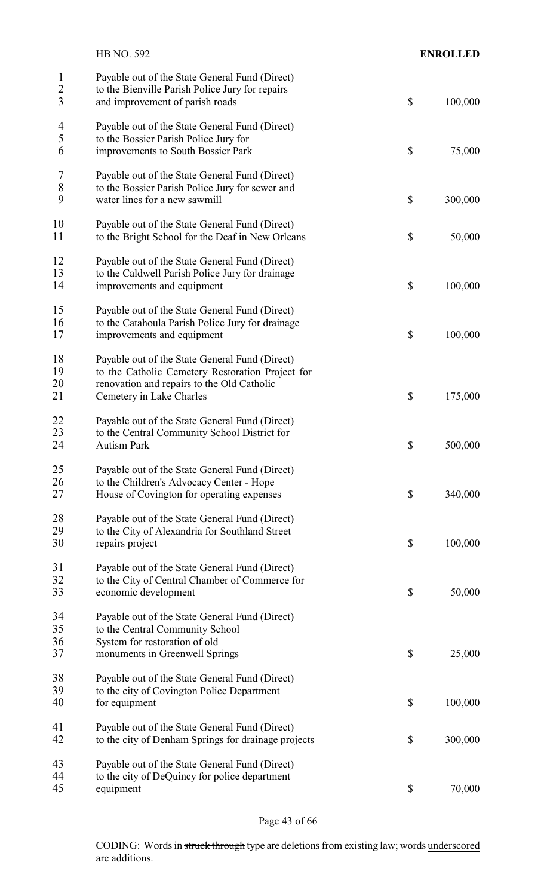|                                                  | HB NO. 592                                                                                                                           |                           | <b>ENROLLED</b> |
|--------------------------------------------------|--------------------------------------------------------------------------------------------------------------------------------------|---------------------------|-----------------|
| $\mathbf{1}$<br>$\overline{2}$<br>$\overline{3}$ | Payable out of the State General Fund (Direct)<br>to the Bienville Parish Police Jury for repairs<br>and improvement of parish roads | $\boldsymbol{\mathsf{S}}$ | 100,000         |
| $\overline{4}$                                   | Payable out of the State General Fund (Direct)                                                                                       |                           |                 |
| 5<br>6                                           | to the Bossier Parish Police Jury for<br>improvements to South Bossier Park                                                          | \$                        | 75,000          |
| $\overline{7}$                                   | Payable out of the State General Fund (Direct)                                                                                       |                           |                 |
| $\,8\,$                                          | to the Bossier Parish Police Jury for sewer and                                                                                      |                           |                 |
| 9                                                | water lines for a new sawmill                                                                                                        | $\boldsymbol{\mathsf{S}}$ | 300,000         |
| 10<br>11                                         | Payable out of the State General Fund (Direct)<br>to the Bright School for the Deaf in New Orleans                                   | \$                        | 50,000          |
| 12<br>13                                         | Payable out of the State General Fund (Direct)                                                                                       |                           |                 |
| 14                                               | to the Caldwell Parish Police Jury for drainage<br>improvements and equipment                                                        | \$                        | 100,000         |
| 15                                               | Payable out of the State General Fund (Direct)                                                                                       |                           |                 |
| 16<br>17                                         | to the Catahoula Parish Police Jury for drainage<br>improvements and equipment                                                       | $\boldsymbol{\mathsf{S}}$ | 100,000         |
| 18                                               | Payable out of the State General Fund (Direct)                                                                                       |                           |                 |
| 19                                               | to the Catholic Cemetery Restoration Project for                                                                                     |                           |                 |
| 20<br>21                                         | renovation and repairs to the Old Catholic<br>Cemetery in Lake Charles                                                               | $\boldsymbol{\mathsf{S}}$ | 175,000         |
| <u>22</u>                                        | Payable out of the State General Fund (Direct)                                                                                       |                           |                 |
| 23<br>24                                         | to the Central Community School District for<br>Autism Park                                                                          | \$                        | 500,000         |
| 25                                               | Payable out of the State General Fund (Direct)                                                                                       |                           |                 |
| 26                                               | to the Children's Advocacy Center - Hope                                                                                             |                           |                 |
| 27                                               | House of Covington for operating expenses                                                                                            | $\boldsymbol{\mathsf{S}}$ | 340,000         |
| 28<br>29                                         | Payable out of the State General Fund (Direct)                                                                                       |                           |                 |
| 30                                               | to the City of Alexandria for Southland Street<br>repairs project                                                                    | $\boldsymbol{\mathsf{S}}$ | 100,000         |
| 31                                               | Payable out of the State General Fund (Direct)                                                                                       |                           |                 |
| 32                                               | to the City of Central Chamber of Commerce for                                                                                       |                           |                 |
| 33                                               | economic development                                                                                                                 | $\boldsymbol{\mathsf{S}}$ | 50,000          |
| 34                                               | Payable out of the State General Fund (Direct)                                                                                       |                           |                 |
| 35<br>36                                         | to the Central Community School<br>System for restoration of old                                                                     |                           |                 |
| 37                                               | monuments in Greenwell Springs                                                                                                       | \$                        | 25,000          |
| 38                                               | Payable out of the State General Fund (Direct)                                                                                       |                           |                 |
| 39                                               | to the city of Covington Police Department                                                                                           |                           |                 |
| 40                                               | for equipment                                                                                                                        | $\boldsymbol{\mathsf{S}}$ | 100,000         |
| 41                                               | Payable out of the State General Fund (Direct)                                                                                       |                           |                 |
| 42                                               | to the city of Denham Springs for drainage projects                                                                                  | $\boldsymbol{\mathsf{S}}$ | 300,000         |
| 43<br>44                                         | Payable out of the State General Fund (Direct)<br>to the city of DeQuincy for police department                                      |                           |                 |
| 45                                               | equipment                                                                                                                            | $\boldsymbol{\mathsf{S}}$ | 70,000          |
|                                                  |                                                                                                                                      |                           |                 |

Page 43 of 66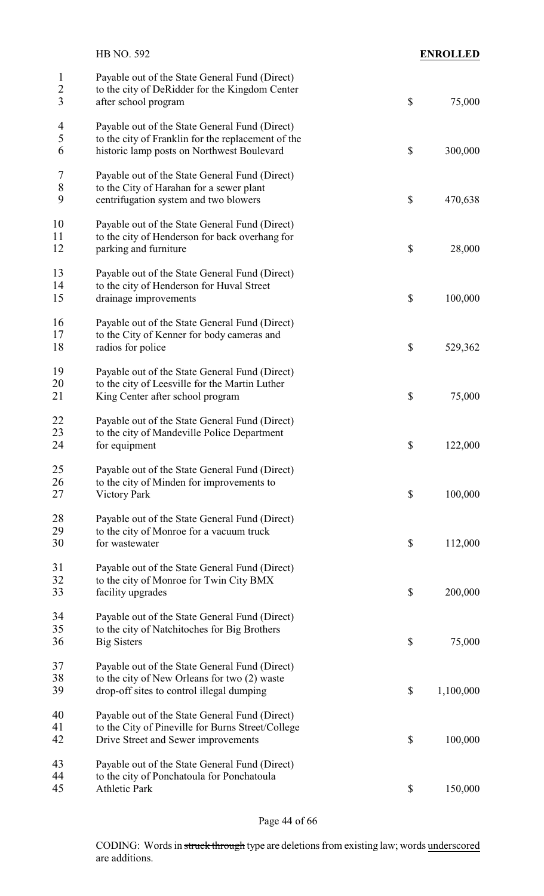|                                                  | HB NO. 592                                                                                                               | <b>ENROLLED</b> |
|--------------------------------------------------|--------------------------------------------------------------------------------------------------------------------------|-----------------|
| $\mathbf{1}$<br>$\overline{c}$<br>$\overline{3}$ | Payable out of the State General Fund (Direct)<br>to the city of DeRidder for the Kingdom Center<br>after school program | \$<br>75,000    |
|                                                  |                                                                                                                          |                 |
| 4                                                | Payable out of the State General Fund (Direct)                                                                           |                 |
| 5<br>6                                           | to the city of Franklin for the replacement of the<br>historic lamp posts on Northwest Boulevard                         | \$<br>300,000   |
|                                                  |                                                                                                                          |                 |
| 7                                                | Payable out of the State General Fund (Direct)                                                                           |                 |
| 8                                                | to the City of Harahan for a sewer plant                                                                                 |                 |
| 9                                                | centrifugation system and two blowers                                                                                    | \$<br>470,638   |
| 10                                               | Payable out of the State General Fund (Direct)                                                                           |                 |
| 11                                               | to the city of Henderson for back overhang for                                                                           |                 |
| 12                                               | parking and furniture                                                                                                    | \$<br>28,000    |
| 13                                               | Payable out of the State General Fund (Direct)                                                                           |                 |
| 14                                               | to the city of Henderson for Huval Street                                                                                |                 |
| 15                                               | drainage improvements                                                                                                    | \$<br>100,000   |
|                                                  |                                                                                                                          |                 |
| 16                                               | Payable out of the State General Fund (Direct)                                                                           |                 |
| 17<br>18                                         | to the City of Kenner for body cameras and<br>radios for police                                                          | \$<br>529,362   |
|                                                  |                                                                                                                          |                 |
| 19                                               | Payable out of the State General Fund (Direct)                                                                           |                 |
| 20                                               | to the city of Leesville for the Martin Luther                                                                           |                 |
| 21                                               | King Center after school program                                                                                         | \$<br>75,000    |
| 22                                               | Payable out of the State General Fund (Direct)                                                                           |                 |
| 23                                               | to the city of Mandeville Police Department                                                                              |                 |
| 24                                               | for equipment                                                                                                            | \$<br>122,000   |
| 25                                               |                                                                                                                          |                 |
| 26                                               | Payable out of the State General Fund (Direct)<br>to the city of Minden for improvements to                              |                 |
| 27                                               | <b>Victory Park</b>                                                                                                      | \$<br>100,000   |
|                                                  |                                                                                                                          |                 |
| 28                                               | Payable out of the State General Fund (Direct)                                                                           |                 |
| 29<br>30                                         | to the city of Monroe for a vacuum truck<br>for wastewater                                                               | \$<br>112,000   |
|                                                  |                                                                                                                          |                 |
| 31                                               | Payable out of the State General Fund (Direct)                                                                           |                 |
| 32                                               | to the city of Monroe for Twin City BMX                                                                                  |                 |
| 33                                               | facility upgrades                                                                                                        | \$<br>200,000   |
| 34                                               | Payable out of the State General Fund (Direct)                                                                           |                 |
| 35                                               | to the city of Natchitoches for Big Brothers                                                                             |                 |
| 36                                               | <b>Big Sisters</b>                                                                                                       | \$<br>75,000    |
| 37                                               | Payable out of the State General Fund (Direct)                                                                           |                 |
| 38                                               | to the city of New Orleans for two (2) waste                                                                             |                 |
| 39                                               | drop-off sites to control illegal dumping                                                                                | \$<br>1,100,000 |
|                                                  |                                                                                                                          |                 |
| 40                                               | Payable out of the State General Fund (Direct)                                                                           |                 |
| 41<br>42                                         | to the City of Pineville for Burns Street/College<br>Drive Street and Sewer improvements                                 | \$<br>100,000   |
|                                                  |                                                                                                                          |                 |
| 43                                               | Payable out of the State General Fund (Direct)                                                                           |                 |
| 44                                               | to the city of Ponchatoula for Ponchatoula                                                                               |                 |
| 45                                               | <b>Athletic Park</b>                                                                                                     | \$<br>150,000   |

Page 44 of 66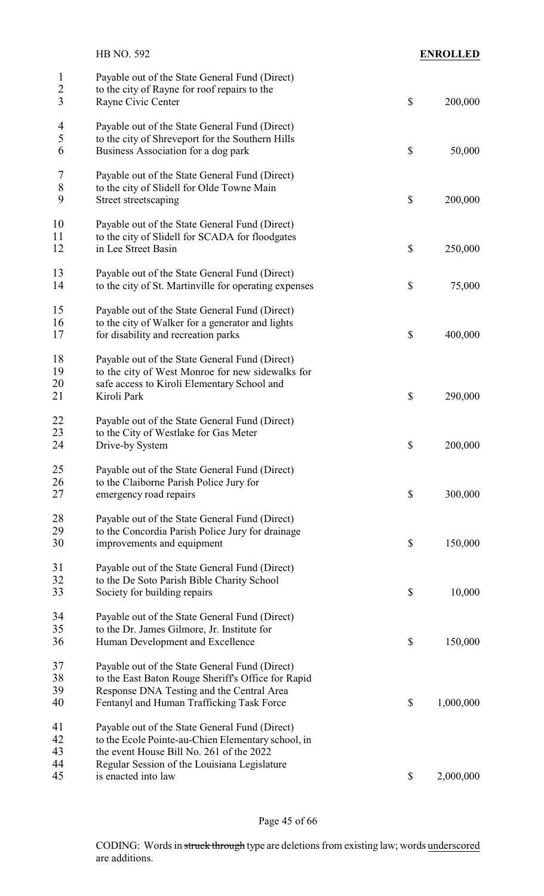|                                     | HB NO. 592                                                                                                                                                                                     | <b>ENROLLED</b> |
|-------------------------------------|------------------------------------------------------------------------------------------------------------------------------------------------------------------------------------------------|-----------------|
| $\mathbf{1}$<br>$\overline{2}$<br>3 | Payable out of the State General Fund (Direct)<br>to the city of Rayne for roof repairs to the<br>Rayne Civic Center                                                                           | \$<br>200,000   |
| 4<br>5<br>6                         | Payable out of the State General Fund (Direct)<br>to the city of Shreveport for the Southern Hills<br>Business Association for a dog park                                                      | \$<br>50,000    |
| 7<br>$\,8\,$<br>9                   | Payable out of the State General Fund (Direct)<br>to the city of Slidell for Olde Towne Main<br>Street streetscaping                                                                           | \$<br>200,000   |
| 10<br>11<br>12                      | Payable out of the State General Fund (Direct)<br>to the city of Slidell for SCADA for floodgates<br>in Lee Street Basin                                                                       | \$<br>250,000   |
| 13<br>14                            | Payable out of the State General Fund (Direct)<br>to the city of St. Martinville for operating expenses                                                                                        | \$<br>75,000    |
| 15<br>16<br>17                      | Payable out of the State General Fund (Direct)<br>to the city of Walker for a generator and lights<br>for disability and recreation parks                                                      | \$<br>400,000   |
| 18<br>19<br>20<br>21                | Payable out of the State General Fund (Direct)<br>to the city of West Monroe for new sidewalks for<br>safe access to Kiroli Elementary School and<br>Kiroli Park                               | \$<br>290,000   |
| 22<br>23<br>24                      | Payable out of the State General Fund (Direct)<br>to the City of Westlake for Gas Meter<br>Drive-by System                                                                                     | \$<br>200,000   |
| 25<br>26<br>27                      | Payable out of the State General Fund (Direct)<br>to the Claiborne Parish Police Jury for<br>emergency road repairs                                                                            | \$<br>300,000   |
| 28<br>29<br>30                      | Payable out of the State General Fund (Direct)<br>to the Concordia Parish Police Jury for drainage<br>improvements and equipment                                                               | \$<br>150,000   |
| 31<br>32<br>33                      | Payable out of the State General Fund (Direct)<br>to the De Soto Parish Bible Charity School<br>Society for building repairs                                                                   | \$<br>10,000    |
| 34<br>35<br>36                      | Payable out of the State General Fund (Direct)<br>to the Dr. James Gilmore, Jr. Institute for<br>Human Development and Excellence                                                              | \$<br>150,000   |
| 37<br>38<br>39<br>40                | Payable out of the State General Fund (Direct)<br>to the East Baton Rouge Sheriff's Office for Rapid<br>Response DNA Testing and the Central Area<br>Fentanyl and Human Trafficking Task Force | \$<br>1,000,000 |
| 41<br>42<br>43<br>44                | Payable out of the State General Fund (Direct)<br>to the Ecole Pointe-au-Chien Elementary school, in<br>the event House Bill No. 261 of the 2022                                               |                 |
| 45                                  | Regular Session of the Louisiana Legislature<br>is enacted into law                                                                                                                            | \$<br>2,000,000 |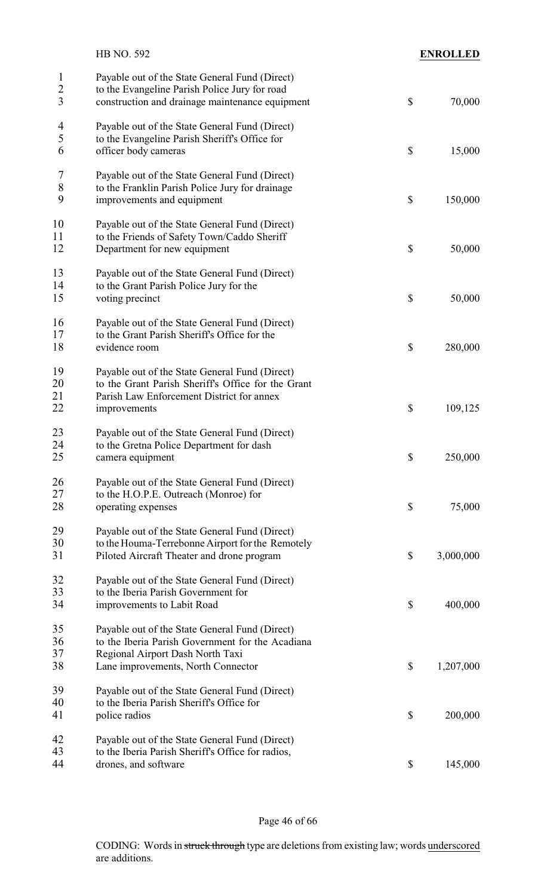|                                     | HB NO. 592                                                                                                                                                                   | <b>ENROLLED</b> |
|-------------------------------------|------------------------------------------------------------------------------------------------------------------------------------------------------------------------------|-----------------|
| $\mathbf{l}$<br>$\overline{c}$<br>3 | Payable out of the State General Fund (Direct)<br>to the Evangeline Parish Police Jury for road<br>construction and drainage maintenance equipment                           | \$<br>70,000    |
| $\overline{4}$<br>5<br>6            | Payable out of the State General Fund (Direct)<br>to the Evangeline Parish Sheriff's Office for<br>officer body cameras                                                      | \$<br>15,000    |
| 7<br>$\,8\,$<br>9                   | Payable out of the State General Fund (Direct)<br>to the Franklin Parish Police Jury for drainage<br>improvements and equipment                                              | \$<br>150,000   |
| 10<br>11<br>12                      | Payable out of the State General Fund (Direct)<br>to the Friends of Safety Town/Caddo Sheriff<br>Department for new equipment                                                | \$<br>50,000    |
| 13<br>14<br>15                      | Payable out of the State General Fund (Direct)<br>to the Grant Parish Police Jury for the<br>voting precinct                                                                 | \$<br>50,000    |
| 16<br>17<br>18                      | Payable out of the State General Fund (Direct)<br>to the Grant Parish Sheriff's Office for the<br>evidence room                                                              | \$<br>280,000   |
| 19<br>20<br>21<br>22                | Payable out of the State General Fund (Direct)<br>to the Grant Parish Sheriff's Office for the Grant<br>Parish Law Enforcement District for annex<br>improvements            | \$<br>109,125   |
| 23<br>24<br>25                      | Payable out of the State General Fund (Direct)<br>to the Gretna Police Department for dash<br>camera equipment                                                               | \$<br>250,000   |
| 26<br>27<br>28                      | Payable out of the State General Fund (Direct)<br>to the H.O.P.E. Outreach (Monroe) for<br>operating expenses                                                                | \$<br>75,000    |
| 29<br>30<br>31                      | Payable out of the State General Fund (Direct)<br>to the Houma-Terrebonne Airport for the Remotely<br>Piloted Aircraft Theater and drone program                             | \$<br>3,000,000 |
| 32<br>33<br>34                      | Payable out of the State General Fund (Direct)<br>to the Iberia Parish Government for<br>improvements to Labit Road                                                          | \$<br>400,000   |
| 35<br>36<br>37<br>38                | Payable out of the State General Fund (Direct)<br>to the Iberia Parish Government for the Acadiana<br>Regional Airport Dash North Taxi<br>Lane improvements, North Connector | \$<br>1,207,000 |
| 39<br>40<br>41                      | Payable out of the State General Fund (Direct)<br>to the Iberia Parish Sheriff's Office for<br>police radios                                                                 | \$<br>200,000   |
| 42<br>43<br>44                      | Payable out of the State General Fund (Direct)<br>to the Iberia Parish Sheriff's Office for radios,<br>drones, and software                                                  | \$<br>145,000   |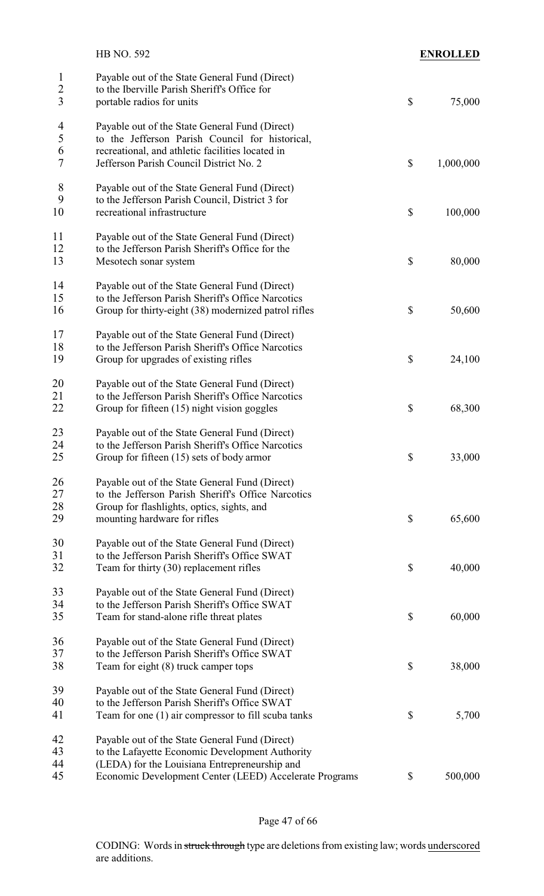|                                                  | HB NO. 592                                                                                                                                                                                                   | <b>ENROLLED</b> |
|--------------------------------------------------|--------------------------------------------------------------------------------------------------------------------------------------------------------------------------------------------------------------|-----------------|
| $\mathbf{1}$<br>$\overline{c}$<br>$\overline{3}$ | Payable out of the State General Fund (Direct)<br>to the Iberville Parish Sheriff's Office for<br>portable radios for units                                                                                  | \$<br>75,000    |
| $\overline{4}$<br>5<br>6<br>$\overline{7}$       | Payable out of the State General Fund (Direct)<br>to the Jefferson Parish Council for historical,<br>recreational, and athletic facilities located in<br>Jefferson Parish Council District No. 2             | \$<br>1,000,000 |
| 8<br>9<br>10                                     | Payable out of the State General Fund (Direct)<br>to the Jefferson Parish Council, District 3 for<br>recreational infrastructure                                                                             | \$<br>100,000   |
| 11<br>12<br>13                                   | Payable out of the State General Fund (Direct)<br>to the Jefferson Parish Sheriff's Office for the<br>Mesotech sonar system                                                                                  | \$<br>80,000    |
| 14<br>15<br>16                                   | Payable out of the State General Fund (Direct)<br>to the Jefferson Parish Sheriff's Office Narcotics<br>Group for thirty-eight (38) modernized patrol rifles                                                 | \$<br>50,600    |
| 17<br>18<br>19                                   | Payable out of the State General Fund (Direct)<br>to the Jefferson Parish Sheriff's Office Narcotics<br>Group for upgrades of existing rifles                                                                | \$<br>24,100    |
| 20<br>21<br>22                                   | Payable out of the State General Fund (Direct)<br>to the Jefferson Parish Sheriff's Office Narcotics<br>Group for fifteen $(15)$ night vision goggles                                                        | \$<br>68,300    |
| 23<br>24<br>25                                   | Payable out of the State General Fund (Direct)<br>to the Jefferson Parish Sheriff's Office Narcotics<br>Group for fifteen (15) sets of body armor                                                            | \$<br>33,000    |
| 26<br>27<br>28<br>29                             | Payable out of the State General Fund (Direct)<br>to the Jefferson Parish Sheriff's Office Narcotics<br>Group for flashlights, optics, sights, and<br>mounting hardware for rifles                           | \$<br>65,600    |
| 30<br>31<br>32                                   | Payable out of the State General Fund (Direct)<br>to the Jefferson Parish Sheriff's Office SWAT<br>Team for thirty (30) replacement rifles                                                                   | \$<br>40,000    |
| 33<br>34<br>35                                   | Payable out of the State General Fund (Direct)<br>to the Jefferson Parish Sheriff's Office SWAT<br>Team for stand-alone rifle threat plates                                                                  | \$<br>60,000    |
| 36<br>37<br>38                                   | Payable out of the State General Fund (Direct)<br>to the Jefferson Parish Sheriff's Office SWAT<br>Team for eight (8) truck camper tops                                                                      | \$<br>38,000    |
| 39<br>40<br>41                                   | Payable out of the State General Fund (Direct)<br>to the Jefferson Parish Sheriff's Office SWAT<br>Team for one (1) air compressor to fill scuba tanks                                                       | \$<br>5,700     |
| 42<br>43<br>44<br>45                             | Payable out of the State General Fund (Direct)<br>to the Lafayette Economic Development Authority<br>(LEDA) for the Louisiana Entrepreneurship and<br>Economic Development Center (LEED) Accelerate Programs | \$<br>500,000   |
|                                                  |                                                                                                                                                                                                              |                 |

## Page 47 of 66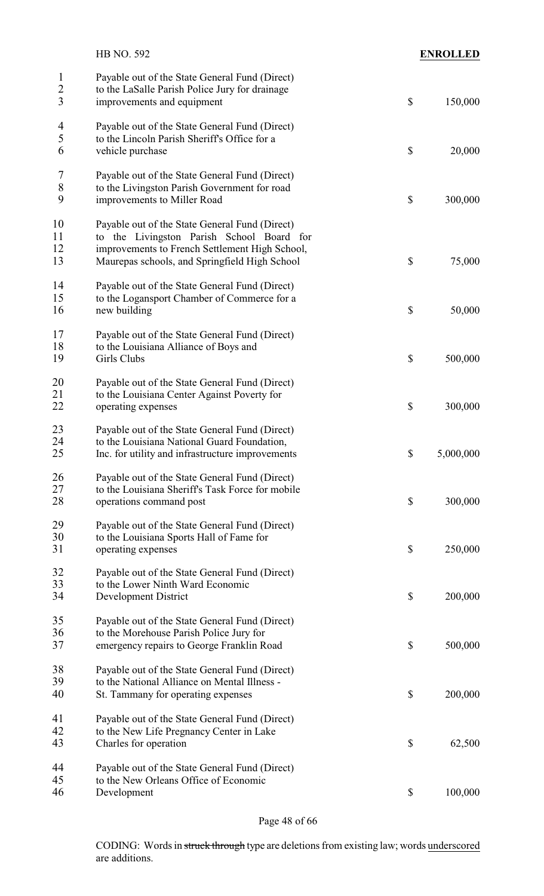|                                                  | HB NO. 592                                                                                                                     |                           | <b>ENROLLED</b> |
|--------------------------------------------------|--------------------------------------------------------------------------------------------------------------------------------|---------------------------|-----------------|
| $\mathbf{l}$<br>$\overline{2}$<br>$\overline{3}$ | Payable out of the State General Fund (Direct)<br>to the LaSalle Parish Police Jury for drainage<br>improvements and equipment | $\mathcal{S}$             | 150,000         |
|                                                  |                                                                                                                                |                           |                 |
| $\overline{4}$<br>5                              | Payable out of the State General Fund (Direct)                                                                                 |                           |                 |
| 6                                                | to the Lincoln Parish Sheriff's Office for a<br>vehicle purchase                                                               | \$                        | 20,000          |
|                                                  |                                                                                                                                |                           |                 |
| 7                                                | Payable out of the State General Fund (Direct)                                                                                 |                           |                 |
| $\,8\,$<br>9                                     | to the Livingston Parish Government for road<br>improvements to Miller Road                                                    | \$                        | 300,000         |
|                                                  |                                                                                                                                |                           |                 |
| 10<br>11                                         | Payable out of the State General Fund (Direct)                                                                                 |                           |                 |
| 12                                               | to the Livingston Parish School Board for<br>improvements to French Settlement High School,                                    |                           |                 |
| 13                                               | Maurepas schools, and Springfield High School                                                                                  | \$                        | 75,000          |
|                                                  |                                                                                                                                |                           |                 |
| 14<br>15                                         | Payable out of the State General Fund (Direct)<br>to the Logansport Chamber of Commerce for a                                  |                           |                 |
| 16                                               | new building                                                                                                                   | \$                        | 50,000          |
|                                                  |                                                                                                                                |                           |                 |
| 17<br>18                                         | Payable out of the State General Fund (Direct)<br>to the Louisiana Alliance of Boys and                                        |                           |                 |
| 19                                               | Girls Clubs                                                                                                                    | \$                        | 500,000         |
| 20                                               | Payable out of the State General Fund (Direct)                                                                                 |                           |                 |
| 21                                               | to the Louisiana Center Against Poverty for                                                                                    |                           |                 |
| 22                                               | operating expenses                                                                                                             | \$                        | 300,000         |
| 23                                               | Payable out of the State General Fund (Direct)                                                                                 |                           |                 |
| 24                                               | to the Louisiana National Guard Foundation,                                                                                    |                           |                 |
| 25                                               | Inc. for utility and infrastructure improvements                                                                               | \$                        | 5,000,000       |
| 26                                               | Payable out of the State General Fund (Direct)                                                                                 |                           |                 |
| 27                                               | to the Louisiana Sheriff's Task Force for mobile                                                                               |                           |                 |
| 28                                               | operations command post                                                                                                        | \$                        | 300,000         |
| 29                                               | Payable out of the State General Fund (Direct)                                                                                 |                           |                 |
| 30                                               | to the Louisiana Sports Hall of Fame for                                                                                       |                           |                 |
| 31                                               | operating expenses                                                                                                             | $\boldsymbol{\mathsf{S}}$ | 250,000         |
| 32                                               | Payable out of the State General Fund (Direct)                                                                                 |                           |                 |
| 33                                               | to the Lower Ninth Ward Economic                                                                                               |                           |                 |
| 34                                               | Development District                                                                                                           | \$                        | 200,000         |
| 35                                               | Payable out of the State General Fund (Direct)                                                                                 |                           |                 |
| 36                                               | to the Morehouse Parish Police Jury for                                                                                        |                           |                 |
| 37                                               | emergency repairs to George Franklin Road                                                                                      | \$                        | 500,000         |
| 38                                               | Payable out of the State General Fund (Direct)                                                                                 |                           |                 |
| 39                                               | to the National Alliance on Mental Illness -                                                                                   |                           |                 |
| 40                                               | St. Tammany for operating expenses                                                                                             | \$                        | 200,000         |
| 41                                               | Payable out of the State General Fund (Direct)                                                                                 |                           |                 |
| 42                                               | to the New Life Pregnancy Center in Lake                                                                                       |                           |                 |
| 43                                               | Charles for operation                                                                                                          | \$                        | 62,500          |
| 44                                               | Payable out of the State General Fund (Direct)                                                                                 |                           |                 |
| 45                                               | to the New Orleans Office of Economic                                                                                          |                           |                 |
| 46                                               | Development                                                                                                                    | \$                        | 100,000         |

Page 48 of 66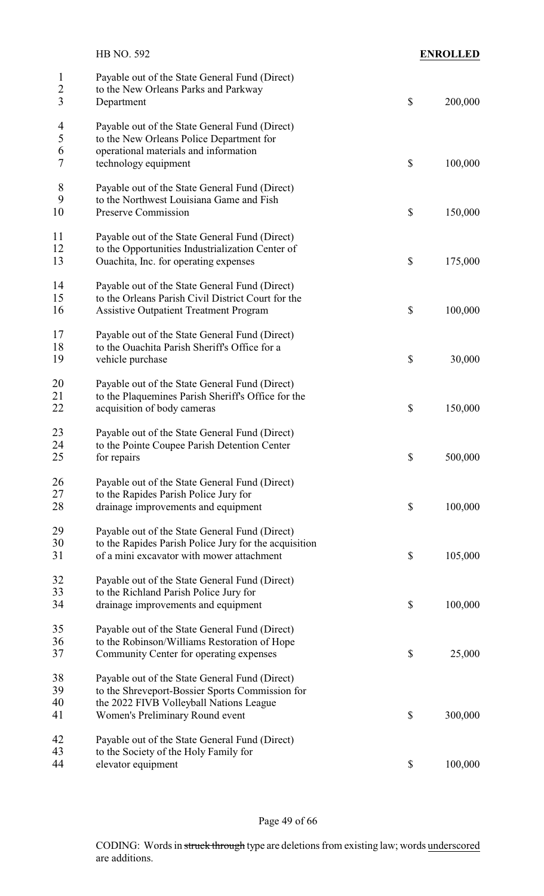|                                                  | HB NO. 592                                                                                                                                                                      | <b>ENROLLED</b> |
|--------------------------------------------------|---------------------------------------------------------------------------------------------------------------------------------------------------------------------------------|-----------------|
| $\mathbf{1}$<br>$\overline{c}$<br>$\overline{3}$ | Payable out of the State General Fund (Direct)<br>to the New Orleans Parks and Parkway<br>Department                                                                            | \$<br>200,000   |
| $\overline{4}$<br>5<br>6<br>7                    | Payable out of the State General Fund (Direct)<br>to the New Orleans Police Department for<br>operational materials and information<br>technology equipment                     | \$<br>100,000   |
| 8<br>9<br>10                                     | Payable out of the State General Fund (Direct)<br>to the Northwest Louisiana Game and Fish<br>Preserve Commission                                                               | \$<br>150,000   |
| 11<br>12<br>13                                   | Payable out of the State General Fund (Direct)<br>to the Opportunities Industrialization Center of<br>Quachita, Inc. for operating expenses                                     | \$<br>175,000   |
| 14<br>15<br>16                                   | Payable out of the State General Fund (Direct)<br>to the Orleans Parish Civil District Court for the<br><b>Assistive Outpatient Treatment Program</b>                           | \$<br>100,000   |
| 17<br>18<br>19                                   | Payable out of the State General Fund (Direct)<br>to the Ouachita Parish Sheriff's Office for a<br>vehicle purchase                                                             | \$<br>30,000    |
| 20<br>21<br>22                                   | Payable out of the State General Fund (Direct)<br>to the Plaquemines Parish Sheriff's Office for the<br>acquisition of body cameras                                             | \$<br>150,000   |
| 23<br>24<br>25                                   | Payable out of the State General Fund (Direct)<br>to the Pointe Coupee Parish Detention Center<br>for repairs                                                                   | \$<br>500,000   |
| 26<br>27<br>28                                   | Payable out of the State General Fund (Direct)<br>to the Rapides Parish Police Jury for<br>drainage improvements and equipment                                                  | \$<br>100,000   |
| 29<br>30<br>31                                   | Payable out of the State General Fund (Direct)<br>to the Rapides Parish Police Jury for the acquisition<br>of a mini excavator with mower attachment                            | \$<br>105,000   |
| 32<br>33<br>34                                   | Payable out of the State General Fund (Direct)<br>to the Richland Parish Police Jury for<br>drainage improvements and equipment                                                 | \$<br>100,000   |
| 35<br>36<br>37                                   | Payable out of the State General Fund (Direct)<br>to the Robinson/Williams Restoration of Hope<br>Community Center for operating expenses                                       | \$<br>25,000    |
| 38<br>39<br>40<br>41                             | Payable out of the State General Fund (Direct)<br>to the Shreveport-Bossier Sports Commission for<br>the 2022 FIVB Volleyball Nations League<br>Women's Preliminary Round event | \$<br>300,000   |
| 42<br>43<br>44                                   | Payable out of the State General Fund (Direct)<br>to the Society of the Holy Family for<br>elevator equipment                                                                   | \$<br>100,000   |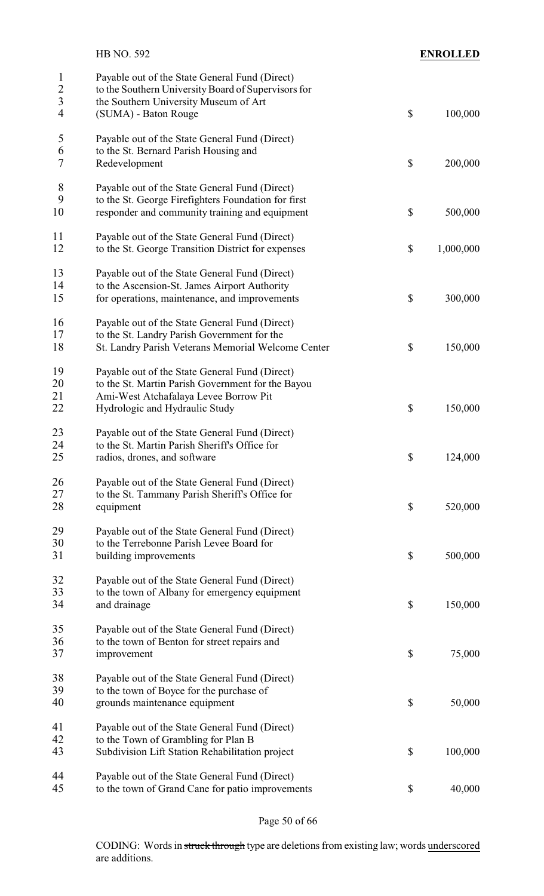|                                    | HB NO. 592                                                                                                                                                                     |                           | <b>ENROLLED</b> |
|------------------------------------|--------------------------------------------------------------------------------------------------------------------------------------------------------------------------------|---------------------------|-----------------|
| $\mathbf{1}$<br>$\frac{2}{3}$<br>4 | Payable out of the State General Fund (Direct)<br>to the Southern University Board of Supervisors for<br>the Southern University Museum of Art<br>(SUMA) - Baton Rouge         | \$                        | 100,000         |
| $\mathfrak s$<br>6<br>7            | Payable out of the State General Fund (Direct)<br>to the St. Bernard Parish Housing and<br>Redevelopment                                                                       | $\boldsymbol{\mathsf{S}}$ | 200,000         |
| 8<br>9<br>10                       | Payable out of the State General Fund (Direct)<br>to the St. George Firefighters Foundation for first<br>responder and community training and equipment                        | \$                        | 500,000         |
| 11<br>12                           | Payable out of the State General Fund (Direct)<br>to the St. George Transition District for expenses                                                                           | \$                        | 1,000,000       |
| 13<br>14<br>15                     | Payable out of the State General Fund (Direct)<br>to the Ascension-St. James Airport Authority<br>for operations, maintenance, and improvements                                | \$                        | 300,000         |
| 16<br>17<br>18                     | Payable out of the State General Fund (Direct)<br>to the St. Landry Parish Government for the<br>St. Landry Parish Veterans Memorial Welcome Center                            | \$                        | 150,000         |
| 19<br>20<br>21<br>22               | Payable out of the State General Fund (Direct)<br>to the St. Martin Parish Government for the Bayou<br>Ami-West Atchafalaya Levee Borrow Pit<br>Hydrologic and Hydraulic Study | \$                        | 150,000         |
| 23<br>24<br>25                     | Payable out of the State General Fund (Direct)<br>to the St. Martin Parish Sheriff's Office for<br>radios, drones, and software                                                | \$                        | 124,000         |
| 26<br>27<br>28                     | Payable out of the State General Fund (Direct)<br>to the St. Tammany Parish Sheriff's Office for<br>equipment                                                                  | $\boldsymbol{\mathsf{S}}$ | 520,000         |
| 29<br>30<br>31                     | Payable out of the State General Fund (Direct)<br>to the Terrebonne Parish Levee Board for<br>building improvements                                                            | \$                        | 500,000         |
| 32<br>33<br>34                     | Payable out of the State General Fund (Direct)<br>to the town of Albany for emergency equipment<br>and drainage                                                                | \$                        | 150,000         |
| 35<br>36<br>37                     | Payable out of the State General Fund (Direct)<br>to the town of Benton for street repairs and<br>improvement                                                                  | \$                        | 75,000          |
| 38<br>39<br>40                     | Payable out of the State General Fund (Direct)<br>to the town of Boyce for the purchase of<br>grounds maintenance equipment                                                    | \$                        | 50,000          |
| 41<br>42<br>43                     | Payable out of the State General Fund (Direct)<br>to the Town of Grambling for Plan B<br>Subdivision Lift Station Rehabilitation project                                       | \$                        | 100,000         |
| 44<br>45                           | Payable out of the State General Fund (Direct)<br>to the town of Grand Cane for patio improvements                                                                             | \$                        | 40,000          |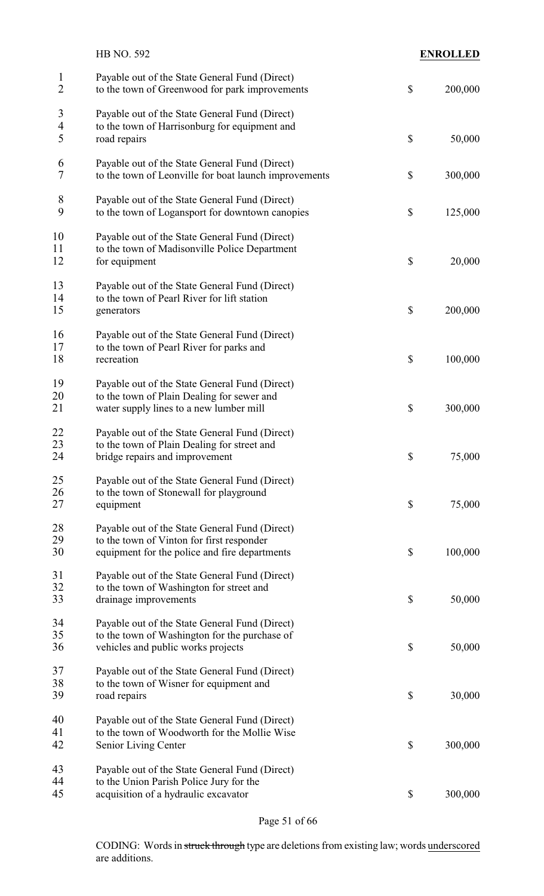|                                    | HB NO. 592                                                                                                                                   |                           | <b>ENROLLED</b> |
|------------------------------------|----------------------------------------------------------------------------------------------------------------------------------------------|---------------------------|-----------------|
| $\mathbf{1}$<br>$\overline{2}$     | Payable out of the State General Fund (Direct)<br>to the town of Greenwood for park improvements                                             | $\boldsymbol{\mathsf{S}}$ | 200,000         |
| 3<br>$\overline{\mathcal{A}}$<br>5 | Payable out of the State General Fund (Direct)<br>to the town of Harrisonburg for equipment and<br>road repairs                              | \$                        | 50,000          |
| 6<br>7                             | Payable out of the State General Fund (Direct)<br>to the town of Leonville for boat launch improvements                                      | \$                        | 300,000         |
| 8<br>9                             | Payable out of the State General Fund (Direct)<br>to the town of Logansport for downtown canopies                                            | \$                        | 125,000         |
| 10<br>11<br>12                     | Payable out of the State General Fund (Direct)<br>to the town of Madisonville Police Department<br>for equipment                             | \$                        | 20,000          |
| 13<br>14<br>15                     | Payable out of the State General Fund (Direct)<br>to the town of Pearl River for lift station<br>generators                                  | \$                        | 200,000         |
| 16<br>17<br>18                     | Payable out of the State General Fund (Direct)<br>to the town of Pearl River for parks and<br>recreation                                     | \$                        | 100,000         |
| 19<br>20<br>21                     | Payable out of the State General Fund (Direct)<br>to the town of Plain Dealing for sewer and<br>water supply lines to a new lumber mill      | \$                        | 300,000         |
| 22<br>23<br>24                     | Payable out of the State General Fund (Direct)<br>to the town of Plain Dealing for street and<br>bridge repairs and improvement              | \$                        | 75,000          |
| 25<br>26<br>27                     | Payable out of the State General Fund (Direct)<br>to the town of Stonewall for playground<br>equipment                                       | \$                        | 75,000          |
| 28<br>29<br>30                     | Payable out of the State General Fund (Direct)<br>to the town of Vinton for first responder<br>equipment for the police and fire departments | \$                        | 100,000         |
| 31<br>32<br>33                     | Payable out of the State General Fund (Direct)<br>to the town of Washington for street and<br>drainage improvements                          | \$                        | 50,000          |
| 34<br>35<br>36                     | Payable out of the State General Fund (Direct)<br>to the town of Washington for the purchase of<br>vehicles and public works projects        | \$                        | 50,000          |
| 37<br>38<br>39                     | Payable out of the State General Fund (Direct)<br>to the town of Wisner for equipment and<br>road repairs                                    | \$                        | 30,000          |
| 40<br>41<br>42                     | Payable out of the State General Fund (Direct)<br>to the town of Woodworth for the Mollie Wise<br>Senior Living Center                       | \$                        | 300,000         |
| 43<br>44<br>45                     | Payable out of the State General Fund (Direct)<br>to the Union Parish Police Jury for the<br>acquisition of a hydraulic excavator            | \$                        | 300,000         |

Page 51 of 66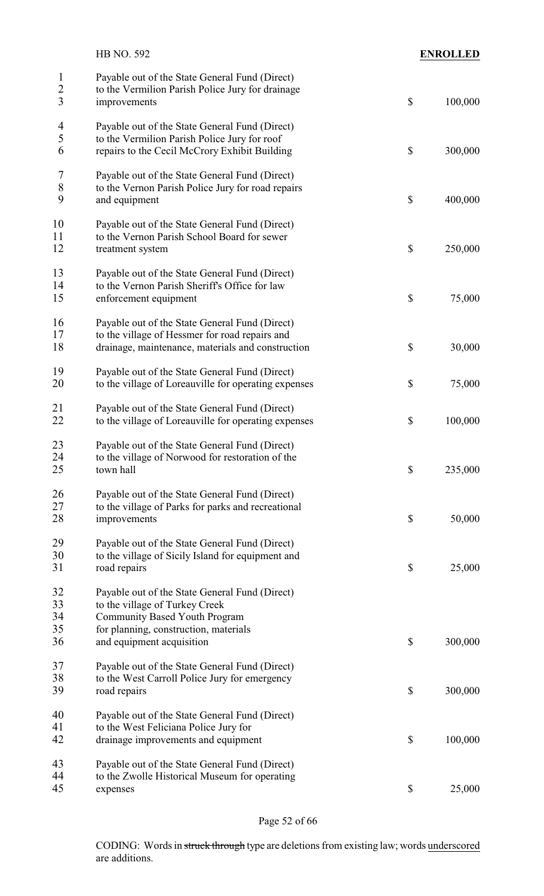|                                                  | HB NO. 592                                                                                                                                                                                     |                           | <b>ENROLLED</b> |
|--------------------------------------------------|------------------------------------------------------------------------------------------------------------------------------------------------------------------------------------------------|---------------------------|-----------------|
| $\mathbf{1}$<br>$\overline{c}$<br>$\overline{3}$ | Payable out of the State General Fund (Direct)<br>to the Vermilion Parish Police Jury for drainage<br>improvements                                                                             | $\mathcal{S}$             | 100,000         |
| $\overline{4}$<br>5<br>6                         | Payable out of the State General Fund (Direct)<br>to the Vermilion Parish Police Jury for roof<br>repairs to the Cecil McCrory Exhibit Building                                                | $\mathcal{S}$             | 300,000         |
| 7<br>8<br>9                                      | Payable out of the State General Fund (Direct)<br>to the Vernon Parish Police Jury for road repairs<br>and equipment                                                                           | $\boldsymbol{\mathsf{S}}$ | 400,000         |
| 10<br>11<br>12                                   | Payable out of the State General Fund (Direct)<br>to the Vernon Parish School Board for sewer<br>treatment system                                                                              | $\boldsymbol{\mathsf{S}}$ | 250,000         |
| 13<br>14<br>15                                   | Payable out of the State General Fund (Direct)<br>to the Vernon Parish Sheriff's Office for law<br>enforcement equipment                                                                       | $\boldsymbol{\mathsf{S}}$ | 75,000          |
| 16<br>17<br>18                                   | Payable out of the State General Fund (Direct)<br>to the village of Hessmer for road repairs and<br>drainage, maintenance, materials and construction                                          | \$                        | 30,000          |
| 19<br>20                                         | Payable out of the State General Fund (Direct)<br>to the village of Loreauville for operating expenses                                                                                         | $\boldsymbol{\mathsf{S}}$ | 75,000          |
| 21<br>22                                         | Payable out of the State General Fund (Direct)<br>to the village of Loreauville for operating expenses                                                                                         | $\boldsymbol{\mathsf{S}}$ | 100,000         |
| 23<br>24<br>25                                   | Payable out of the State General Fund (Direct)<br>to the village of Norwood for restoration of the<br>town hall                                                                                | $\boldsymbol{\mathsf{S}}$ | 235,000         |
| 26<br>27<br>28                                   | Payable out of the State General Fund (Direct)<br>to the village of Parks for parks and recreational<br>improvements                                                                           | $\boldsymbol{\mathsf{S}}$ | 50,000          |
| 29<br>30<br>31                                   | Payable out of the State General Fund (Direct)<br>to the village of Sicily Island for equipment and<br>road repairs                                                                            | $\boldsymbol{\mathsf{S}}$ | 25,000          |
| 32<br>33<br>34<br>35<br>36                       | Payable out of the State General Fund (Direct)<br>to the village of Turkey Creek<br><b>Community Based Youth Program</b><br>for planning, construction, materials<br>and equipment acquisition | $\boldsymbol{\mathsf{S}}$ | 300,000         |
| 37<br>38<br>39                                   | Payable out of the State General Fund (Direct)<br>to the West Carroll Police Jury for emergency<br>road repairs                                                                                | $\boldsymbol{\mathsf{S}}$ | 300,000         |
| 40<br>41<br>42                                   | Payable out of the State General Fund (Direct)<br>to the West Feliciana Police Jury for<br>drainage improvements and equipment                                                                 | $\boldsymbol{\mathsf{S}}$ | 100,000         |
| 43<br>44<br>45                                   | Payable out of the State General Fund (Direct)<br>to the Zwolle Historical Museum for operating<br>expenses                                                                                    | $\mathcal{S}$             | 25,000          |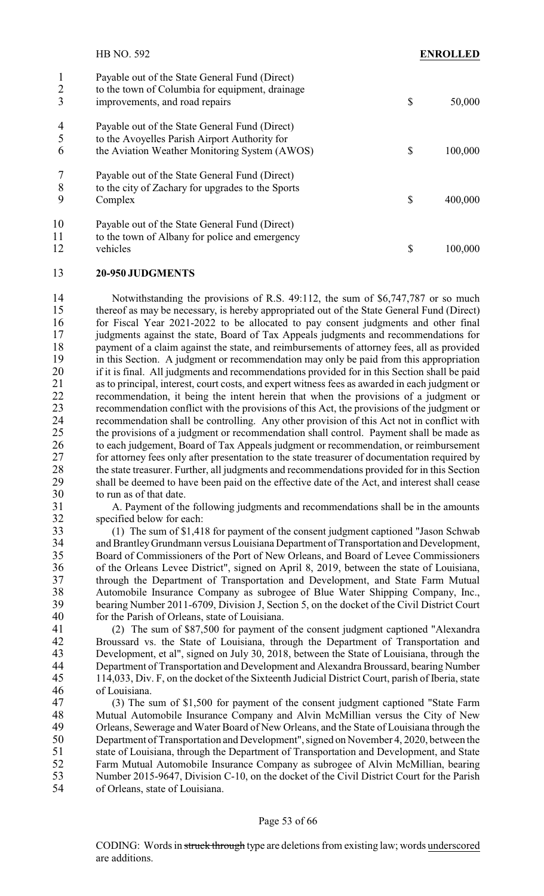|                | <b>HB NO. 592</b>                                                                                                                                | ENROLLED      |
|----------------|--------------------------------------------------------------------------------------------------------------------------------------------------|---------------|
| 2<br>3         | Payable out of the State General Fund (Direct)<br>to the town of Columbia for equipment, drainage<br>improvements, and road repairs              | \$<br>50,000  |
| 4<br>5<br>6    | Payable out of the State General Fund (Direct)<br>to the Avoyelles Parish Airport Authority for<br>the Aviation Weather Monitoring System (AWOS) | \$<br>100,000 |
| 8<br>9         | Payable out of the State General Fund (Direct)<br>to the city of Zachary for upgrades to the Sports<br>Complex                                   | \$<br>400,000 |
| 10<br>11<br>12 | Payable out of the State General Fund (Direct)<br>to the town of Albany for police and emergency<br>vehicles                                     | \$<br>100,000 |

#### 13 **20-950 JUDGMENTS**

14 Notwithstanding the provisions of R.S. 49:112, the sum of \$6,747,787 or so much 15 thereof as may be necessary, is hereby appropriated out of the State General Fund (Direct) 16 for Fiscal Year 2021-2022 to be allocated to pay consent judgments and other final 17 judgments against the state, Board of Tax Appeals judgments and recommendations for<br>18 novement of a claim against the state, and reimbursements of attorney fees, all as provided 18 payment of a claim against the state, and reimbursements of attorney fees, all as provided<br>19 in this Section. A judgment or recommendation may only be paid from this appropriation 19 in this Section. A judgment or recommendation may only be paid from this appropriation<br>20 if it is final. All judgments and recommendations provided for in this Section shall be paid 20 if it is final. All judgments and recommendations provided for in this Section shall be paid<br>21 as to principal. interest, court costs, and expert witness fees as awarded in each judgment or 21 as to principal, interest, court costs, and expert witness fees as awarded in each judgment or recommendation, it being the intent herein that when the provisions of a judgment or 22 recommendation, it being the intent herein that when the provisions of a judgment or recommendation conflict with the provisions of this Act. the provisions of the iudgment or 23 recommendation conflict with the provisions of this Act, the provisions of the judgment or<br>24 recommendation shall be controlling. Any other provision of this Act not in conflict with recommendation shall be controlling. Any other provision of this Act not in conflict with 25 the provisions of a judgment or recommendation shall control. Payment shall be made as 26 to each judgement, Board of Tax Appeals judgment or recommendation, or reimbursement 27 for attorney fees only after presentation to the state treasurer of documentation required by 28 the state treasurer. Further, all judgments and recommendations provided for in this Section<br>29 shall be deemed to have been paid on the effective date of the Act, and interest shall cease 29 shall be deemed to have been paid on the effective date of the Act, and interest shall cease<br>30 to run as of that date. 30 to run as of that date.<br>31 A. Payment of the

31 A. Payment of the following judgments and recommendations shall be in the amounts specified below for each: specified below for each:

33 (1) The sum of \$1,418 for payment of the consent judgment captioned "Jason Schwab and Brantley Grundmann versus Louisiana Department of Transportation and Development, 35 Board of Commissioners of the Port of New Orleans, and Board of Levee Commissioners 36 of the Orleans Levee District", signed on April 8, 2019, between the state of Louisiana, 37 through the Department of Transportation and Development, and State Farm Mutual 38 Automobile Insurance Company as subrogee of Blue Water Shipping Company, Inc.,<br>39 bearing Number 2011-6709 Division J. Section 5 on the docket of the Civil District Court 39 bearing Number 2011-6709, Division J, Section 5, on the docket of the Civil District Court<br>40 for the Parish of Orleans, state of Louisiana. for the Parish of Orleans, state of Louisiana.

 (2) The sum of \$87,500 for payment of the consent judgment captioned "Alexandra Broussard vs. the State of Louisiana, through the Department of Transportation and 43 Development, et al", signed on July 30, 2018, between the State of Louisiana, through the<br>44 Department of Transportation and Development and Alexandra Broussard, bearing Number Department of Transportation and Development and Alexandra Broussard, bearing Number 114,033, Div. F, on the docket of the Sixteenth Judicial District Court, parish of Iberia, state of Louisiana.

 (3) The sum of \$1,500 for payment of the consent judgment captioned "State Farm 48 Mutual Automobile Insurance Company and Alvin McMillian versus the City of New<br>49 Orleans, Sewerage and Water Board of New Orleans, and the State of Louisiana through the 49 Orleans, Sewerage and Water Board of New Orleans, and the State of Louisiana through the<br>50 Department of Transportation and Development", signed on November 4, 2020, between the Department of Transportation and Development", signed on November 4, 2020, between the state of Louisiana, through the Department of Transportation and Development, and State Farm Mutual Automobile Insurance Company as subrogee of Alvin McMillian, bearing Number 2015-9647, Division C-10, on the docket of the Civil District Court for the Parish of Orleans, state of Louisiana.

#### Page 53 of 66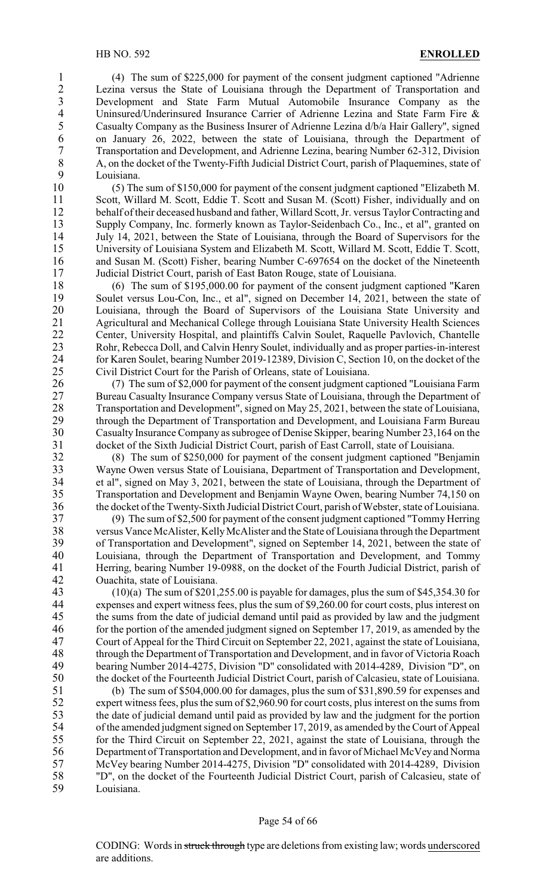1 (4) The sum of \$225,000 for payment of the consent judgment captioned "Adrienne 2 Lezina versus the State of Louisiana through the Department of Transportation and<br>3 Development and State Farm Mutual Automobile Insurance Company as the 3 Development and State Farm Mutual Automobile Insurance Company as the Uninsured/Underinsured Insurance Carrier of Adrienne Lezina and State Farm Fire & 4 Uninsured/Underinsured Insurance Carrier of Adrienne Lezina and State Farm Fire & Casualty Company as the Business Insurer of Adrienne Lezina d/b/a Hair Gallery", signed 5 Casualty Company as the Business Insurer of Adrienne Lezina d/b/a Hair Gallery", signed<br>6 on January 26, 2022, between the state of Louisiana, through the Department of 6 on January 26, 2022, between the state of Louisiana, through the Department of Transportation and Development, and Adrienne Lezina, bearing Number 62-312, Division 7 Transportation and Development, and Adrienne Lezina, bearing Number 62-312, Division 8 A, on the docket of the Twenty-Fifth Judicial District Court, parish of Plaquemines, state of<br>9 Iouisiana 9 Louisiana.<br>10 (5) The

 $(5)$  The sum of \$150,000 for payment of the consent judgment captioned "Elizabeth M. Scott, Willard M. Scott, Eddie T. Scott and Susan M. (Scott) Fisher, individually and on behalf of their deceased husband and father, Willard Scott, Jr. versus Taylor Contracting and 13 Supply Company, Inc. formerly known as Taylor-Seidenbach Co., Inc., et al", granted on July 14, 2021, between the State of Louisiana, through the Board of Supervisors for the July 14, 2021, between the State of Louisiana, through the Board of Supervisors for the University of Louisiana System and Elizabeth M. Scott, Willard M. Scott, Eddie T. Scott, 16 and Susan M. (Scott) Fisher, bearing Number C-697654 on the docket of the Nineteenth Judicial District Court, parish of East Baton Rouge, state of Louisiana.

18 (6) The sum of \$195,000.00 for payment of the consent judgment captioned "Karen<br>19 Soulet versus Lou-Con, Inc., et al", signed on December 14, 2021, between the state of Soulet versus Lou-Con, Inc., et al", signed on December 14, 2021, between the state of 20 Louisiana, through the Board of Supervisors of the Louisiana State University and 21 Agricultural and Mechanical College through Louisiana State University Health Sciences 22 Center, University Hospital, and plaintiffs Calvin Soulet, Raquelle Pavlovich, Chantelle<br>23 Rohr, Rebecca Doll, and Calvin Henry Soulet, individually and as proper parties-in-interest Rohr, Rebecca Doll, and Calvin Henry Soulet, individually and as proper parties-in-interest 24 for Karen Soulet, bearing Number 2019-12389, Division C, Section 10, on the docket of the<br>25 Civil District Court for the Parish of Orleans, state of Louisiana. Civil District Court for the Parish of Orleans, state of Louisiana.

 (7) The sum of \$2,000 for payment of the consent judgment captioned "Louisiana Farm Bureau Casualty Insurance Company versus State of Louisiana, through the Department of 28 Transportation and Development", signed on May 25, 2021, between the state of Louisiana,<br>29 through the Department of Transportation and Development, and Louisiana Farm Bureau through the Department of Transportation and Development, and Louisiana Farm Bureau Casualty Insurance Company as subrogee of Denise Skipper, bearing Number 23,164 on the docket of the Sixth Judicial District Court, parish of East Carroll, state of Louisiana.

32 (8) The sum of \$250,000 for payment of the consent judgment captioned "Benjamin 33 Wayne Owen versus State of Louisiana, Department of Transportation and Development,<br>34 et al", signed on May 3, 2021, between the state of Louisiana, through the Department of 34 et al", signed on May 3, 2021, between the state of Louisiana, through the Department of<br>35 Transportation and Development and Benjamin Wayne Owen, bearing Number 74,150 on Transportation and Development and Benjamin Wayne Owen, bearing Number 74,150 on 36 the docket of the Twenty-Sixth Judicial District Court, parish of Webster, state of Louisiana.

37 (9) The sum of \$2,500 for payment of the consent judgment captioned "Tommy Herring 38 versus Vance McAlister, Kelly McAlister and the State of Louisiana through the Department<br>39 of Transportation and Development", signed on September 14, 2021, between the state of of Transportation and Development", signed on September 14, 2021, between the state of 40 Louisiana, through the Department of Transportation and Development, and Tommy 41 Herring, bearing Number 19-0988, on the docket of the Fourth Judicial District, parish of Quachita, state of Louisiana. Ouachita, state of Louisiana.

43 (10)(a) The sum of \$201,255.00 is payable for damages, plus the sum of \$45,354.30 for<br>44 expenses and expert witness fees plus the sum of \$9 260 00 for court costs plus interest on 44 expenses and expert witness fees, plus the sum of \$9,260.00 for court costs, plus interest on the sums from the date of iudicial demand until paid as provided by law and the iudgment the sums from the date of judicial demand until paid as provided by law and the judgment 46 for the portion of the amended judgment signed on September 17, 2019, as amended by the 47 Court of Appeal for the Third Circuit on September 22, 2021, against the state of Louisiana, 48 through the Department of Transportation and Development, and in favor of Victoria Roach<br>49 bearing Number 2014-4275. Division "D" consolidated with 2014-4289. Division "D", on 49 bearing Number 2014-4275, Division "D" consolidated with 2014-4289, Division "D", on 50 the docket of the Fourteenth Judicial District Court, parish of Calcasieu, state of Louisiana.

 (b) The sum of \$504,000.00 for damages, plus the sum of \$31,890.59 for expenses and expert witness fees, plus the sum of \$2,960.90 for court costs, plus interest on the sums from 53 the date of judicial demand until paid as provided by law and the judgment for the portion<br>54 of the amended judgment signed on September 17, 2019, as amended by the Court of Appeal 54 of the amended judgment signed on September 17, 2019, as amended by the Court of Appeal<br>55 for the Third Circuit on September 22, 2021, against the state of Louisiana, through the for the Third Circuit on September 22, 2021, against the state of Louisiana, through the Department of Transportation and Development, and in favor of Michael McVeyand Norma McVey bearing Number 2014-4275, Division "D" consolidated with 2014-4289, Division "D", on the docket of the Fourteenth Judicial District Court, parish of Calcasieu, state of Louisiana.

#### Page 54 of 66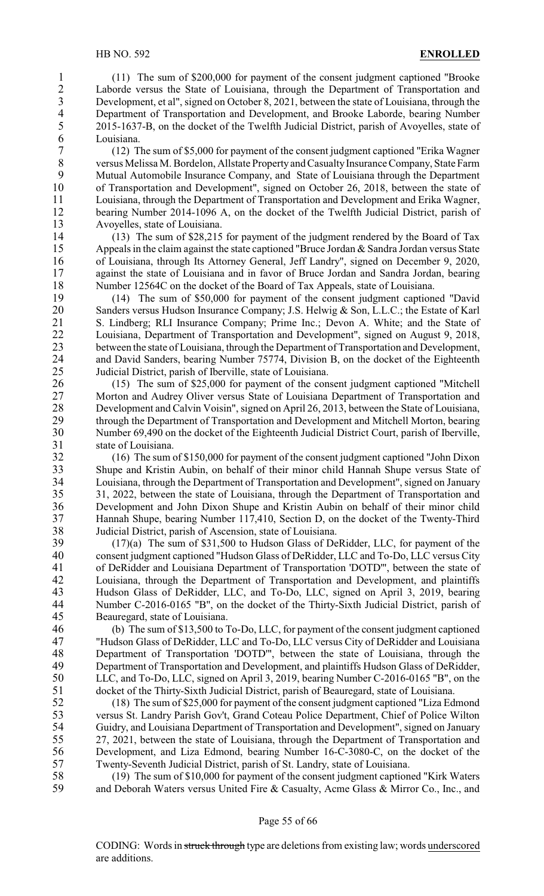1 (11) The sum of \$200,000 for payment of the consent judgment captioned "Brooke<br>2 Laborde versus the State of Louisiana, through the Department of Transportation and 2 Laborde versus the State of Louisiana, through the Department of Transportation and<br>3 Development, et al", signed on October 8, 2021, between the state of Louisiana, through the 3 Development, et al", signed on October 8, 2021, between the state of Louisiana, through the<br>4 Department of Transportation and Development, and Brooke Laborde, bearing Number 4 Department of Transportation and Development, and Brooke Laborde, bearing Number<br>5 2015-1637-B, on the docket of the Twelfth Judicial District, parish of Avoyelles, state of 5 2015-1637-B, on the docket of the Twelfth Judicial District, parish of Avoyelles, state of  $\begin{array}{cc} 6 & \text{Louisiana.} \\ 7 & (12) \end{array}$ 

7 (12) The sum of \$5,000 for payment of the consent judgment captioned "Erika Wagner 8 versus Melissa M. Bordelon, Allstate Property and Casualty Insurance Company, State Farm<br>9 Mutual Automobile Insurance Company and State of Louisiana through the Department 9 Mutual Automobile Insurance Company, and State of Louisiana through the Department 10 of Transportation and Development", signed on October 26, 2018, between the state of of Transportation and Development", signed on October 26, 2018, between the state of 11 Louisiana, through the Department of Transportation and Development and Erika Wagner, 12 bearing Number 2014-1096 A, on the docket of the Twelfth Judicial District, parish of 13 Avoyelles, state of Louisiana.<br>14 (13) The sum of \$28.215

14 (13) The sum of \$28,215 for payment of the judgment rendered by the Board of Tax 15 Appeals in the claim against the state captioned "Bruce Jordan & Sandra Jordan versus State" 16 of Louisiana, through Its Attorney General, Jeff Landry", signed on December 9, 2020, 17 against the state of Louisiana and in favor of Bruce Jordan and Sandra Jordan, bearing 18 Number 12564C on the docket of the Board of Tax Appeals, state of Louisiana.

19 (14) The sum of \$50,000 for payment of the consent judgment captioned "David 20 Sanders versus Hudson Insurance Company; J.S. Helwig & Son, L.L.C.; the Estate of Karl 21 S. Lindberg; RLI Insurance Company; Prime Inc.; Devon A. White; and the State of 22 Louisiana, Department of Transportation and Development", signed on August 9, 2018,<br>23 between the state of Louisiana, through the Department of Transportation and Development. between the state of Louisiana, through the Department of Transportation and Development, 24 and David Sanders, bearing Number 75774, Division B, on the docket of the Eighteenth<br>25 Judicial District, parish of Iberville, state of Louisiana. Judicial District, parish of Iberville, state of Louisiana.

 (15) The sum of \$25,000 for payment of the consent judgment captioned "Mitchell Morton and Audrey Oliver versus State of Louisiana Department of Transportation and Development and Calvin Voisin", signed on April 26, 2013, between the State of Louisiana, through the Department of Transportation and Development and Mitchell Morton, bearing Number 69,490 on the docket of the Eighteenth Judicial District Court, parish of Iberville, state of Louisiana.

32 (16) The sum of \$150,000 for payment of the consent judgment captioned "John Dixon 33 Shupe and Kristin Aubin, on behalf of their minor child Hannah Shupe versus State of Louisiana, through the Department of Transportation and Development", signed on January 34 Louisiana, through the Department of Transportation and Development", signed on January<br>35 31, 2022, between the state of Louisiana, through the Department of Transportation and 31, 2022, between the state of Louisiana, through the Department of Transportation and 36 Development and John Dixon Shupe and Kristin Aubin on behalf of their minor child 37 Hannah Shupe, bearing Number 117,410, Section D, on the docket of the Twenty-Third 38 Judicial District, parish of Ascension, state of Louisiana.<br>39 (17)(a) The sum of \$31.500 to Hudson Glass of De

 $(17)(a)$  The sum of \$31,500 to Hudson Glass of DeRidder, LLC, for payment of the 40 consent judgment captioned "Hudson Glass of DeRidder, LLC and To-Do, LLC versus City 41 of DeRidder and Louisiana Department of Transportation 'DOTD'", between the state of 42 Louisiana, through the Department of Transportation and Development, and plaintiffs 43 Hudson Glass of DeRidder, LLC, and To-Do, LLC, signed on April 3, 2019, bearing<br>44 Number C-2016-0165 "B" on the docket of the Thirty-Sixth Judicial District parish of 44 Number C-2016-0165 "B", on the docket of the Thirty-Sixth Judicial District, parish of<br>45 Beauregard, state of Louisiana. 45 Beauregard, state of Louisiana.<br>46 (b) The sum of \$13,500 to 1

 (b) The sum of \$13,500 to To-Do, LLC, for payment of the consent judgment captioned "Hudson Glass of DeRidder, LLC and To-Do, LLC versus City of DeRidder and Louisiana Department of Transportation 'DOTD'", between the state of Louisiana, through the Department of Transportation and Development, and plaintiffs Hudson Glass of DeRidder, LLC, and To-Do, LLC, signed on April 3, 2019, bearing Number C-2016-0165 "B", on the docket of the Thirty-Sixth Judicial District, parish of Beauregard, state of Louisiana.

 (18) The sum of \$25,000 for payment of the consent judgment captioned "Liza Edmond 53 versus St. Landry Parish Gov't, Grand Coteau Police Department, Chief of Police Wilton<br>54 Guidry, and Louisiana Department of Transportation and Development", signed on January Guidry, and Louisiana Department of Transportation and Development", signed on January 27, 2021, between the state of Louisiana, through the Department of Transportation and Development, and Liza Edmond, bearing Number 16-C-3080-C, on the docket of the Twenty-Seventh Judicial District, parish of St. Landry, state of Louisiana.

58 (19) The sum of \$10,000 for payment of the consent judgment captioned "Kirk Waters 59 and Deborah Waters versus United Fire & Casualty, Acme Glass & Mirror Co., Inc., and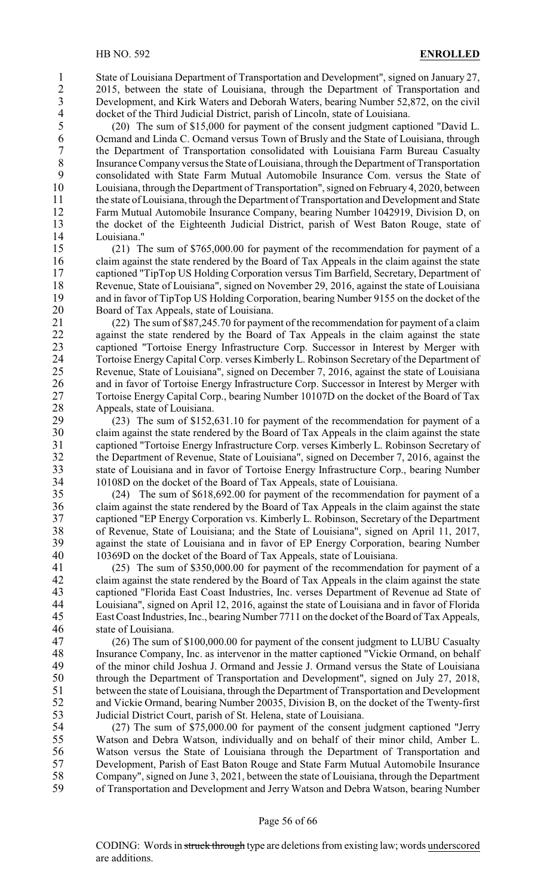1 State of Louisiana Department of Transportation and Development", signed on January 27,<br>2015, between the state of Louisiana, through the Department of Transportation and 2 2015, between the state of Louisiana, through the Department of Transportation and<br>3 Development, and Kirk Waters and Deborah Waters, bearing Number 52,872, on the civil 3 Development, and Kirk Waters and Deborah Waters, bearing Number 52,872, on the civil<br>4 docket of the Third Judicial District, parish of Lincoln, state of Louisiana. 4 docket of the Third Judicial District, parish of Lincoln, state of Louisiana.<br>5 (20) The sum of \$15,000 for payment of the consent judgment capti

5 (20) The sum of \$15,000 for payment of the consent judgment captioned "David L.<br>6 Ocmand and Linda C. Ocmand versus Town of Brusly and the State of Louisiana, through 6 Ocmand and Linda C. Ocmand versus Town of Brusly and the State of Louisiana, through<br>
<sup>7</sup> the Department of Transportation consolidated with Louisiana Farm Bureau Casualty 7 the Department of Transportation consolidated with Louisiana Farm Bureau Casualty 8 Insurance Company versus the State of Louisiana, through the Department of Transportation<br>9 consolidated with State Farm Mutual Automobile Insurance Compressus the State of 9 consolidated with State Farm Mutual Automobile Insurance Com. versus the State of Louisiana, through the Department of Transportation", signed on February 4, 2020, between Louisiana, through the Department of Transportation", signed on February 4, 2020, between 11 the state of Louisiana, through the Department of Transportation and Development and State 12 Farm Mutual Automobile Insurance Company, bearing Number 1042919, Division D, on 13 the docket of the Eighteenth Judicial District, parish of West Baton Rouge, state of Louisiana." Louisiana."

 (21) The sum of \$765,000.00 for payment of the recommendation for payment of a claim against the state rendered by the Board of Tax Appeals in the claim against the state captioned "TipTop US Holding Corporation versus Tim Barfield, Secretary, Department of 18 Revenue, State of Louisiana", signed on November 29, 2016, against the state of Louisiana<br>19 and in favor of TipTop US Holding Corporation, bearing Number 9155 on the docket of the and in favor of TipTop US Holding Corporation, bearing Number 9155 on the docket of the Board of Tax Appeals, state of Louisiana.

21 (22) The sum of \$87,245.70 for payment of the recommendation for payment of a claim 22 against the state rendered by the Board of Tax Appeals in the claim against the state<br>23 captioned "Tortoise Energy Infrastructure Corp. Successor in Interest by Merger with 23 captioned "Tortoise Energy Infrastructure Corp. Successor in Interest by Merger with<br>24 Tortoise Energy Capital Corp. verses Kimberly L. Robinson Secretary of the Department of 24 Tortoise Energy Capital Corp. verses Kimberly L. Robinson Secretary of the Department of<br>25 Revenue. State of Louisiana", signed on December 7, 2016, against the state of Louisiana Revenue, State of Louisiana", signed on December 7, 2016, against the state of Louisiana 26 and in favor of Tortoise Energy Infrastructure Corp. Successor in Interest by Merger with 27 Tortoise Energy Capital Corp., bearing Number 10107D on the docket of the Board of Tax 28 Appeals, state of Louisiana.<br>29 (23) The sum of \$152.

 (23) The sum of \$152,631.10 for payment of the recommendation for payment of a claim against the state rendered by the Board of Tax Appeals in the claim against the state captioned "Tortoise Energy Infrastructure Corp. verses Kimberly L. Robinson Secretary of the Department of Revenue, State of Louisiana", signed on December 7, 2016, against the 33 state of Louisiana and in favor of Tortoise Energy Infrastructure Corp., bearing Number<br>34 10108D on the docket of the Board of Tax Appeals, state of Louisiana. 34 10108D on the docket of the Board of Tax Appeals, state of Louisiana.<br>35 (24) The sum of \$618,692.00 for payment of the recommendation

 $(24)$  The sum of \$618,692.00 for payment of the recommendation for payment of a 36 claim against the state rendered by the Board of Tax Appeals in the claim against the state 37 captioned "EP Energy Corporation vs. Kimberly L. Robinson, Secretary of the Department 38 of Revenue, State of Louisiana; and the State of Louisiana", signed on April 11, 2017,<br>39 against the state of Louisiana and in favor of EP Energy Corporation, bearing Number against the state of Louisiana and in favor of EP Energy Corporation, bearing Number 40 10369D on the docket of the Board of Tax Appeals, state of Louisiana.

41 (25) The sum of \$350,000.00 for payment of the recommendation for payment of a<br>42 claim against the state rendered by the Board of Tax Appeals in the claim against the state 42 claim against the state rendered by the Board of Tax Appeals in the claim against the state<br>43 captioned "Florida East Coast Industries. Inc. verses Department of Revenue ad State of 43 captioned "Florida East Coast Industries, Inc. verses Department of Revenue ad State of Louisiana and in favor of Florida 44 Louisiana", signed on April 12, 2016, against the state of Louisiana and in favor of Florida<br>45 East Coast Industries. Inc., bearing Number 7711 on the docket of the Board of Tax Appeals. East Coast Industries, Inc., bearing Number 7711 on the docket of the Board of Tax Appeals, 46 state of Louisiana.

47 (26) The sum of \$100,000.00 for payment of the consent judgment to LUBU Casualty 18 Insurance Company, Inc. as intervenor in the matter captioned "Vickie Ormand, on behalf<br>19 of the minor child Joshua J. Ormand and Jessie J. Ormand versus the State of Louisiana of the minor child Joshua J. Ormand and Jessie J. Ormand versus the State of Louisiana 50 through the Department of Transportation and Development", signed on July 27, 2018, 51 between the state of Louisiana, through the Department of Transportation and Development 52 and Vickie Ormand, bearing Number 20035, Division B, on the docket of the Twenty-first 53 Judicial District Court, parish of St. Helena, state of Louisiana.<br>54 (27) The sum of \$75,000.00 for payment of the consent

54 (27) The sum of \$75,000.00 for payment of the consent judgment captioned "Jerry<br>55 Watson and Debra Watson, individually and on behalf of their minor child, Amber L. Watson and Debra Watson, individually and on behalf of their minor child, Amber L. Watson versus the State of Louisiana through the Department of Transportation and Development, Parish of East Baton Rouge and State Farm Mutual Automobile Insurance Company", signed on June 3, 2021, between the state of Louisiana, through the Department of Transportation and Development and Jerry Watson and Debra Watson, bearing Number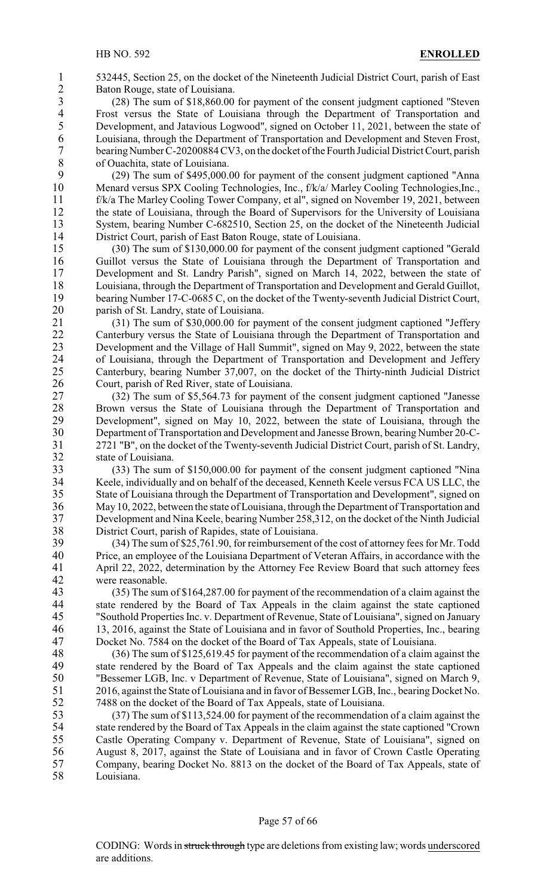1 532445, Section 25, on the docket of the Nineteenth Judicial District Court, parish of East<br>2 Baton Rouge, state of Louisiana. 2 Baton Rouge, state of Louisiana.<br>3 (28) The sum of \$18,860.00

3 (28) The sum of \$18,860.00 for payment of the consent judgment captioned "Steven 4 Frost versus the State of Louisiana through the Department of Transportation and<br>5 Development, and Jatavious Logwood", signed on October 11, 2021, between the state of 5 Development, and Jatavious Logwood", signed on October 11, 2021, between the state of Louisiana, through the Department of Transportation and Development and Steven Frost. 6 Louisiana, through the Department of Transportation and Development and Steven Frost,<br>7 bearing Number C-20200884 CV3, on the docket of the Fourth Judicial District Court, parish bearing Number C-20200884 CV3, on the docket of the Fourth Judicial District Court, parish 8 of Ouachita, state of Louisiana.<br>9 (29) The sum of \$495 000

9 (29) The sum of \$495,000.00 for payment of the consent judgment captioned "Anna<br>10 Menard versus SPX Cooling Technologies. Inc., f/k/a/ Marley Cooling Technologies. Inc., 10 Menard versus SPX Cooling Technologies, Inc., f/k/a/ Marley Cooling Technologies,Inc., 11 f/k/a The Marley Cooling Tower Company, et al", signed on November 19, 2021, between 12 the state of Louisiana, through the Board of Supervisors for the University of Louisiana 13 System, bearing Number C-682510, Section 25, on the docket of the Nineteenth Judicial<br>14 District Court, parish of East Baton Rouge, state of Louisiana. District Court, parish of East Baton Rouge, state of Louisiana.

15 (30) The sum of \$130,000.00 for payment of the consent judgment captioned "Gerald 16 Guillot versus the State of Louisiana through the Department of Transportation and 17 Development and St. Landry Parish", signed on March 14, 2022, between the state of 18 Louisiana, through the Department of Transportation and Development and Gerald Guillot,<br>19 bearing Number 17-C-0685 C, on the docket of the Twenty-seventh Judicial District Court, bearing Number 17-C-0685 C, on the docket of the Twenty-seventh Judicial District Court, 20 parish of St. Landry, state of Louisiana.

21 (31) The sum of \$30,000.00 for payment of the consent judgment captioned "Jeffery 22 Canterbury versus the State of Louisiana through the Department of Transportation and<br>23 Development and the Village of Hall Summit", signed on May 9, 2022, between the state 23 Development and the Village of Hall Summit", signed on May 9, 2022, between the state<br>24 of Louisiana, through the Department of Transportation and Development and Jefferv 24 of Louisiana, through the Department of Transportation and Development and Jeffery<br>25 Canterbury, bearing Number 37,007, on the docket of the Thirty-ninth Judicial District 25 Canterbury, bearing Number 37,007, on the docket of the Thirty-ninth Judicial District 26 Court, parish of Red River, state of Louisiana.

 (32) The sum of \$5,564.73 for payment of the consent judgment captioned "Janesse 28 Brown versus the State of Louisiana through the Department of Transportation and Development", signed on May 10, 2022, between the state of Louisiana, through the Development", signed on May 10, 2022, between the state of Louisiana, through the Department of Transportation and Development and Janesse Brown, bearing Number 20-C- 2721 "B", on the docket of the Twenty-seventh Judicial District Court, parish of St. Landry, state of Louisiana.

33 (33) The sum of \$150,000.00 for payment of the consent judgment captioned "Nina 34 Keele, individually and on behalf of the deceased, Kenneth Keele versus FCA US LLC, the<br>35 State of Louisiana through the Department of Transportation and Development", signed on State of Louisiana through the Department of Transportation and Development", signed on 36 May 10, 2022, between the state of Louisiana, through the Department of Transportation and 37 Development and Nina Keele, bearing Number 258,312, on the docket of the Ninth Judicial 38 District Court, parish of Rapides, state of Louisiana.<br>39 (34) The sum of \$25,761.90, for reimbursement of

39 (34) The sum of \$25,761.90, for reimbursement of the cost of attorney fees for Mr. Todd 40 Price, an employee of the Louisiana Department of Veteran Affairs, in accordance with the 41 April 22, 2022, determination by the Attorney Fee Review Board that such attorney fees<br>42 were reasonable.

43 (35) The sum of \$164,287.00 for payment of the recommendation of a claim against the state rendered by the Board of Tax Appeals in the claim against the state captioned 44 state rendered by the Board of Tax Appeals in the claim against the state captioned<br>45 Southold Properties Inc. v. Department of Revenue. State of Louisiana'', signed on January "Southold Properties Inc. v. Department of Revenue, State of Louisiana", signed on January 46 13, 2016, against the State of Louisiana and in favor of Southold Properties, Inc., bearing 47 Docket No. 7584 on the docket of the Board of Tax Appeals, state of Louisiana.

48 (36) The sum of \$125,619.45 for payment of the recommendation of a claim against the state rendered by the Board of Tax Appeals and the claim against the state captioned state rendered by the Board of Tax Appeals and the claim against the state captioned 50 "Bessemer LGB, Inc. v Department of Revenue, State of Louisiana", signed on March 9, 51 2016, against the State of Louisiana and in favor of Bessemer LGB, Inc., bearing Docket No. 52 7488 on the docket of the Board of Tax Appeals, state of Louisiana.

53 (37) The sum of \$113,524.00 for payment of the recommendation of a claim against the state rendered by the Board of Tax Appeals in the claim against the state captioned "Crown" state rendered by the Board of Tax Appeals in the claim against the state captioned "Crown" Castle Operating Company v. Department of Revenue, State of Louisiana", signed on August 8, 2017, against the State of Louisiana and in favor of Crown Castle Operating Company, bearing Docket No. 8813 on the docket of the Board of Tax Appeals, state of Louisiana.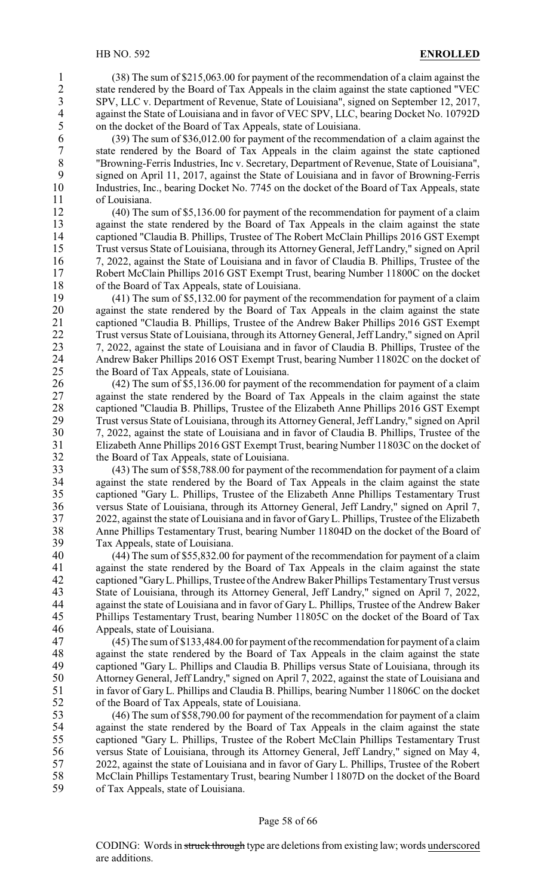1 (38) The sum of \$215,063.00 for payment of the recommendation of a claim against the state rendered by the Board of Tax Appeals in the claim against the state captioned "VEC 2 state rendered by the Board of Tax Appeals in the claim against the state captioned "VEC<br>3 SPV, LLC v. Department of Revenue, State of Louisiana", signed on September 12, 2017, SPV, LLC v. Department of Revenue, State of Louisiana", signed on September 12, 2017,<br>against the State of Louisiana and in favor of VEC SPV. LLC. bearing Docket No. 10792D 4 against the State of Louisiana and in favor of VEC SPV, LLC, bearing Docket No. 10792D<br>5 on the docket of the Board of Tax Appeals, state of Louisiana. 5 on the docket of the Board of Tax Appeals, state of Louisiana.<br>6 (39) The sum of \$36,012,00 for payment of the recommence

6 (39) The sum of \$36,012.00 for payment of the recommendation of a claim against the 7 state rendered by the Board of Tax Appeals in the claim against the state captioned <br><sup>8</sup> TBrowning-Ferris Industries, Inc v. Secretary, Department of Revenue, State of Louisiana", 8 "Browning-Ferris Industries, Inc v. Secretary, Department of Revenue, State of Louisiana",<br>9 signed on April 11 2017 against the State of Louisiana and in favor of Browning-Ferris 9 signed on April 11, 2017, against the State of Louisiana and in favor of Browning-Ferris 10 Industries. Inc., bearing Docket No. 7745 on the docket of the Board of Tax Appeals, state Industries, Inc., bearing Docket No. 7745 on the docket of the Board of Tax Appeals, state 11 of Louisiana.

12 (40) The sum of \$5,136.00 for payment of the recommendation for payment of a claim 13 against the state rendered by the Board of Tax Appeals in the claim against the state<br>14 captioned "Claudia B. Phillips. Trustee of The Robert McClain Phillips 2016 GST Exempt captioned "Claudia B. Phillips, Trustee of The Robert McClain Phillips 2016 GST Exempt 15 Trust versus State of Louisiana, through its Attorney General, Jeff Landry," signed on April 16 7, 2022, against the State of Louisiana and in favor of Claudia B. Phillips, Trustee of the 17 Robert McClain Phillips 2016 GST Exempt Trust, bearing Number 11800C on the docket 18 of the Board of Tax Appeals, state of Louisiana.<br>19 (41) The sum of \$5,132.00 for payment of th

 $(41)$  The sum of \$5,132.00 for payment of the recommendation for payment of a claim 20 against the state rendered by the Board of Tax Appeals in the claim against the state 21 captioned "Claudia B. Phillips, Trustee of the Andrew Baker Phillips 2016 GST Exempt 22 Trust versus State of Louisiana, through its Attorney General, Jeff Landry," signed on April<br>23 7. 2022, against the state of Louisiana and in favor of Claudia B. Phillips, Trustee of the 23 7, 2022, against the state of Louisiana and in favor of Claudia B. Phillips, Trustee of the<br>24 Andrew Baker Phillips 2016 OST Exempt Trust, bearing Number 11802C on the docket of 24 Andrew Baker Phillips 2016 OST Exempt Trust, bearing Number 11802C on the docket of the Board of Tax Appeals, state of Louisiana. the Board of Tax Appeals, state of Louisiana.

 (42) The sum of \$5,136.00 for payment of the recommendation for payment of a claim against the state rendered by the Board of Tax Appeals in the claim against the state 28 captioned "Claudia B. Phillips, Trustee of the Elizabeth Anne Phillips 2016 GST Exempt<br>29 Trust versus State of Louisiana, through its Attorney General, Jeff Landry," signed on April Trust versus State of Louisiana, through its Attorney General, Jeff Landry," signed on April 7, 2022, against the state of Louisiana and in favor of Claudia B. Phillips, Trustee of the Elizabeth Anne Phillips 2016 GST Exempt Trust, bearing Number 11803C on the docket of the Board of Tax Appeals, state of Louisiana.

33 (43) The sum of \$58,788.00 for payment of the recommendation for payment of a claim 34 against the state rendered by the Board of Tax Appeals in the claim against the state<br>35 captioned "Gary L. Phillips, Trustee of the Elizabeth Anne Phillips Testamentary Trust captioned "Gary L. Phillips, Trustee of the Elizabeth Anne Phillips Testamentary Trust 36 versus State of Louisiana, through its Attorney General, Jeff Landry," signed on April 7, 37 2022, against the state of Louisiana and in favor of GaryL. Phillips, Trustee of the Elizabeth 38 Anne Phillips Testamentary Trust, bearing Number 11804D on the docket of the Board of Tax Anneals, state of Louisiana. Tax Appeals, state of Louisiana.

40 (44) The sum of \$55,832.00 for payment of the recommendation for payment of a claim 41 against the state rendered by the Board of Tax Appeals in the claim against the state<br>42 captioned "Gary L. Phillips. Trustee of the Andrew Baker Phillips Testamentary Trust versus 42 captioned "Gary L. Phillips, Trustee of the Andrew Baker Phillips Testamentary Trust versus<br>43 State of Louisiana, through its Attorney General, Jeff Landry, " signed on April 7, 2022. 43 State of Louisiana, through its Attorney General, Jeff Landry," signed on April 7, 2022,<br>44 against the state of Louisiana and in favor of Gary L. Phillips Trustee of the Andrew Baker 44 against the state of Louisiana and in favor of Gary L. Phillips, Trustee of the Andrew Baker<br>45 Phillips Testamentary Trust, bearing Number 11805C on the docket of the Board of Tax Phillips Testamentary Trust, bearing Number 11805C on the docket of the Board of Tax 46 Appeals, state of Louisiana.

 (45) The sum of \$133,484.00 for payment of the recommendation for payment of a claim 48 against the state rendered by the Board of Tax Appeals in the claim against the state<br>49 captioned "Gary L. Phillips and Claudia B. Phillips versus State of Louisiana, through its captioned "Gary L. Phillips and Claudia B. Phillips versus State of Louisiana, through its Attorney General, Jeff Landry," signed on April 7, 2022, against the state of Louisiana and in favor of Gary L. Phillips and Claudia B. Phillips, bearing Number 11806C on the docket of the Board of Tax Appeals, state of Louisiana.

53 (46) The sum of \$58,790.00 for payment of the recommendation for payment of a claim<br>54 against the state rendered by the Board of Tax Appeals in the claim against the state against the state rendered by the Board of Tax Appeals in the claim against the state captioned "Gary L. Phillips, Trustee of the Robert McClain Phillips Testamentary Trust versus State of Louisiana, through its Attorney General, Jeff Landry," signed on May 4, 2022, against the state of Louisiana and in favor of Gary L. Phillips, Trustee of the Robert McClain Phillips Testamentary Trust, bearing Number l 1807D on the docket of the Board of Tax Appeals, state of Louisiana.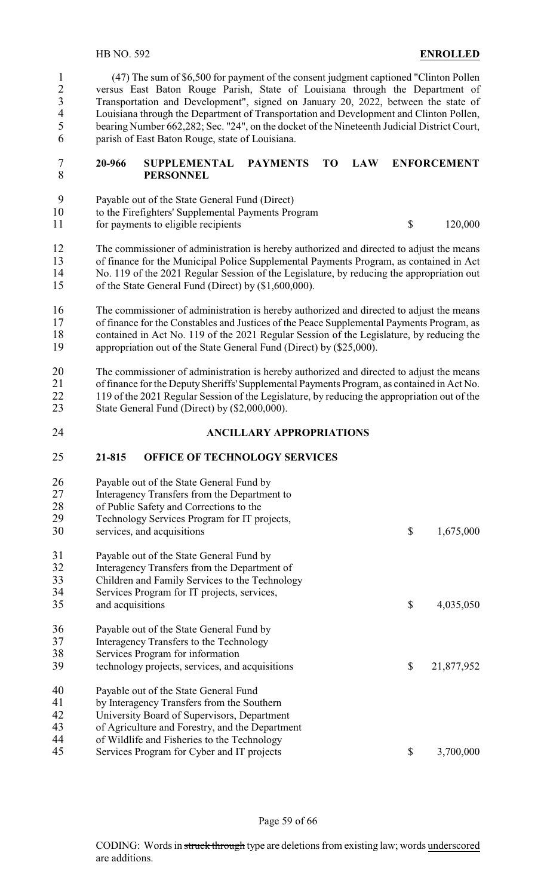(47) The sum of \$6,500 for payment of the consent judgment captioned "Clinton Pollen 2 versus East Baton Rouge Parish, State of Louisiana through the Department of Transportation and Development", signed on January 20, 2022, between the state of 3 Transportation and Development", signed on January 20, 2022, between the state of<br>4 Louisiana through the Department of Transportation and Development and Clinton Pollen 4 Louisiana through the Department of Transportation and Development and Clinton Pollen,<br>5 bearing Number 662,282; Sec. "24", on the docket of the Nineteenth Judicial District Court, bearing Number 662,282; Sec. "24", on the docket of the Nineteenth Judicial District Court, parish of East Baton Rouge, state of Louisiana.

#### **20-966 SUPPLEMENTAL PAYMENTS TO LAW ENFORCEMENT PERSONNEL**

- Payable out of the State General Fund (Direct)
- to the Firefighters' Supplemental Payments Program
- 11 for payments to eligible recipients  $\qquad \qquad$  120,000

 The commissioner of administration is hereby authorized and directed to adjust the means 13 of finance for the Municipal Police Supplemental Payments Program, as contained in Act No. 119 of the 2021 Regular Session of the Legislature, by reducing the appropriation out No. 119 of the 2021 Regular Session of the Legislature, by reducing the appropriation out of the State General Fund (Direct) by (\$1,600,000).

 The commissioner of administration is hereby authorized and directed to adjust the means of finance for the Constables and Justices of the Peace Supplemental Payments Program, as 18 contained in Act No. 119 of the 2021 Regular Session of the Legislature, by reducing the appropriation out of the State General Fund (Direct) by (\$25,000). appropriation out of the State General Fund (Direct) by (\$25,000).

 The commissioner of administration is hereby authorized and directed to adjust the means of finance for the DeputySheriffs' Supplemental Payments Program, as contained in Act No. 22 119 of the 2021 Regular Session of the Legislature, by reducing the appropriation out of the 23 State General Fund (Direct) by (\$2,000,000).

#### **ANCILLARY APPROPRIATIONS**

#### **21-815 OFFICE OF TECHNOLOGY SERVICES**

| 26<br>27<br>28<br>29       | Payable out of the State General Fund by<br>Interagency Transfers from the Department to<br>of Public Safety and Corrections to the<br>Technology Services Program for IT projects,                                                  |                  |
|----------------------------|--------------------------------------------------------------------------------------------------------------------------------------------------------------------------------------------------------------------------------------|------------------|
| 30                         | services, and acquisitions                                                                                                                                                                                                           | \$<br>1,675,000  |
| 31<br>32<br>33<br>34       | Payable out of the State General Fund by<br>Interagency Transfers from the Department of<br>Children and Family Services to the Technology<br>Services Program for IT projects, services,                                            |                  |
| 35                         | and acquisitions                                                                                                                                                                                                                     | \$<br>4,035,050  |
| 36<br>37<br>38<br>39       | Payable out of the State General Fund by<br>Interagency Transfers to the Technology<br>Services Program for information<br>technology projects, services, and acquisitions                                                           | \$<br>21,877,952 |
| 40<br>41<br>42<br>43<br>44 | Payable out of the State General Fund<br>by Interagency Transfers from the Southern<br>University Board of Supervisors, Department<br>of Agriculture and Forestry, and the Department<br>of Wildlife and Fisheries to the Technology |                  |
| 45                         | Services Program for Cyber and IT projects                                                                                                                                                                                           | \$<br>3,700,000  |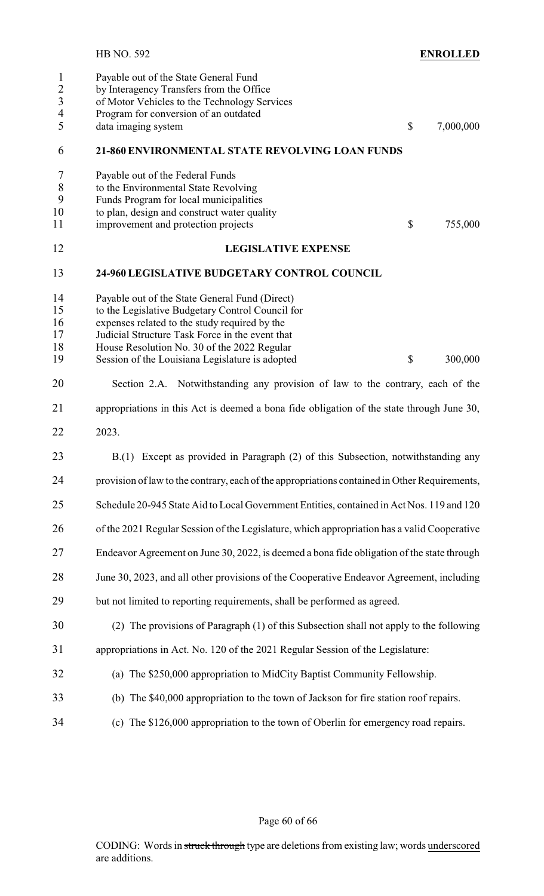|                                                                                  | <b>ENROLLED</b><br><b>HB NO. 592</b>                                                                                                                                                                                                                                                                                                |
|----------------------------------------------------------------------------------|-------------------------------------------------------------------------------------------------------------------------------------------------------------------------------------------------------------------------------------------------------------------------------------------------------------------------------------|
| $\mathbf{1}$<br>$\overline{2}$<br>$\overline{\mathbf{3}}$<br>$\overline{4}$<br>5 | Payable out of the State General Fund<br>by Interagency Transfers from the Office<br>of Motor Vehicles to the Technology Services<br>Program for conversion of an outdated<br>data imaging system<br>$\mathcal{S}$<br>7,000,000                                                                                                     |
| 6                                                                                | 21-860 ENVIRONMENTAL STATE REVOLVING LOAN FUNDS                                                                                                                                                                                                                                                                                     |
| 7<br>$8\,$<br>9<br>10<br>11                                                      | Payable out of the Federal Funds<br>to the Environmental State Revolving<br>Funds Program for local municipalities<br>to plan, design and construct water quality<br>improvement and protection projects<br>$\mathbb{S}$<br>755,000                                                                                                 |
| 12                                                                               | <b>LEGISLATIVE EXPENSE</b>                                                                                                                                                                                                                                                                                                          |
| 13                                                                               | <b>24-960 LEGISLATIVE BUDGETARY CONTROL COUNCIL</b>                                                                                                                                                                                                                                                                                 |
| 14<br>15<br>16<br>17<br>18<br>19                                                 | Payable out of the State General Fund (Direct)<br>to the Legislative Budgetary Control Council for<br>expenses related to the study required by the<br>Judicial Structure Task Force in the event that<br>House Resolution No. 30 of the 2022 Regular<br>$\mathbb{S}$<br>Session of the Louisiana Legislature is adopted<br>300,000 |
| 20                                                                               | Section 2.A. Notwithstanding any provision of law to the contrary, each of the                                                                                                                                                                                                                                                      |
| 21                                                                               | appropriations in this Act is deemed a bona fide obligation of the state through June 30,                                                                                                                                                                                                                                           |
| 22                                                                               | 2023.                                                                                                                                                                                                                                                                                                                               |
| 23                                                                               | B.(1) Except as provided in Paragraph (2) of this Subsection, notwithstanding any                                                                                                                                                                                                                                                   |
| 24                                                                               | provision of law to the contrary, each of the appropriations contained in Other Requirements,                                                                                                                                                                                                                                       |
| 25                                                                               | Schedule 20-945 State Aid to Local Government Entities, contained in Act Nos. 119 and 120                                                                                                                                                                                                                                           |
| 26                                                                               | of the 2021 Regular Session of the Legislature, which appropriation has a valid Cooperative                                                                                                                                                                                                                                         |
| 27                                                                               | Endeavor Agreement on June 30, 2022, is deemed a bona fide obligation of the state through                                                                                                                                                                                                                                          |
| 28                                                                               | June 30, 2023, and all other provisions of the Cooperative Endeavor Agreement, including                                                                                                                                                                                                                                            |
| 29                                                                               | but not limited to reporting requirements, shall be performed as agreed.                                                                                                                                                                                                                                                            |
| 30                                                                               | (2) The provisions of Paragraph (1) of this Subsection shall not apply to the following                                                                                                                                                                                                                                             |
| 31                                                                               | appropriations in Act. No. 120 of the 2021 Regular Session of the Legislature:                                                                                                                                                                                                                                                      |
| 32                                                                               | (a) The \$250,000 appropriation to MidCity Baptist Community Fellowship.                                                                                                                                                                                                                                                            |
| 33                                                                               | (b) The \$40,000 appropriation to the town of Jackson for fire station roof repairs.                                                                                                                                                                                                                                                |
| 34                                                                               | (c) The \$126,000 appropriation to the town of Oberlin for emergency road repairs.                                                                                                                                                                                                                                                  |
|                                                                                  |                                                                                                                                                                                                                                                                                                                                     |

Page 60 of 66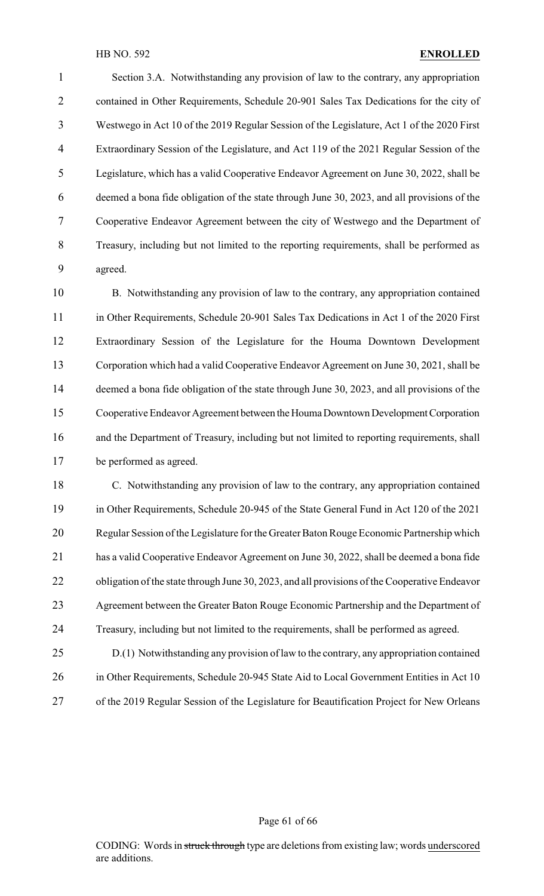Section 3.A. Notwithstanding any provision of law to the contrary, any appropriation contained in Other Requirements, Schedule 20-901 Sales Tax Dedications for the city of Westwego in Act 10 of the 2019 Regular Session of the Legislature, Act 1 of the 2020 First Extraordinary Session of the Legislature, and Act 119 of the 2021 Regular Session of the Legislature, which has a valid Cooperative Endeavor Agreement on June 30, 2022, shall be deemed a bona fide obligation of the state through June 30, 2023, and all provisions of the Cooperative Endeavor Agreement between the city of Westwego and the Department of Treasury, including but not limited to the reporting requirements, shall be performed as agreed.

 B. Notwithstanding any provision of law to the contrary, any appropriation contained in Other Requirements, Schedule 20-901 Sales Tax Dedications in Act 1 of the 2020 First Extraordinary Session of the Legislature for the Houma Downtown Development Corporation which had a valid Cooperative Endeavor Agreement on June 30, 2021, shall be deemed a bona fide obligation of the state through June 30, 2023, and all provisions of the 15 Cooperative Endeavor Agreement between the Houma Downtown Development Corporation 16 and the Department of Treasury, including but not limited to reporting requirements, shall be performed as agreed.

 C. Notwithstanding any provision of law to the contrary, any appropriation contained in Other Requirements, Schedule 20-945 of the State General Fund in Act 120 of the 2021 Regular Session of the Legislature for the Greater Baton Rouge Economic Partnership which has a valid Cooperative Endeavor Agreement on June 30, 2022, shall be deemed a bona fide 22 obligation of the state through June 30, 2023, and all provisions of the Cooperative Endeavor Agreement between the Greater Baton Rouge Economic Partnership and the Department of Treasury, including but not limited to the requirements, shall be performed as agreed.

 D.(1) Notwithstanding any provision of law to the contrary, any appropriation contained 26 in Other Requirements, Schedule 20-945 State Aid to Local Government Entities in Act 10 of the 2019 Regular Session of the Legislature for Beautification Project for New Orleans

Page 61 of 66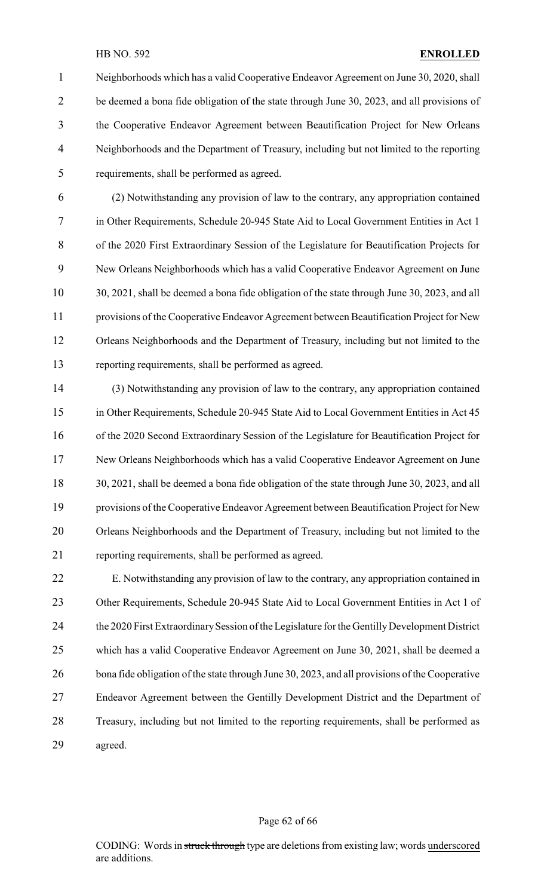Neighborhoods which has a valid Cooperative Endeavor Agreement on June 30, 2020, shall be deemed a bona fide obligation of the state through June 30, 2023, and all provisions of the Cooperative Endeavor Agreement between Beautification Project for New Orleans Neighborhoods and the Department of Treasury, including but not limited to the reporting requirements, shall be performed as agreed.

 (2) Notwithstanding any provision of law to the contrary, any appropriation contained in Other Requirements, Schedule 20-945 State Aid to Local Government Entities in Act 1 of the 2020 First Extraordinary Session of the Legislature for Beautification Projects for New Orleans Neighborhoods which has a valid Cooperative Endeavor Agreement on June 30, 2021, shall be deemed a bona fide obligation of the state through June 30, 2023, and all provisions of the Cooperative Endeavor Agreement between Beautification Project for New Orleans Neighborhoods and the Department of Treasury, including but not limited to the reporting requirements, shall be performed as agreed.

 (3) Notwithstanding any provision of law to the contrary, any appropriation contained in Other Requirements, Schedule 20-945 State Aid to Local Government Entities in Act 45 of the 2020 Second Extraordinary Session of the Legislature for Beautification Project for New Orleans Neighborhoods which has a valid Cooperative Endeavor Agreement on June 30, 2021, shall be deemed a bona fide obligation of the state through June 30, 2023, and all provisions of the Cooperative Endeavor Agreement between Beautification Project for New Orleans Neighborhoods and the Department of Treasury, including but not limited to the reporting requirements, shall be performed as agreed.

 E. Notwithstanding any provision of law to the contrary, any appropriation contained in 23 Other Requirements, Schedule 20-945 State Aid to Local Government Entities in Act 1 of 24 the 2020 First Extraordinary Session of the Legislature for the Gentilly Development District which has a valid Cooperative Endeavor Agreement on June 30, 2021, shall be deemed a 26 bona fide obligation of the state through June 30, 2023, and all provisions of the Cooperative Endeavor Agreement between the Gentilly Development District and the Department of Treasury, including but not limited to the reporting requirements, shall be performed as agreed.

#### Page 62 of 66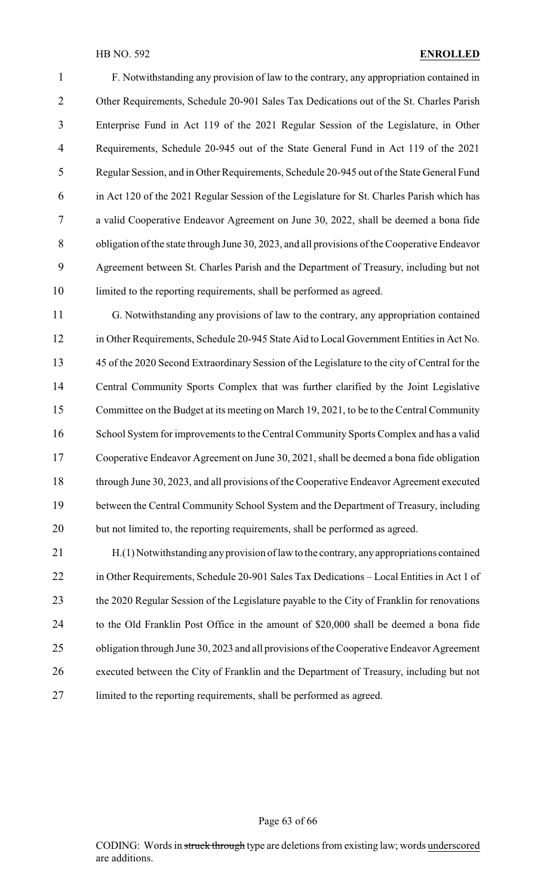F. Notwithstanding any provision of law to the contrary, any appropriation contained in Other Requirements, Schedule 20-901 Sales Tax Dedications out of the St. Charles Parish Enterprise Fund in Act 119 of the 2021 Regular Session of the Legislature, in Other Requirements, Schedule 20-945 out of the State General Fund in Act 119 of the 2021 Regular Session, and in Other Requirements, Schedule 20-945 out of the State General Fund in Act 120 of the 2021 Regular Session of the Legislature for St. Charles Parish which has a valid Cooperative Endeavor Agreement on June 30, 2022, shall be deemed a bona fide obligation of the state through June 30, 2023, and all provisions of the Cooperative Endeavor Agreement between St. Charles Parish and the Department of Treasury, including but not 10 limited to the reporting requirements, shall be performed as agreed.

 G. Notwithstanding any provisions of law to the contrary, any appropriation contained in Other Requirements, Schedule 20-945 State Aid to Local Government Entities in Act No. 45 of the 2020 Second Extraordinary Session of the Legislature to the city of Central for the Central Community Sports Complex that was further clarified by the Joint Legislative Committee on the Budget at its meeting on March 19, 2021, to be to the Central Community 16 School System for improvements to the Central Community Sports Complex and has a valid Cooperative Endeavor Agreement on June 30, 2021, shall be deemed a bona fide obligation through June 30, 2023, and all provisions of the Cooperative Endeavor Agreement executed between the Central Community School System and the Department of Treasury, including but not limited to, the reporting requirements, shall be performed as agreed.

 H.(1) Notwithstanding anyprovision of law to the contrary, anyappropriations contained in Other Requirements, Schedule 20-901 Sales Tax Dedications – Local Entities in Act 1 of 23 the 2020 Regular Session of the Legislature payable to the City of Franklin for renovations to the Old Franklin Post Office in the amount of \$20,000 shall be deemed a bona fide obligation through June 30, 2023 and all provisions of the Cooperative Endeavor Agreement executed between the City of Franklin and the Department of Treasury, including but not limited to the reporting requirements, shall be performed as agreed.

Page 63 of 66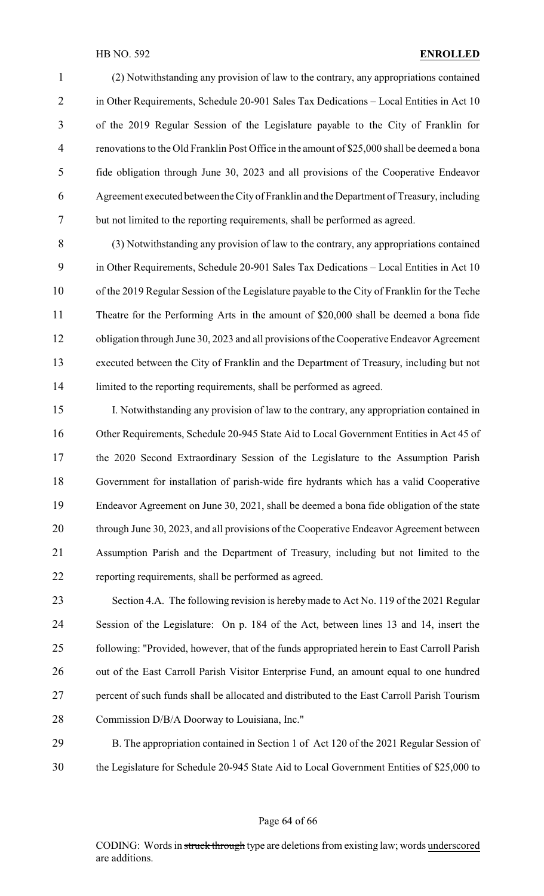(2) Notwithstanding any provision of law to the contrary, any appropriations contained 2 in Other Requirements, Schedule 20-901 Sales Tax Dedications – Local Entities in Act 10 of the 2019 Regular Session of the Legislature payable to the City of Franklin for renovations to the Old Franklin Post Office in the amount of \$25,000 shall be deemed a bona fide obligation through June 30, 2023 and all provisions of the Cooperative Endeavor Agreement executed between the City of Franklin and the Department of Treasury, including but not limited to the reporting requirements, shall be performed as agreed.

 (3) Notwithstanding any provision of law to the contrary, any appropriations contained in Other Requirements, Schedule 20-901 Sales Tax Dedications – Local Entities in Act 10 of the 2019 Regular Session of the Legislature payable to the City of Franklin for the Teche Theatre for the Performing Arts in the amount of \$20,000 shall be deemed a bona fide 12 obligation through June 30, 2023 and all provisions of the Cooperative Endeavor Agreement executed between the City of Franklin and the Department of Treasury, including but not 14 limited to the reporting requirements, shall be performed as agreed.

 I. Notwithstanding any provision of law to the contrary, any appropriation contained in Other Requirements, Schedule 20-945 State Aid to Local Government Entities in Act 45 of the 2020 Second Extraordinary Session of the Legislature to the Assumption Parish Government for installation of parish-wide fire hydrants which has a valid Cooperative Endeavor Agreement on June 30, 2021, shall be deemed a bona fide obligation of the state through June 30, 2023, and all provisions of the Cooperative Endeavor Agreement between Assumption Parish and the Department of Treasury, including but not limited to the reporting requirements, shall be performed as agreed.

 Section 4.A. The following revision is hereby made to Act No. 119 of the 2021 Regular Session of the Legislature: On p. 184 of the Act, between lines 13 and 14, insert the following: "Provided, however, that of the funds appropriated herein to East Carroll Parish 26 out of the East Carroll Parish Visitor Enterprise Fund, an amount equal to one hundred percent of such funds shall be allocated and distributed to the East Carroll Parish Tourism Commission D/B/A Doorway to Louisiana, Inc."

 B. The appropriation contained in Section 1 of Act 120 of the 2021 Regular Session of the Legislature for Schedule 20-945 State Aid to Local Government Entities of \$25,000 to

Page 64 of 66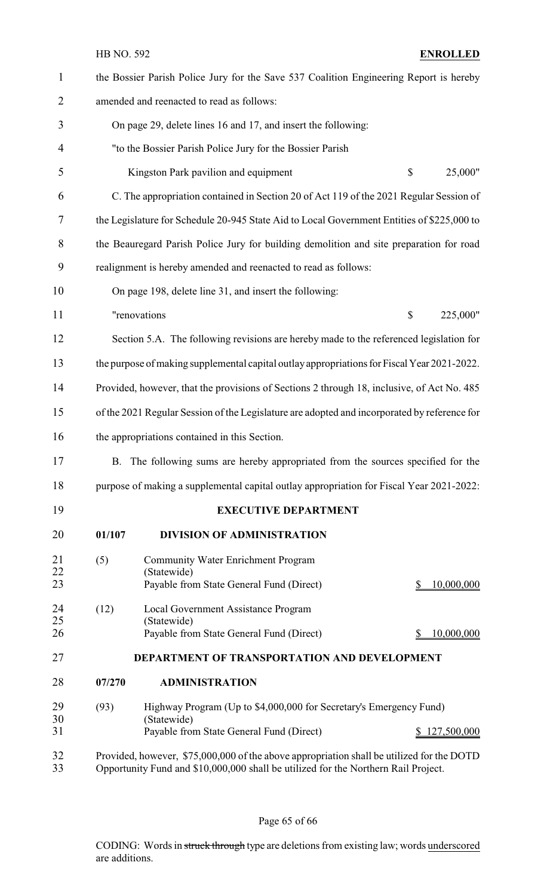| $\mathbf{1}$   |                                                                                                                                                                                 | the Bossier Parish Police Jury for the Save 537 Coalition Engineering Report is hereby       |                           |             |  |
|----------------|---------------------------------------------------------------------------------------------------------------------------------------------------------------------------------|----------------------------------------------------------------------------------------------|---------------------------|-------------|--|
| $\overline{2}$ |                                                                                                                                                                                 | amended and reenacted to read as follows:                                                    |                           |             |  |
| 3              |                                                                                                                                                                                 | On page 29, delete lines 16 and 17, and insert the following:                                |                           |             |  |
| 4              |                                                                                                                                                                                 | "to the Bossier Parish Police Jury for the Bossier Parish                                    |                           |             |  |
| 5              |                                                                                                                                                                                 | Kingston Park pavilion and equipment                                                         | \$                        | 25,000"     |  |
| 6              |                                                                                                                                                                                 | C. The appropriation contained in Section 20 of Act 119 of the 2021 Regular Session of       |                           |             |  |
| 7              |                                                                                                                                                                                 | the Legislature for Schedule 20-945 State Aid to Local Government Entities of \$225,000 to   |                           |             |  |
| 8              |                                                                                                                                                                                 | the Beauregard Parish Police Jury for building demolition and site preparation for road      |                           |             |  |
| 9              |                                                                                                                                                                                 | realignment is hereby amended and reenacted to read as follows:                              |                           |             |  |
| 10             |                                                                                                                                                                                 | On page 198, delete line 31, and insert the following:                                       |                           |             |  |
| 11             |                                                                                                                                                                                 | "renovations                                                                                 | $\boldsymbol{\mathsf{S}}$ | 225,000"    |  |
| 12             |                                                                                                                                                                                 | Section 5.A. The following revisions are hereby made to the referenced legislation for       |                           |             |  |
| 13             |                                                                                                                                                                                 | the purpose of making supplemental capital outlay appropriations for Fiscal Year 2021-2022.  |                           |             |  |
| 14             | Provided, however, that the provisions of Sections 2 through 18, inclusive, of Act No. 485                                                                                      |                                                                                              |                           |             |  |
| 15             |                                                                                                                                                                                 | of the 2021 Regular Session of the Legislature are adopted and incorporated by reference for |                           |             |  |
| 16             |                                                                                                                                                                                 | the appropriations contained in this Section.                                                |                           |             |  |
| 17             |                                                                                                                                                                                 | B. The following sums are hereby appropriated from the sources specified for the             |                           |             |  |
| 18             |                                                                                                                                                                                 | purpose of making a supplemental capital outlay appropriation for Fiscal Year 2021-2022:     |                           |             |  |
| 19             |                                                                                                                                                                                 | <b>EXECUTIVE DEPARTMENT</b>                                                                  |                           |             |  |
| 20             | 01/107                                                                                                                                                                          | DIVISION OF ADMINISTRATION                                                                   |                           |             |  |
| 21             | (5)                                                                                                                                                                             | <b>Community Water Enrichment Program</b>                                                    |                           |             |  |
| 22<br>23       |                                                                                                                                                                                 | (Statewide)<br>Payable from State General Fund (Direct)                                      |                           | 10,000,000  |  |
| 24             | (12)                                                                                                                                                                            | Local Government Assistance Program                                                          |                           |             |  |
| 25<br>26       |                                                                                                                                                                                 | (Statewide)<br>Payable from State General Fund (Direct)                                      |                           | 10,000,000  |  |
| 27             |                                                                                                                                                                                 | DEPARTMENT OF TRANSPORTATION AND DEVELOPMENT                                                 |                           |             |  |
| 28             | 07/270                                                                                                                                                                          | <b>ADMINISTRATION</b>                                                                        |                           |             |  |
| 29             | (93)                                                                                                                                                                            | Highway Program (Up to \$4,000,000 for Secretary's Emergency Fund)                           |                           |             |  |
| 30<br>31       |                                                                                                                                                                                 | (Statewide)<br>Payable from State General Fund (Direct)                                      |                           | 127,500,000 |  |
| 32<br>33       | Provided, however, \$75,000,000 of the above appropriation shall be utilized for the DOTD<br>Opportunity Fund and \$10,000,000 shall be utilized for the Northern Rail Project. |                                                                                              |                           |             |  |

Page 65 of 66